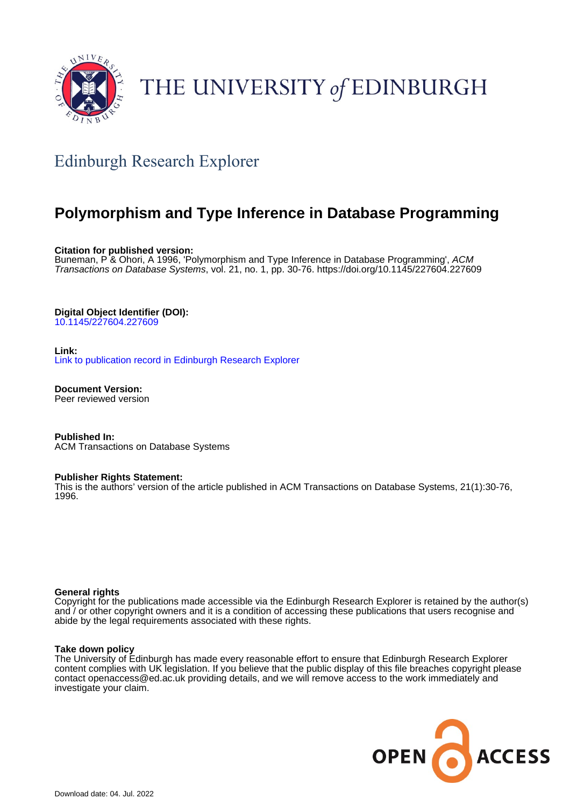

# THE UNIVERSITY of EDINBURGH

# Edinburgh Research Explorer

# **Polymorphism and Type Inference in Database Programming**

**Citation for published version:**

Buneman, P & Ohori, A 1996, 'Polymorphism and Type Inference in Database Programming', ACM Transactions on Database Systems, vol. 21, no. 1, pp. 30-76.<https://doi.org/10.1145/227604.227609>

# **Digital Object Identifier (DOI):**

[10.1145/227604.227609](https://doi.org/10.1145/227604.227609)

# **Link:**

[Link to publication record in Edinburgh Research Explorer](https://www.research.ed.ac.uk/en/publications/68d3b277-38ae-475d-a49e-09f70ff7c1b1)

**Document Version:** Peer reviewed version

**Published In:** ACM Transactions on Database Systems

# **Publisher Rights Statement:**

This is the authors' version of the article published in ACM Transactions on Database Systems, 21(1):30-76, 1996.

# **General rights**

Copyright for the publications made accessible via the Edinburgh Research Explorer is retained by the author(s) and / or other copyright owners and it is a condition of accessing these publications that users recognise and abide by the legal requirements associated with these rights.

# **Take down policy**

The University of Edinburgh has made every reasonable effort to ensure that Edinburgh Research Explorer content complies with UK legislation. If you believe that the public display of this file breaches copyright please contact openaccess@ed.ac.uk providing details, and we will remove access to the work immediately and investigate your claim.

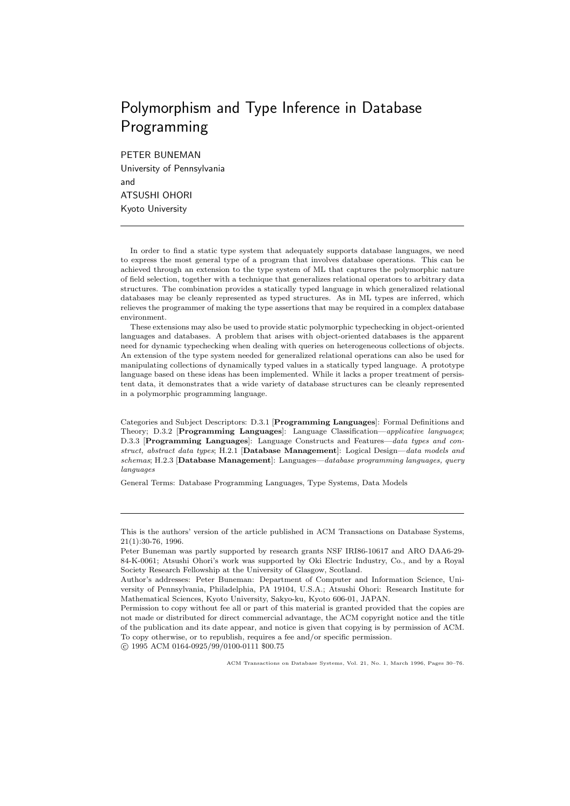# Polymorphism and Type Inference in Database Programming

PETER BUNEMAN University of Pennsylvania and ATSUSHI OHORI Kyoto University

In order to find a static type system that adequately supports database languages, we need to express the most general type of a program that involves database operations. This can be achieved through an extension to the type system of ML that captures the polymorphic nature of field selection, together with a technique that generalizes relational operators to arbitrary data structures. The combination provides a statically typed language in which generalized relational databases may be cleanly represented as typed structures. As in ML types are inferred, which relieves the programmer of making the type assertions that may be required in a complex database environment.

These extensions may also be used to provide static polymorphic typechecking in object-oriented languages and databases. A problem that arises with object-oriented databases is the apparent need for dynamic typechecking when dealing with queries on heterogeneous collections of objects. An extension of the type system needed for generalized relational operations can also be used for manipulating collections of dynamically typed values in a statically typed language. A prototype language based on these ideas has been implemented. While it lacks a proper treatment of persistent data, it demonstrates that a wide variety of database structures can be cleanly represented in a polymorphic programming language.

Categories and Subject Descriptors: D.3.1 [Programming Languages]: Formal Definitions and Theory; D.3.2 [Programming Languages]: Language Classification—applicative languages; D.3.3 [Programming Languages]: Language Constructs and Features—data types and construct, abstract data types;  $H.2.1$  [Database Management]: Logical Design—data models and schemas; H.2.3 [Database Management]: Languages—database programming languages, query languages

General Terms: Database Programming Languages, Type Systems, Data Models

°c 1995 ACM 0164-0925/99/0100-0111 \$00.75

ACM Transactions on Database Systems, Vol. 21, No. 1, March 1996, Pages 30–76.

This is the authors' version of the article published in ACM Transactions on Database Systems, 21(1):30-76, 1996.

Peter Buneman was partly supported by research grants NSF IRI86-10617 and ARO DAA6-29- 84-K-0061; Atsushi Ohori's work was supported by Oki Electric Industry, Co., and by a Royal Society Research Fellowship at the University of Glasgow, Scotland.

Author's addresses: Peter Buneman: Department of Computer and Information Science, University of Pennsylvania, Philadelphia, PA 19104, U.S.A.; Atsushi Ohori: Research Institute for Mathematical Sciences, Kyoto University, Sakyo-ku, Kyoto 606-01, JAPAN.

Permission to copy without fee all or part of this material is granted provided that the copies are not made or distributed for direct commercial advantage, the ACM copyright notice and the title of the publication and its date appear, and notice is given that copying is by permission of ACM. To copy otherwise, or to republish, requires a fee and/or specific permission.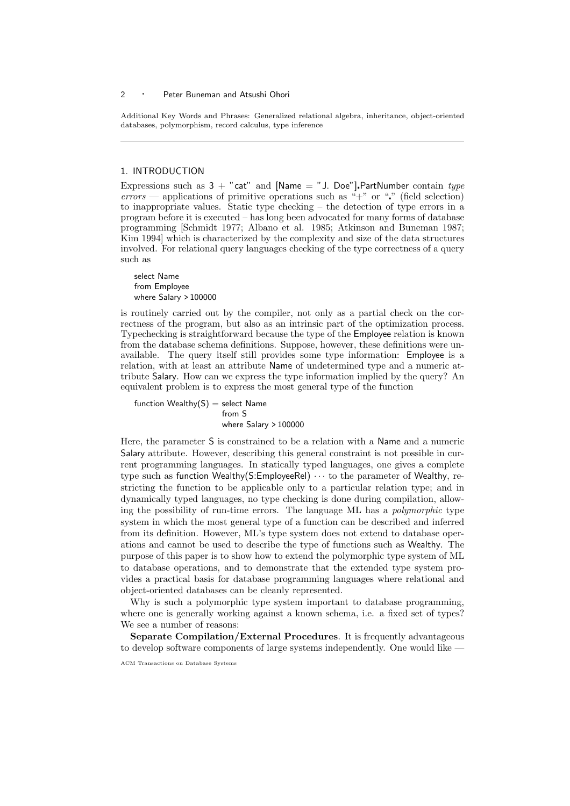Additional Key Words and Phrases: Generalized relational algebra, inheritance, object-oriented databases, polymorphism, record calculus, type inference

#### 1. INTRODUCTION

Expressions such as  $3 +$  "cat" and [Name = "J. Doe"]. PartNumber contain type errors — applications of primitive operations such as  $\frac{u}{x}$  or "," (field selection) to inappropriate values. Static type checking – the detection of type errors in a program before it is executed – has long been advocated for many forms of database programming [Schmidt 1977; Albano et al. 1985; Atkinson and Buneman 1987; Kim 1994] which is characterized by the complexity and size of the data structures involved. For relational query languages checking of the type correctness of a query such as

select Name from Employee where Salary > 100000

is routinely carried out by the compiler, not only as a partial check on the correctness of the program, but also as an intrinsic part of the optimization process. Typechecking is straightforward because the type of the Employee relation is known from the database schema definitions. Suppose, however, these definitions were unavailable. The query itself still provides some type information: Employee is a relation, with at least an attribute Name of undetermined type and a numeric attribute Salary. How can we express the type information implied by the query? An equivalent problem is to express the most general type of the function

function Wealthy $(S)$  = select Name from S where Salary > 100000

Here, the parameter S is constrained to be a relation with a Name and a numeric Salary attribute. However, describing this general constraint is not possible in current programming languages. In statically typed languages, one gives a complete type such as function Wealthy(S:EmployeeRel)  $\cdots$  to the parameter of Wealthy, restricting the function to be applicable only to a particular relation type; and in dynamically typed languages, no type checking is done during compilation, allowing the possibility of run-time errors. The language ML has a polymorphic type system in which the most general type of a function can be described and inferred from its definition. However, ML's type system does not extend to database operations and cannot be used to describe the type of functions such as Wealthy. The purpose of this paper is to show how to extend the polymorphic type system of ML to database operations, and to demonstrate that the extended type system provides a practical basis for database programming languages where relational and object-oriented databases can be cleanly represented.

Why is such a polymorphic type system important to database programming, where one is generally working against a known schema, i.e. a fixed set of types? We see a number of reasons:

Separate Compilation/External Procedures. It is frequently advantageous to develop software components of large systems independently. One would like —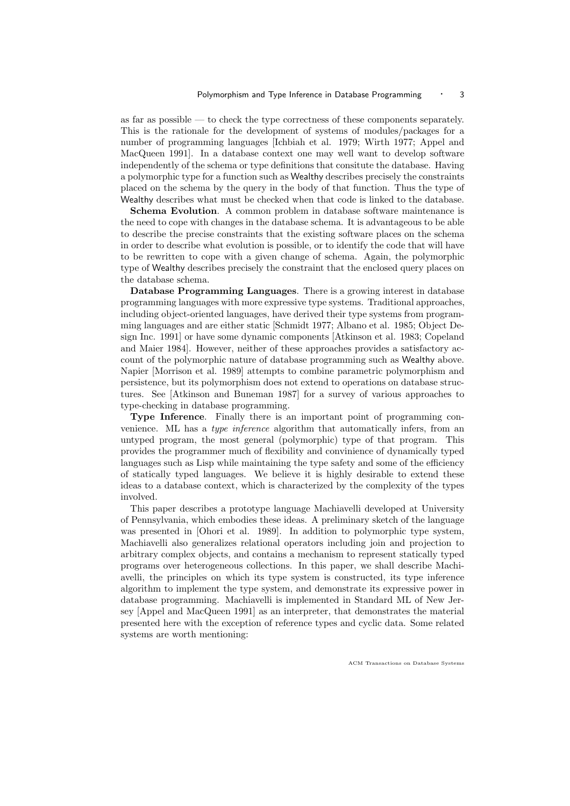as far as possible — to check the type correctness of these components separately. This is the rationale for the development of systems of modules/packages for a number of programming languages [Ichbiah et al. 1979; Wirth 1977; Appel and MacQueen 1991]. In a database context one may well want to develop software independently of the schema or type definitions that consitute the database. Having a polymorphic type for a function such as Wealthy describes precisely the constraints placed on the schema by the query in the body of that function. Thus the type of Wealthy describes what must be checked when that code is linked to the database.

Schema Evolution. A common problem in database software maintenance is the need to cope with changes in the database schema. It is advantageous to be able to describe the precise constraints that the existing software places on the schema in order to describe what evolution is possible, or to identify the code that will have to be rewritten to cope with a given change of schema. Again, the polymorphic type of Wealthy describes precisely the constraint that the enclosed query places on the database schema.

Database Programming Languages. There is a growing interest in database programming languages with more expressive type systems. Traditional approaches, including object-oriented languages, have derived their type systems from programming languages and are either static [Schmidt 1977; Albano et al. 1985; Object Design Inc. 1991] or have some dynamic components [Atkinson et al. 1983; Copeland and Maier 1984]. However, neither of these approaches provides a satisfactory account of the polymorphic nature of database programming such as Wealthy above. Napier [Morrison et al. 1989] attempts to combine parametric polymorphism and persistence, but its polymorphism does not extend to operations on database structures. See [Atkinson and Buneman 1987] for a survey of various approaches to type-checking in database programming.

Type Inference. Finally there is an important point of programming convenience. ML has a type inference algorithm that automatically infers, from an untyped program, the most general (polymorphic) type of that program. This provides the programmer much of flexibility and convinience of dynamically typed languages such as Lisp while maintaining the type safety and some of the efficiency of statically typed languages. We believe it is highly desirable to extend these ideas to a database context, which is characterized by the complexity of the types involved.

This paper describes a prototype language Machiavelli developed at University of Pennsylvania, which embodies these ideas. A preliminary sketch of the language was presented in [Ohori et al. 1989]. In addition to polymorphic type system, Machiavelli also generalizes relational operators including join and projection to arbitrary complex objects, and contains a mechanism to represent statically typed programs over heterogeneous collections. In this paper, we shall describe Machiavelli, the principles on which its type system is constructed, its type inference algorithm to implement the type system, and demonstrate its expressive power in database programming. Machiavelli is implemented in Standard ML of New Jersey [Appel and MacQueen 1991] as an interpreter, that demonstrates the material presented here with the exception of reference types and cyclic data. Some related systems are worth mentioning: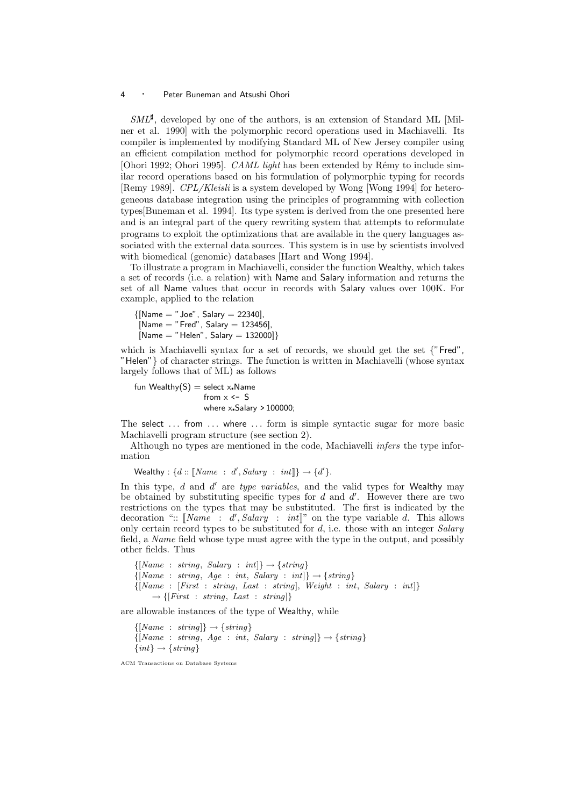$SML^{\sharp}$ , developed by one of the authors, is an extension of Standard ML [Milner et al. 1990] with the polymorphic record operations used in Machiavelli. Its compiler is implemented by modifying Standard ML of New Jersey compiler using an efficient compilation method for polymorphic record operations developed in [Ohori 1992; Ohori 1995]. *CAML light* has been extended by Rémy to include similar record operations based on his formulation of polymorphic typing for records [Remy 1989]. CPL/Kleisli is a system developed by Wong [Wong 1994] for heterogeneous database integration using the principles of programming with collection types[Buneman et al. 1994]. Its type system is derived from the one presented here and is an integral part of the query rewriting system that attempts to reformulate programs to exploit the optimizations that are available in the query languages associated with the external data sources. This system is in use by scientists involved with biomedical (genomic) databases [Hart and Wong 1994].

To illustrate a program in Machiavelli, consider the function Wealthy, which takes a set of records (i.e. a relation) with Name and Salary information and returns the set of all Name values that occur in records with Salary values over 100K. For example, applied to the relation

 ${[Name = "Joe", Salary = 22340]},$  $[Name = "Fred", Salary = 123456],$  $[Name = "Helen", Salary = 132000]$ 

which is Machiavelli syntax for a set of records, we should get the set {"Fred", "Helen"} of character strings. The function is written in Machiavelli (whose syntax largely follows that of ML) as follows

fun Wealthy(S) = select x¦Name from x <- S where x¦Salary > 100000;

The select ... from ... where ... form is simple syntactic sugar for more basic Machiavelli program structure (see section 2).

Although no types are mentioned in the code, Machiavelli infers the type information

Wealthy : {d :: [[Name : d 0 , Salary : int]]} → {d 0 }.

In this type,  $d$  and  $d'$  are type variables, and the valid types for Wealthy may be obtained by substituting specific types for  $d$  and  $d'$ . However there are two restrictions on the types that may be substituted. The first is indicated by the decoration "::  $[Name : d', Salary : int]$ " on the type variable d. This allows only certain record types to be substituted for  $d$ , i.e. those with an integer Salary field, a Name field whose type must agree with the type in the output, and possibly other fields. Thus

 $\{[Name : string, Salary : int] \} \rightarrow \{string\}$  $\{[Name : string, Age : int, Salary : int] \} \rightarrow \{string\}$  $\{[Name : [First : string, Last : string], Weight : int, Salary : int] \}$  $\rightarrow \{[First : string, Last : string]\}$ 

are allowable instances of the type of Wealthy, while

 $\{[Name : string] \} \rightarrow \{string\}$  $\{[Name : string, Age : int, Salary : string] \} \rightarrow \{string\}$  $\{int\} \rightarrow \{string\}$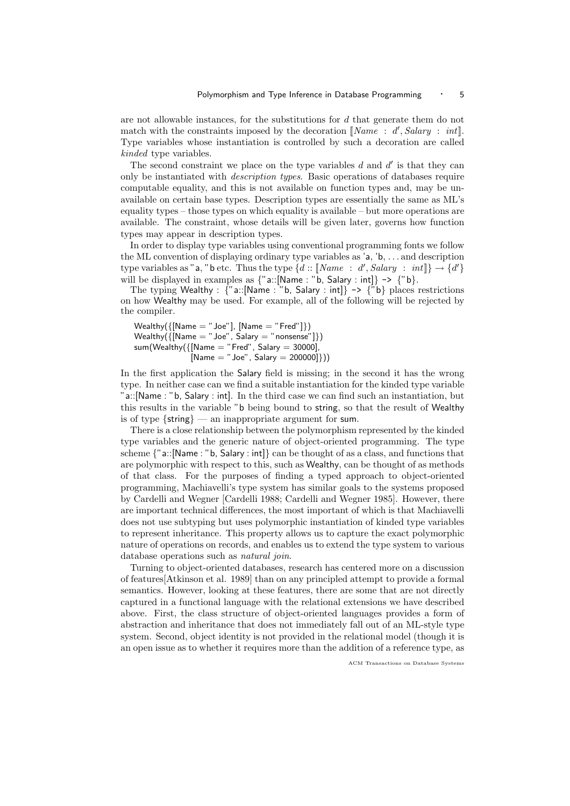are not allowable instances, for the substitutions for d that generate them do not match with the constraints imposed by the decoration  $[Name : d', Salary : int]$ . Type variables whose instantiation is controlled by such a decoration are called kinded type variables.

The second constraint we place on the type variables  $d$  and  $d'$  is that they can only be instantiated with description types. Basic operations of databases require computable equality, and this is not available on function types and, may be unavailable on certain base types. Description types are essentially the same as ML's equality types – those types on which equality is available – but more operations are available. The constraint, whose details will be given later, governs how function types may appear in description types.

In order to display type variables using conventional programming fonts we follow the ML convention of displaying ordinary type variables as 'a, 'b, . . . and description type variables as "**a**, "**b** etc. Thus the type  $\{d : \|Name : d', Salary : int\} \rightarrow \{d'\}$ will be displayed in examples as  $\{$ "a::[Name : "b, Salary : int]} ->  $\{$ "b}.

The typing Wealthy :  $\{$ "a::[Name : "b, Salary : int]} ->  $\{$ "b} places restrictions on how Wealthy may be used. For example, all of the following will be rejected by the compiler.

Wealthy( $\{[\text{Name} = "Joe"], [\text{Name} = "Fred"]\})$ Wealthy $(\{[\text{Name} = "Joe", \text{ salary} = "nonsense"]\})$ sum(Wealthy( $\{$ [Name = "Fred", Salary = 30000],  $[Name = "Joe", Salary = 200000]$ 

In the first application the Salary field is missing; in the second it has the wrong type. In neither case can we find a suitable instantiation for the kinded type variable "a::[Name : "b, Salary : int]. In the third case we can find such an instantiation, but this results in the variable "b being bound to string, so that the result of Wealthy is of type  $\{string\}$  — an inappropriate argument for sum.

There is a close relationship between the polymorphism represented by the kinded type variables and the generic nature of object-oriented programming. The type scheme  $\{$ "a:: $[Name : "b, Salary : int] \}$  can be thought of as a class, and functions that are polymorphic with respect to this, such as Wealthy, can be thought of as methods of that class. For the purposes of finding a typed approach to object-oriented programming, Machiavelli's type system has similar goals to the systems proposed by Cardelli and Wegner [Cardelli 1988; Cardelli and Wegner 1985]. However, there are important technical differences, the most important of which is that Machiavelli does not use subtyping but uses polymorphic instantiation of kinded type variables to represent inheritance. This property allows us to capture the exact polymorphic nature of operations on records, and enables us to extend the type system to various database operations such as natural join.

Turning to object-oriented databases, research has centered more on a discussion of features[Atkinson et al. 1989] than on any principled attempt to provide a formal semantics. However, looking at these features, there are some that are not directly captured in a functional language with the relational extensions we have described above. First, the class structure of object-oriented languages provides a form of abstraction and inheritance that does not immediately fall out of an ML-style type system. Second, object identity is not provided in the relational model (though it is an open issue as to whether it requires more than the addition of a reference type, as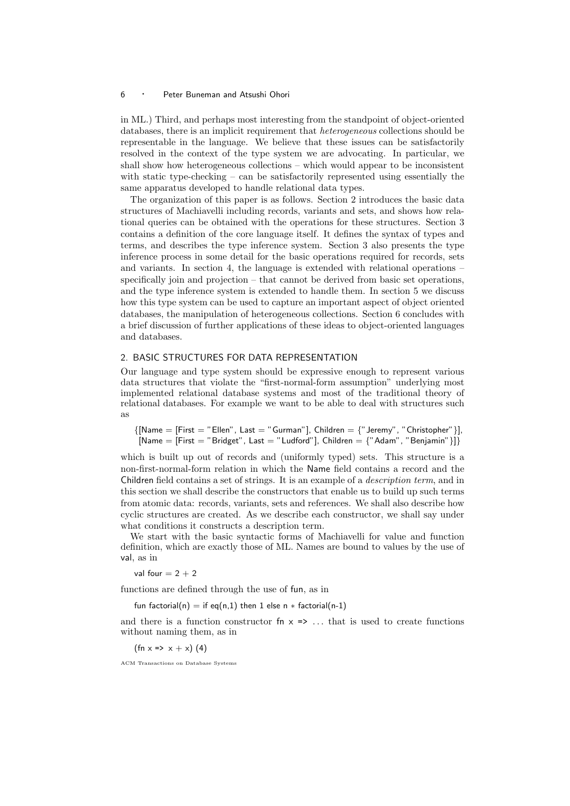in ML.) Third, and perhaps most interesting from the standpoint of object-oriented databases, there is an implicit requirement that heterogeneous collections should be representable in the language. We believe that these issues can be satisfactorily resolved in the context of the type system we are advocating. In particular, we shall show how heterogeneous collections – which would appear to be inconsistent with static type-checking – can be satisfactorily represented using essentially the same apparatus developed to handle relational data types.

The organization of this paper is as follows. Section 2 introduces the basic data structures of Machiavelli including records, variants and sets, and shows how relational queries can be obtained with the operations for these structures. Section 3 contains a definition of the core language itself. It defines the syntax of types and terms, and describes the type inference system. Section 3 also presents the type inference process in some detail for the basic operations required for records, sets and variants. In section 4, the language is extended with relational operations – specifically join and projection – that cannot be derived from basic set operations, and the type inference system is extended to handle them. In section 5 we discuss how this type system can be used to capture an important aspect of object oriented databases, the manipulation of heterogeneous collections. Section 6 concludes with a brief discussion of further applications of these ideas to object-oriented languages and databases.

#### 2. BASIC STRUCTURES FOR DATA REPRESENTATION

Our language and type system should be expressive enough to represent various data structures that violate the "first-normal-form assumption" underlying most implemented relational database systems and most of the traditional theory of relational databases. For example we want to be able to deal with structures such as

 ${|\text{Name} = \text{First} = \text{"Ellen", Last} = \text{"Gurman", Children} = \text{"Jeremy", "Christopher"} }$  $[Name = [First = "Bridge", Last = "Ludford"], Children = {''Adam", "Benjamin" }]$ 

which is built up out of records and (uniformly typed) sets. This structure is a non-first-normal-form relation in which the Name field contains a record and the Children field contains a set of strings. It is an example of a description term, and in this section we shall describe the constructors that enable us to build up such terms from atomic data: records, variants, sets and references. We shall also describe how cyclic structures are created. As we describe each constructor, we shall say under what conditions it constructs a description term.

We start with the basic syntactic forms of Machiavelli for value and function definition, which are exactly those of ML. Names are bound to values by the use of val, as in

val four  $= 2 + 2$ 

functions are defined through the use of fun, as in

fun factorial(n) = if eq(n,1) then 1 else n  $*$  factorial(n-1)

and there is a function constructor fn  $x \Rightarrow \dots$  that is used to create functions without naming them, as in

 $(\text{fn } x \Rightarrow x + x) (4)$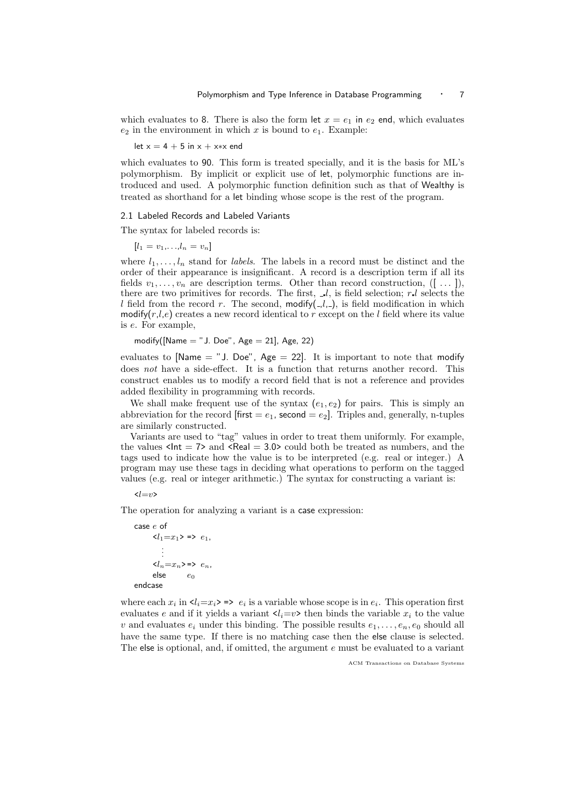which evaluates to 8. There is also the form let  $x = e_1$  in  $e_2$  end, which evaluates  $e_2$  in the environment in which x is bound to  $e_1$ . Example:

let  $x = 4 + 5$  in  $x + x*x$  end

which evaluates to 90. This form is treated specially, and it is the basis for ML's polymorphism. By implicit or explicit use of let, polymorphic functions are introduced and used. A polymorphic function definition such as that of Wealthy is treated as shorthand for a let binding whose scope is the rest of the program.

2.1 Labeled Records and Labeled Variants

The syntax for labeled records is:

 $[l_1 = v_1, \ldots, l_n = v_n]$ 

where  $l_1, \ldots, l_n$  stand for *labels*. The labels in a record must be distinct and the order of their appearance is insignificant. A record is a description term if all its fields  $v_1, \ldots, v_n$  are description terms. Other than record construction,  $([ \ldots ]),$ there are two primitives for records. The first,  $\Box l$ , is field selection; r $\Box l$  selects the l field from the record r. The second,  $\text{modify}(\alpha, l, \alpha)$ , is field modification in which modify $(r,l,e)$  creates a new record identical to r except on the l field where its value is e. For example,

modify( $[Name = "J. Doe", Age = 21], Age, 22)$ 

evaluates to  $[Name = "J. Doe", Age = 22].$  It is important to note that modify does not have a side-effect. It is a function that returns another record. This construct enables us to modify a record field that is not a reference and provides added flexibility in programming with records.

We shall make frequent use of the syntax  $(e_1, e_2)$  for pairs. This is simply an abbreviation for the record  $[\text{first} = e_1, \text{ second} = e_2]$ . Triples and, generally, n-tuples are similarly constructed.

Variants are used to "tag" values in order to treat them uniformly. For example, the values  $\langle \text{Int} = 7 \rangle$  and  $\langle \text{Real} = 3.0 \rangle$  could both be treated as numbers, and the tags used to indicate how the value is to be interpreted (e.g. real or integer.) A program may use these tags in deciding what operations to perform on the tagged values (e.g. real or integer arithmetic.) The syntax for constructing a variant is:

 $\langle l=v\rangle$ 

The operation for analyzing a variant is a case expression:

case e of  $\langle l_1 = x_1 \rangle \Rightarrow e_1$ , . . .  $l_n=x_n$ > =>  $e_n$ ,  $else$   $e_0$ endcase

where each  $x_i$  in  $\langle l_i = x_i \rangle \implies e_i$  is a variable whose scope is in  $e_i$ . This operation first evaluates e and if it yields a variant  $\langle l_i=v\rangle$  then binds the variable  $x_i$  to the value v and evaluates  $e_i$  under this binding. The possible results  $e_1, \ldots, e_n, e_0$  should all have the same type. If there is no matching case then the else clause is selected. The else is optional, and, if omitted, the argument e must be evaluated to a variant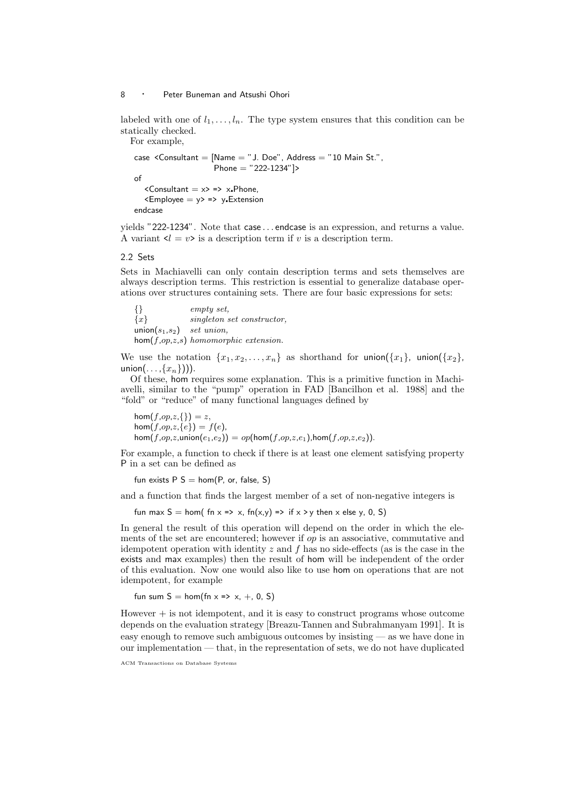labeled with one of  $l_1, \ldots, l_n$ . The type system ensures that this condition can be statically checked.

For example,

```
case <Consultant = [Name = "J. Doe", Address = "10 Main St.",
                    Phone = "222-1234"]>
of
   <Consultant = x> => x. Phone,
   \epsilonEmployee = y> => y.Extension
endcase
```
yields "222-1234". Note that case . . . endcase is an expression, and returns a value. A variant  $\langle l = v \rangle$  is a description term if v is a description term.

#### 2.2 Sets

Sets in Machiavelli can only contain description terms and sets themselves are always description terms. This restriction is essential to generalize database operations over structures containing sets. There are four basic expressions for sets:

 $\{\}$  empty set,  ${x}$  singleton set constructor, union $(s_1,s_2)$  set union, hom $(f, op, z, s)$  homomorphic extension.

We use the notation  $\{x_1, x_2, \ldots, x_n\}$  as shorthand for union $(\{x_1\}, \text{union}(\{x_2\},\$ union $( \ldots, \{x_n\})$ ).

Of these, hom requires some explanation. This is a primitive function in Machiavelli, similar to the "pump" operation in FAD [Bancilhon et al. 1988] and the "fold" or "reduce" of many functional languages defined by

 $hom(f, op, z, \{\}) = z$ ,  $hom(f, op, z, \{e\}) = f(e),$  $hom(f, op, z, union(e_1, e_2)) = op(hom(f, op, z, e_1), hom(f, op, z, e_2)).$ 

For example, a function to check if there is at least one element satisfying property P in a set can be defined as

fun exists  $P S = \text{hom}(P, \text{ or, false, } S)$ 

and a function that finds the largest member of a set of non-negative integers is

fun max  $S = \text{hom}($  fn  $x \Rightarrow x$ , fn(x,y) => if  $x > y$  then  $x$  else y, 0, S)

In general the result of this operation will depend on the order in which the elements of the set are encountered; however if op is an associative, commutative and idempotent operation with identity  $z$  and  $f$  has no side-effects (as is the case in the exists and max examples) then the result of hom will be independent of the order of this evaluation. Now one would also like to use hom on operations that are not idempotent, for example

fun sum  $S = \text{hom}(fn \times \Rightarrow x, +, 0, S)$ 

However  $+$  is not idempotent, and it is easy to construct programs whose outcome depends on the evaluation strategy [Breazu-Tannen and Subrahmanyam 1991]. It is easy enough to remove such ambiguous outcomes by insisting — as we have done in our implementation — that, in the representation of sets, we do not have duplicated

ACM Transactions on Database Systems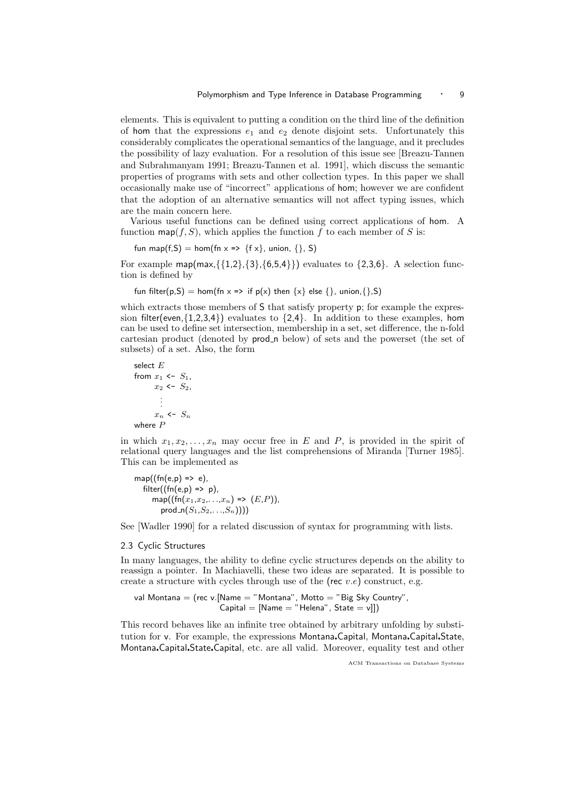elements. This is equivalent to putting a condition on the third line of the definition of hom that the expressions  $e_1$  and  $e_2$  denote disjoint sets. Unfortunately this considerably complicates the operational semantics of the language, and it precludes the possibility of lazy evaluation. For a resolution of this issue see [Breazu-Tannen and Subrahmanyam 1991; Breazu-Tannen et al. 1991], which discuss the semantic properties of programs with sets and other collection types. In this paper we shall occasionally make use of "incorrect" applications of hom; however we are confident that the adoption of an alternative semantics will not affect typing issues, which are the main concern here.

Various useful functions can be defined using correct applications of hom. A function map( $f, S$ ), which applies the function f to each member of S is:

fun map(f,S) = hom(fn x => {f x}, union, {}, S)

For example  $map(max, \{\{1,2\}, \{3\}, \{6,5,4\}\})$  evaluates to  $\{2,3,6\}$ . A selection function is defined by

fun filter(p, S) = hom(fn x => if p(x) then  $\{x\}$  else  $\{\}$ , union,  $\{\}$ , S)

which extracts those members of S that satisfy property p; for example the expression filter(even,  $\{1,2,3,4\}$ ) evaluates to  $\{2,4\}$ . In addition to these examples, hom can be used to define set intersection, membership in a set, set difference, the n-fold cartesian product (denoted by prod n below) of sets and the powerset (the set of subsets) of a set. Also, the form

```
select Efrom x_1 \leftarrow S_1,
      x_2 <- S_2,
        .
        .
        .
      x_n <- S_nwhere P
```
in which  $x_1, x_2, \ldots, x_n$  may occur free in E and P, is provided in the spirit of relational query languages and the list comprehensions of Miranda [Turner 1985]. This can be implemented as

 $map((fn(e.p) \Rightarrow e))$  $filter((fn(e,p) \Rightarrow p))$  $map((fn(x_1,x_2,...,x_n) \Rightarrow (E,P)).$  $\text{prod}_n(S_1, S_2, \ldots, S_n)))$ 

See [Wadler 1990] for a related discussion of syntax for programming with lists.

#### 2.3 Cyclic Structures

In many languages, the ability to define cyclic structures depends on the ability to reassign a pointer. In Machiavelli, these two ideas are separated. It is possible to create a structure with cycles through use of the (rec  $v.e$ ) construct, e.g.

val Montana  $=$  (rec v. [Name  $=$  "Montana", Motto  $=$  "Big Sky Country", Capital =  $[Name = "Helena", State = v]]$ 

This record behaves like an infinite tree obtained by arbitrary unfolding by substitution for v. For example, the expressions Montana Capital, Montana Capital State, Montana-Capital State-Capital, etc. are all valid. Moreover, equality test and other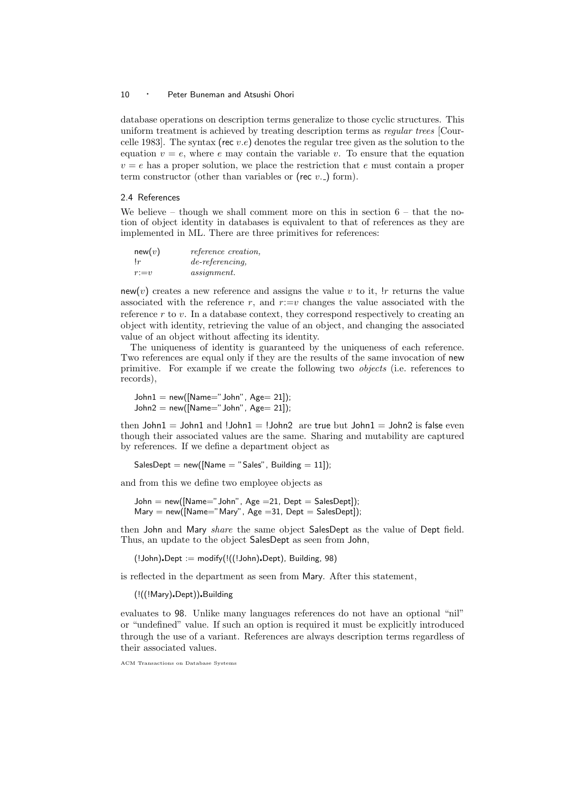database operations on description terms generalize to those cyclic structures. This uniform treatment is achieved by treating description terms as regular trees [Courcelle 1983]. The syntax (rec  $v.e$ ) denotes the regular tree given as the solution to the equation  $v = e$ , where e may contain the variable v. To ensure that the equation  $v = e$  has a proper solution, we place the restriction that e must contain a proper term constructor (other than variables or (rec  $v_{-}$ ) form).

#### 2.4 References

We believe – though we shall comment more on this in section  $6$  – that the notion of object identity in databases is equivalent to that of references as they are implemented in ML. There are three primitives for references:

| new(v)         | reference creation, |
|----------------|---------------------|
| $\mathsf{I}_r$ | $de-referencing,$   |
| $r := v$       | <i>assignment.</i>  |

new(v) creates a new reference and assigns the value v to it,  $'r$  returns the value associated with the reference r, and  $r:=v$  changes the value associated with the reference r to v. In a database context, they correspond respectively to creating an object with identity, retrieving the value of an object, and changing the associated value of an object without affecting its identity.

The uniqueness of identity is guaranteed by the uniqueness of each reference. Two references are equal only if they are the results of the same invocation of new primitive. For example if we create the following two objects (i.e. references to records),

```
John1 = new([Name="John", Age= 21]);
John2 = new([Name="John", Age= 21]);
```
then John1 = John1 and  $1$ John1 =  $1$ John2 are true but John1 = John2 is false even though their associated values are the same. Sharing and mutability are captured by references. If we define a department object as

 $SalesDepth = new([Name = "Sales", Building = 11]);$ 

and from this we define two employee objects as

 $John = new([Name="John", Age = 21, Dept = SalesDepth);$  $Mary = new([Name="Mary", Age = 31, Dept = SalesDepth);$ 

then John and Mary share the same object SalesDept as the value of Dept field. Thus, an update to the object SalesDept as seen from John,

 $(!John).$ Dept  $:=$  modify $(!(!John).$ Dept), Building, 98)

is reflected in the department as seen from Mary. After this statement,

(!((!Mary).Dept)).Building

evaluates to 98. Unlike many languages references do not have an optional "nil" or "undefined" value. If such an option is required it must be explicitly introduced through the use of a variant. References are always description terms regardless of their associated values.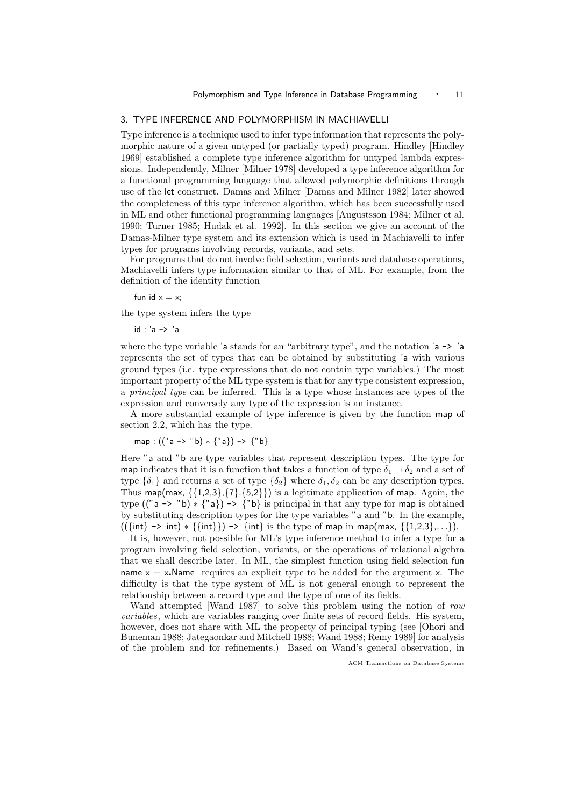## 3. TYPE INFERENCE AND POLYMORPHISM IN MACHIAVELLI

Type inference is a technique used to infer type information that represents the polymorphic nature of a given untyped (or partially typed) program. Hindley [Hindley 1969] established a complete type inference algorithm for untyped lambda expressions. Independently, Milner [Milner 1978] developed a type inference algorithm for a functional programming language that allowed polymorphic definitions through use of the let construct. Damas and Milner [Damas and Milner 1982] later showed the completeness of this type inference algorithm, which has been successfully used in ML and other functional programming languages [Augustsson 1984; Milner et al. 1990; Turner 1985; Hudak et al. 1992]. In this section we give an account of the Damas-Milner type system and its extension which is used in Machiavelli to infer types for programs involving records, variants, and sets.

For programs that do not involve field selection, variants and database operations, Machiavelli infers type information similar to that of ML. For example, from the definition of the identity function

fun id  $x = x$ ;

the type system infers the type

id : 'a -> 'a

where the type variable 'a stands for an "arbitrary type", and the notation  $a \rightarrow a$ represents the set of types that can be obtained by substituting 'a with various ground types (i.e. type expressions that do not contain type variables.) The most important property of the ML type system is that for any type consistent expression, a principal type can be inferred. This is a type whose instances are types of the expression and conversely any type of the expression is an instance.

A more substantial example of type inference is given by the function map of section 2.2, which has the type.

map : (("a -> "b) ∗ {"a}) -> {"b}

Here "a and "b are type variables that represent description types. The type for map indicates that it is a function that takes a function of type  $\delta_1 \rightarrow \delta_2$  and a set of type  $\{\delta_1\}$  and returns a set of type  $\{\delta_2\}$  where  $\delta_1, \delta_2$  can be any description types. Thus map(max,  $\{\{1,2,3\},\{7\},\{5,2\}\}\)$  is a legitimate application of map. Again, the type  $(("a \rightarrow "b) * {"a}) \rightarrow 'b$  is principal in that any type for map is obtained by substituting description types for the type variables "a and "b. In the example,  $((\{\text{int}\} \rightarrow \text{int}) * \{\{\text{int}\}\}) \rightarrow \{\text{int}\}\$ is the type of map in map(max,  $\{\{1,2,3\},\ldots\}$ ).

It is, however, not possible for ML's type inference method to infer a type for a program involving field selection, variants, or the operations of relational algebra that we shall describe later. In ML, the simplest function using field selection fun name  $x = x$ . Name requires an explicit type to be added for the argument x. The difficulty is that the type system of ML is not general enough to represent the relationship between a record type and the type of one of its fields.

Wand attempted [Wand 1987] to solve this problem using the notion of row variables, which are variables ranging over finite sets of record fields. His system, however, does not share with ML the property of principal typing (see [Ohori and Buneman 1988; Jategaonkar and Mitchell 1988; Wand 1988; Remy 1989] for analysis of the problem and for refinements.) Based on Wand's general observation, in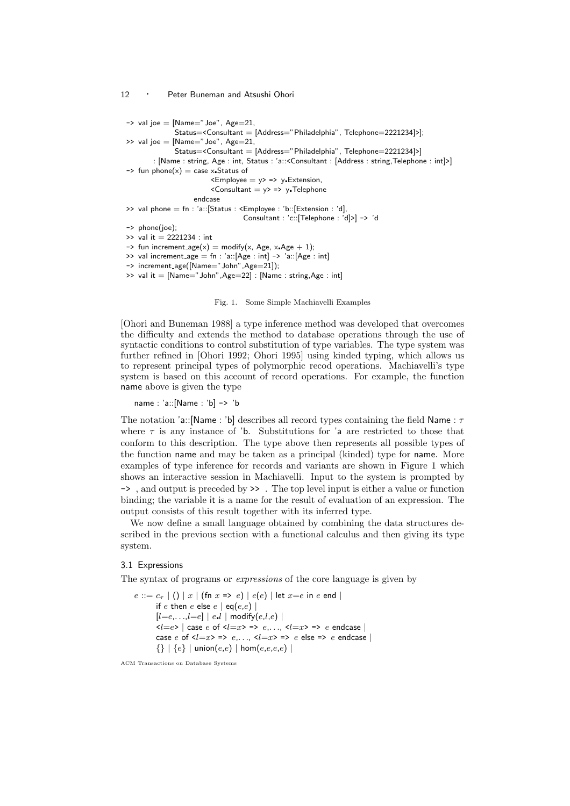$\rightarrow$  val joe = [Name="Joe", Age=21, Status=<Consultant = [Address="Philadelphia", Telephone=2221234]>];  $\gg$  val joe = [Name="Joe", Age=21, Status=<Consultant = [Address="Philadelphia", Telephone=2221234]>] : [Name : string, Age : int, Status : 'a::<Consultant : [Address : string,Telephone : int]>]  $\Rightarrow$  fun phone(x) = case x.Status of  $\epsilon$ Employee = y> => y.Extension,  $<$ Consultant = y> => y.Telephone endcase >> val phone = fn : 'a::[Status : <Employee : 'b::[Extension : 'd], Consultant : 'c::[Telephone : 'd]>] -> 'd -> phone(joe);  $\Rightarrow$  val it = 2221234 : int -> fun increment\_age(x) = modify(x, Age, x.Age + 1); >> val increment\_age = fn : 'a::[Age : int] -> 'a::[Age : int] -> increment age([Name="John",Age=21]); >> val it = [Name="John",Age=22] : [Name : string,Age : int]

Fig. 1. Some Simple Machiavelli Examples

[Ohori and Buneman 1988] a type inference method was developed that overcomes the difficulty and extends the method to database operations through the use of syntactic conditions to control substitution of type variables. The type system was further refined in [Ohori 1992; Ohori 1995] using kinded typing, which allows us to represent principal types of polymorphic recod operations. Machiavelli's type system is based on this account of record operations. For example, the function name above is given the type

name : 'a::[Name : 'b] -> 'b

The notation 'a::[Name : 'b] describes all record types containing the field Name :  $\tau$ where  $\tau$  is any instance of 'b. Substitutions for 'a are restricted to those that conform to this description. The type above then represents all possible types of the function name and may be taken as a principal (kinded) type for name. More examples of type inference for records and variants are shown in Figure 1 which shows an interactive session in Machiavelli. Input to the system is prompted by -> , and output is preceded by >> . The top level input is either a value or function binding; the variable it is a name for the result of evaluation of an expression. The output consists of this result together with its inferred type.

We now define a small language obtained by combining the data structures described in the previous section with a functional calculus and then giving its type system.

#### 3.1 Expressions

The syntax of programs or expressions of the core language is given by

 $e ::= c_{\tau} | () | x | ($ fn  $x \Rightarrow e | | e(e) |$ let  $x = e$  in  $e$  end | if e then e else  $e | \text{eq}(e,e) |$  $[*l*=*e*, \ldots, *l*=*e*] | *e*<sub>n</sub>*l* | modify(*e*, *l*, *e*)|$  $\langle l=e \rangle$  | case e of  $\langle l=x \rangle \Rightarrow e, \dots, \langle l=x \rangle \Rightarrow e$  endcase | case e of  $\langle l=x\rangle \Rightarrow e, \dots, \langle l=x\rangle \Rightarrow e$  else => e endcase |  $\{\}\ | \ \{e\} \ | \ \text{union}(e,e) \ | \ \text{hom}(e,e,e,e) \ |$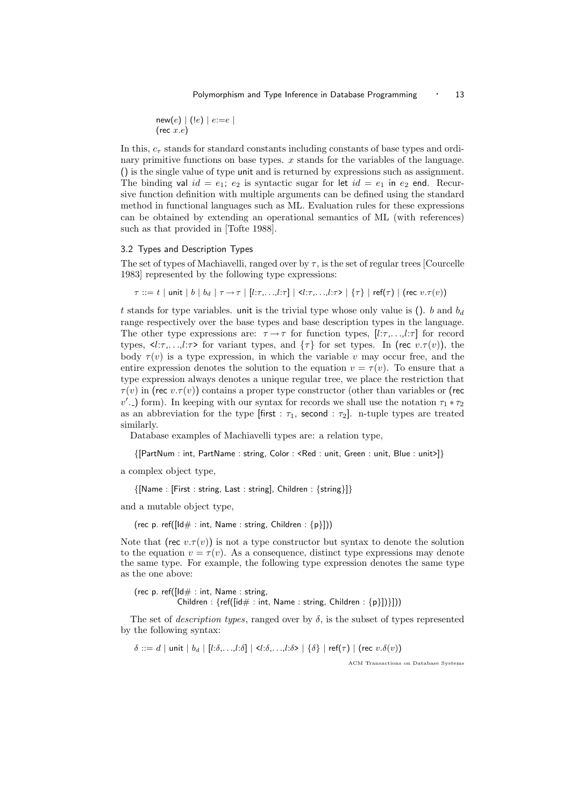```
new(e) | (!e) | e := e |(\text{rec } x.e)
```
In this,  $c_{\tau}$  stands for standard constants including constants of base types and ordinary primitive functions on base types.  $x$  stands for the variables of the language. () is the single value of type unit and is returned by expressions such as assignment. The binding val  $id = e_1$ ;  $e_2$  is syntactic sugar for let  $id = e_1$  in  $e_2$  end. Recursive function definition with multiple arguments can be defined using the standard method in functional languages such as ML. Evaluation rules for these expressions can be obtained by extending an operational semantics of ML (with references) such as that provided in [Tofte 1988].

#### 3.2 Types and Description Types

The set of types of Machiavelli, ranged over by  $\tau$ , is the set of regular trees [Courcelle 1983] represented by the following type expressions:

$$
\tau ::= t \mid \text{unit} \mid b \mid b_d \mid \tau \rightarrow \tau \mid [l:\tau,\ldots,l:\tau] \mid \langle l:\tau,\ldots,l:\tau \rangle \mid \{\tau\} \mid \text{ref}(\tau) \mid (\text{rec } v.\tau(v))
$$

t stands for type variables. unit is the trivial type whose only value is (). b and  $b_d$ range respectively over the base types and base description types in the language. The other type expressions are:  $\tau \rightarrow \tau$  for function types,  $[l:\tau, \ldots, l:\tau]$  for record types,  $\langle l; \tau, \ldots, l; \tau \rangle$  for variant types, and  $\{\tau\}$  for set types. In (rec  $v \cdot \tau(v)$ ), the body  $\tau(v)$  is a type expression, in which the variable v may occur free, and the entire expression denotes the solution to the equation  $v = \tau(v)$ . To ensure that a type expression always denotes a unique regular tree, we place the restriction that  $\tau(v)$  in (rec  $v.\tau(v)$ ) contains a proper type constructor (other than variables or (rec  $v'$ .) form). In keeping with our syntax for records we shall use the notation  $\tau_1 * \tau_2$ as an abbreviation for the type [first :  $\tau_1$ , second :  $\tau_2$ ]. n-tuple types are treated similarly.

Database examples of Machiavelli types are: a relation type,

{[PartNum : int, PartName : string, Color : <Red : unit, Green : unit, Blue : unit>]}

a complex object type,

{[Name : [First : string, Last : string], Children : {string}]}

and a mutable object type,

(rec p. ref( $\left[\text{Id#}$ : int, Name: string, Children: {p}]))

Note that (rec  $v.\tau(v)$ ) is not a type constructor but syntax to denote the solution to the equation  $v = \tau(v)$ . As a consequence, distinct type expressions may denote the same type. For example, the following type expression denotes the same type as the one above:

(rec p. ref( $\left[\mathsf{Id} \# : \mathsf{int}, \mathsf{Name} : \mathsf{string}, \right]$ 

Children :  $\{ref([id\# : int, Name : string, Children : {p}])\})$ 

The set of *description types*, ranged over by  $\delta$ , is the subset of types represented by the following syntax:

 $\delta ::= d \mid \text{unit} \mid b_d \mid [l:\delta,\ldots,l:\delta] \mid \langle l:\delta,\ldots,l:\delta\rangle \mid \{\delta\} \mid \text{ref}(\tau) \mid (\text{rec } v.\delta(v))$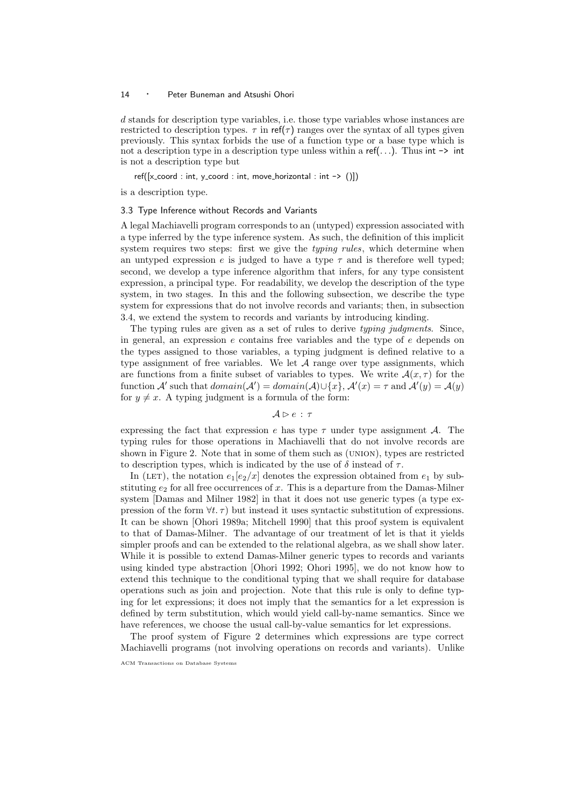d stands for description type variables, i.e. those type variables whose instances are restricted to description types.  $\tau$  in ref( $\tau$ ) ranges over the syntax of all types given previously. This syntax forbids the use of a function type or a base type which is not a description type in a description type unless within a  $ref(...)$ . Thus int  $\rightarrow$  int is not a description type but

ref( $[x_{\text{1}}\text{-}$ coord : int, y<sub>-</sub>coord : int, move\_horizontal : int -> ()])

is a description type.

#### 3.3 Type Inference without Records and Variants

A legal Machiavelli program corresponds to an (untyped) expression associated with a type inferred by the type inference system. As such, the definition of this implicit system requires two steps: first we give the *typing rules*, which determine when an untyped expression e is judged to have a type  $\tau$  and is therefore well typed; second, we develop a type inference algorithm that infers, for any type consistent expression, a principal type. For readability, we develop the description of the type system, in two stages. In this and the following subsection, we describe the type system for expressions that do not involve records and variants; then, in subsection 3.4, we extend the system to records and variants by introducing kinding.

The typing rules are given as a set of rules to derive typing judgments. Since, in general, an expression  $e$  contains free variables and the type of  $e$  depends on the types assigned to those variables, a typing judgment is defined relative to a type assignment of free variables. We let  $A$  range over type assignments, which are functions from a finite subset of variables to types. We write  $\mathcal{A}(x, \tau)$  for the function A' such that  $domain(\mathcal{A}') = domain(\mathcal{A}) \cup \{x\}, \mathcal{A}'(x) = \tau$  and  $\mathcal{A}'(y) = \mathcal{A}(y)$ for  $y \neq x$ . A typing judgment is a formula of the form:

# $A \triangleright e : \tau$

expressing the fact that expression e has type  $\tau$  under type assignment A. The typing rules for those operations in Machiavelli that do not involve records are shown in Figure 2. Note that in some of them such as (UNION), types are restricted to description types, which is indicated by the use of  $\delta$  instead of  $\tau$ .

In (LET), the notation  $e_1[e_2/x]$  denotes the expression obtained from  $e_1$  by substituting  $e_2$  for all free occurrences of x. This is a departure from the Damas-Milner system [Damas and Milner 1982] in that it does not use generic types (a type expression of the form  $\forall t, \tau$  but instead it uses syntactic substitution of expressions. It can be shown [Ohori 1989a; Mitchell 1990] that this proof system is equivalent to that of Damas-Milner. The advantage of our treatment of let is that it yields simpler proofs and can be extended to the relational algebra, as we shall show later. While it is possible to extend Damas-Milner generic types to records and variants using kinded type abstraction [Ohori 1992; Ohori 1995], we do not know how to extend this technique to the conditional typing that we shall require for database operations such as join and projection. Note that this rule is only to define typing for let expressions; it does not imply that the semantics for a let expression is defined by term substitution, which would yield call-by-name semantics. Since we have references, we choose the usual call-by-value semantics for let expressions.

The proof system of Figure 2 determines which expressions are type correct Machiavelli programs (not involving operations on records and variants). Unlike

ACM Transactions on Database Systems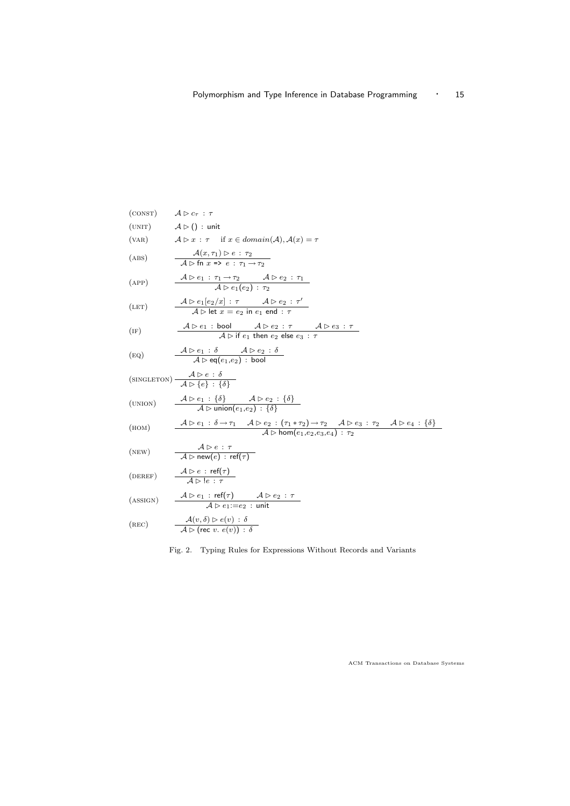(CONST) 
$$
A \rhd c_7 : \tau
$$
  
\n(UNIT)  $A \rhd 0$ : unit  
\n(VAR)  $A \rhd x : \tau$  if  $x \in domain(A), A(x) = \tau$   
\n(ABS)  $A(x, \tau_1) \rhd e : \tau_2$   
\n(ABS)  $A(x, \tau_1) \rhd e : \tau_2$   
\n(ABP)  $\frac{A \rhd e_1 : \tau_1 \rightarrow \tau_2 \qquad A \rhd e_2 : \tau_1}{A \rhd \tau_1 \qquad A \rhd e_1(e_2) : \tau_2}$   
\n(LET)  $\frac{A \rhd e_1[e_2/x] : \tau \qquad A \rhd e_2 : \tau'}{A \rhd \tau_1[e_2/x] : \tau} \qquad A \rhd e_1 : \text{bool } A \rhd e_2 : \tau$   
\n(IF)  $\frac{A \rhd e_1 : \text{bool } A \rhd e_2 : \tau}{A \rhd \tau_1 e_1 \text{ then } e_2 \text{ else } e_3 : \tau}$   
\n(EQ)  $\frac{A \rhd e_1 : \delta \qquad A \rhd e_2 : \delta}{A \rhd \text{eq}(e_1, e_2) : \text{bool}}$   
\n(SINGLETON)  $\frac{A \rhd e : \delta}{A \rhd \text{eq}(e_1, e_2) : \{\delta\}}$   
\n(UNION)  $\frac{A \rhd e : \{\delta\}}{A \rhd \text{union}(e_1, e_2) : \{\delta\}}$   
\n(HOM)  $\frac{A \rhd e_1 : \{\delta\} \qquad A \rhd e_2 : (\tau_1 * \tau_2) \rightarrow \tau_2 \qquad A \rhd e_3 : \tau_2 \qquad A \rhd e_4 : \{\delta\}}{A \rhd \text{nom}(e_1, e_2, e_3, e_4) : \tau_2}$   
\n(NEW)  $\frac{A \rhd e : \tau}{A \rhd \text{new}(e) : \text{ref}(\tau)}$   
\n(DEFREF)  $\frac{A \rhd e : \text{ref}(\tau)}{A \rhd \text{le} : \tau}$   
\n(ASSIGN)  $\frac{A \rhd e_1 : \text{ref}(\tau)}{A \rhd e_1 : \text{reg}$ 

Fig. 2. Typing Rules for Expressions Without Records and Variants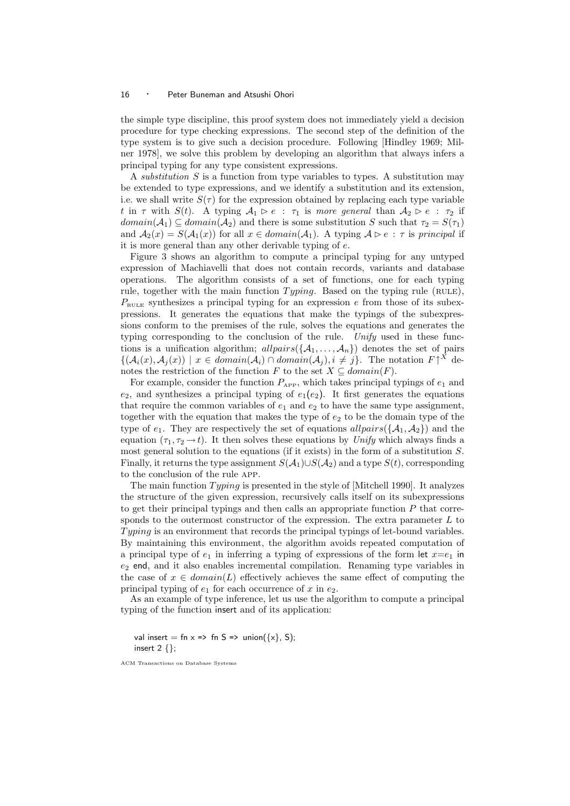the simple type discipline, this proof system does not immediately yield a decision procedure for type checking expressions. The second step of the definition of the type system is to give such a decision procedure. Following [Hindley 1969; Milner 1978], we solve this problem by developing an algorithm that always infers a principal typing for any type consistent expressions.

A substitution S is a function from type variables to types. A substitution may be extended to type expressions, and we identify a substitution and its extension, i.e. we shall write  $S(\tau)$  for the expression obtained by replacing each type variable t in  $\tau$  with  $S(t)$ . A typing  $A_1 \triangleright e$ :  $\tau_1$  is more general than  $A_2 \triangleright e$ :  $\tau_2$  if  $domain(\mathcal{A}_1) \subseteq domain(\mathcal{A}_2)$  and there is some substitution S such that  $\tau_2 = S(\tau_1)$ and  $A_2(x) = S(A_1(x))$  for all  $x \in domain(A_1)$ . A typing  $A \triangleright e : \tau$  is principal if it is more general than any other derivable typing of e.

Figure 3 shows an algorithm to compute a principal typing for any untyped expression of Machiavelli that does not contain records, variants and database operations. The algorithm consists of a set of functions, one for each typing rule, together with the main function  $Typing$ . Based on the typing rule (RULE),  $P_{\text{RULE}}$  synthesizes a principal typing for an expression e from those of its subexpressions. It generates the equations that make the typings of the subexpressions conform to the premises of the rule, solves the equations and generates the typing corresponding to the conclusion of the rule. Unify used in these functions is a unification algorithm;  $allpairs({A_1, ..., A_n})$  denotes the set of pairs  $\{(\mathcal{A}_i(x), \mathcal{A}_j(x)) \mid x \in domain(\mathcal{A}_i) \cap domain(\mathcal{A}_j), i \neq j\}.$  The notation  $F \uparrow^X$  denotes the restriction of the function F to the set  $X \subseteq domain(F)$ .

For example, consider the function  $P_{APP}$ , which takes principal typings of  $e_1$  and  $e_2$ , and synthesizes a principal typing of  $e_1(e_2)$ . It first generates the equations that require the common variables of  $e_1$  and  $e_2$  to have the same type assignment, together with the equation that makes the type of  $e_2$  to be the domain type of the type of  $e_1$ . They are respectively the set of equations allpairs({ $A_1$ ,  $A_2$ }) and the equation  $(\tau_1, \tau_2 \to t)$ . It then solves these equations by Unify which always finds a most general solution to the equations (if it exists) in the form of a substitution S. Finally, it returns the type assignment  $S(A_1) \cup S(A_2)$  and a type  $S(t)$ , corresponding to the conclusion of the rule app.

The main function  $Typing$  is presented in the style of [Mitchell 1990]. It analyzes the structure of the given expression, recursively calls itself on its subexpressions to get their principal typings and then calls an appropriate function  $P$  that corresponds to the outermost constructor of the expression. The extra parameter  $L$  to Typing is an environment that records the principal typings of let-bound variables. By maintaining this environment, the algorithm avoids repeated computation of a principal type of  $e_1$  in inferring a typing of expressions of the form let  $x=e_1$  in  $e_2$  end, and it also enables incremental compilation. Renaming type variables in the case of  $x \in domain(L)$  effectively achieves the same effect of computing the principal typing of  $e_1$  for each occurrence of x in  $e_2$ .

As an example of type inference, let us use the algorithm to compute a principal typing of the function insert and of its application:

val insert = fn  $x \Rightarrow$  fn S => union({x}, S); insert 2 {};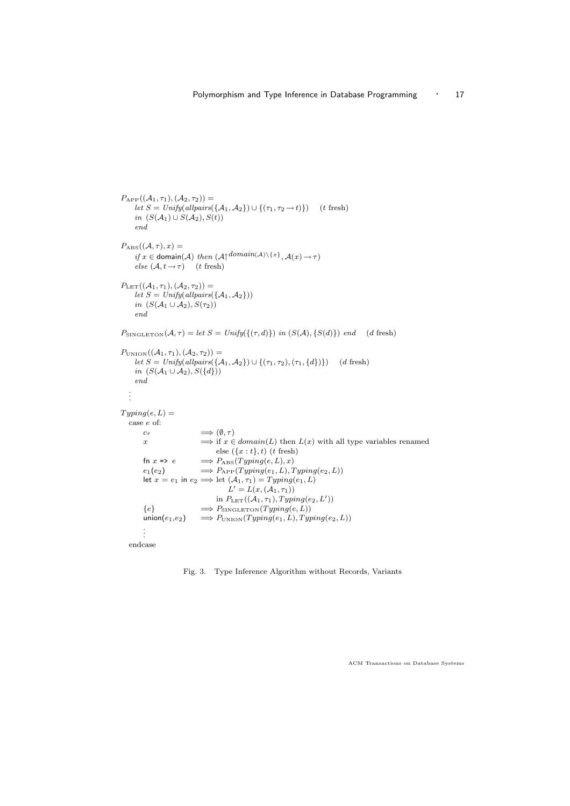```
P_{APP}((A_1, \tau_1), (A_2, \tau_2)) =let S = Unify(alpairs({A_1, A_2}) \cup {( {\tau_1, \tau_2 \rightarrow t )}} ) (t fresh)
     in (S(A_1) \cup S(A_2), S(t))end
P_{\text{ABS}}((\mathcal{A}, \tau), x) =if x \in \text{domain}(\mathcal{A}) then (\mathcal{A} \uparrow^{domain(\mathcal{A}) \setminus \{x\}}, \mathcal{A}(x) \to \tau)else (A, t \rightarrow \tau) (t fresh)
P_{\text{LET}}((\mathcal{A}_1, \tau_1), (\mathcal{A}_2, \tau_2)) =let S = Unify(all pairs({A_1, A_2}))in (S(A_1 \cup A_2), S(\tau_2))end
P_{\text{SINGLETON}}(\mathcal{A}, \tau) = \text{let } S = \text{Unify}(\{(\tau, d)\}) in (S(\mathcal{A}), \{S(d)\}) end (d fresh)
P_{\text{UNION}}((\mathcal{A}_1, \tau_1), (\mathcal{A}_2, \tau_2)) =let S = Unify(all pairs({A_1, A_2}) \cup {(\tau_1, \tau_2), (\tau_1, {d})}) (d fresh)
     in (S(A_1 \cup A_2), S(\lbrace d \rbrace))end
   .
.
.
Typing(e, L) =case e of:
        c_{\tau} \implies (\emptyset, \tau)x \Rightarrow if x \in domain(L) then L(x) with all type variables renamed
                                    else ({x : t}, t) (t fresh)
        fn x \Rightarrow e \Rightarrow P_{\text{ABS}}(Typing(e, L), x)e_1(e_2) \longrightarrow P_{\text{APP}}(Typing(e_1, L), Typing(e_2, L))let x = e_1 in e_2 \implies let (A_1, \tau_1) = Typing(e_1, L)L' = L(x, (\mathcal{A}_1, \tau_1))in P_{\text{LET}}((A_1, \tau_1), Typing(e_2, L')){e} \Rightarrow P_{\text{SINGLETON}}(Typing(e, L))union(e_1,e_2) \Rightarrow P_{UNION}(Typing(e_1,L), Typing(e_2,L)).
.
.
   endcase
```
Fig. 3. Type Inference Algorithm without Records, Variants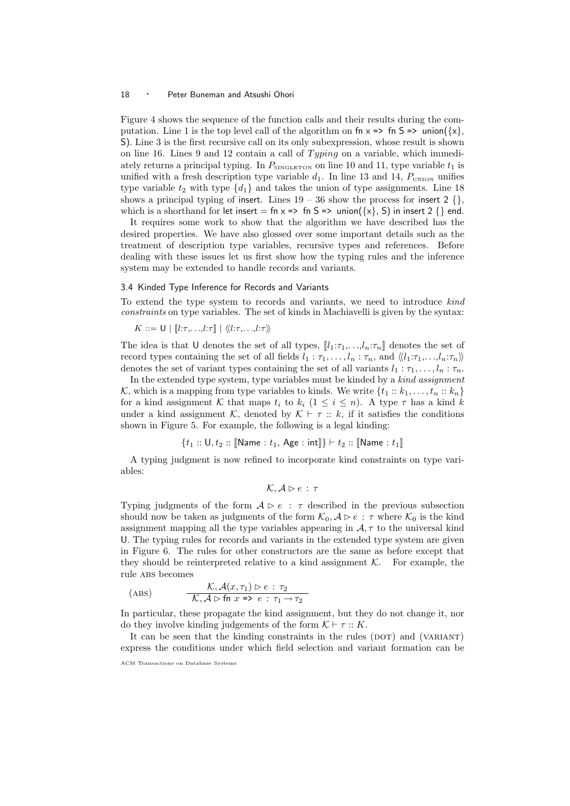Figure 4 shows the sequence of the function calls and their results during the computation. Line 1 is the top level call of the algorithm on  $f(x) = \frac{1}{\sqrt{x}}$ , S). Line 3 is the first recursive call on its only subexpression, whose result is shown on line 16. Lines 9 and 12 contain a call of  $Typing$  on a variable, which immediately returns a principal typing. In  $P_{\text{SINGLETON}}$  on line 10 and 11, type variable  $t_1$  is unified with a fresh description type variable  $d_1$ . In line 13 and 14,  $P_{\text{UNION}}$  unifies type variable  $t_2$  with type  $\{d_1\}$  and takes the union of type assignments. Line 18 shows a principal typing of insert. Lines  $19 - 36$  show the process for insert  $2 \{ \}$ , which is a shorthand for let insert = fn x => fn S => union( $\{x\}$ , S) in insert 2  $\{$  end.

It requires some work to show that the algorithm we have described has the desired properties. We have also glossed over some important details such as the treatment of description type variables, recursive types and references. Before dealing with these issues let us first show how the typing rules and the inference system may be extended to handle records and variants.

## 3.4 Kinded Type Inference for Records and Variants

To extend the type system to records and variants, we need to introduce kind constraints on type variables. The set of kinds in Machiavelli is given by the syntax:

 $K ::= \mathsf{U} \mid [l:\tau, \ldots, l:\tau] \mid \langle\langle l:\tau, \ldots, l:\tau \rangle\rangle$ 

The idea is that U denotes the set of all types,  $[[l_1:\tau_1,\ldots,l_n:\tau_n]]$  denotes the set of record types containing the set of all fields  $l_1 : \tau_1, \ldots, l_n : \tau_n$ , and  $\langle l_1 : \tau_1, \ldots, l_n : \tau_n \rangle$ denotes the set of variant types containing the set of all variants  $l_1 : \tau_1, \ldots, l_n : \tau_n$ .

In the extended type system, type variables must be kinded by a kind assignment K, which is a mapping from type variables to kinds. We write  $\{t_1 : k_1, \ldots, t_n : k_n\}$ for a kind assignment K that maps  $t_i$  to  $k_i$  ( $1 \leq i \leq n$ ). A type  $\tau$  has a kind k under a kind assignment K, denoted by  $\mathcal{K} \vdash \tau :: k$ , if it satisfies the conditions shown in Figure 5. For example, the following is a legal kinding:

$$
\{t_1::\mathsf{U},t_2::\llbracket \mathsf{Name}:t_1,\,\mathsf{Age}: \mathsf{intl}\} \}\vdash t_2::\llbracket \mathsf{Name}:t_1\rrbracket
$$

A typing judgment is now refined to incorporate kind constraints on type variables:

$$
\mathcal{K}, \mathcal{A} \rhd e : \tau
$$

Typing judgments of the form  $A \triangleright e$ :  $\tau$  described in the previous subsection should now be taken as judgments of the form  $\mathcal{K}_0$ ,  $\mathcal{A} \triangleright e : \tau$  where  $\mathcal{K}_0$  is the kind assignment mapping all the type variables appearing in  $A, \tau$  to the universal kind U. The typing rules for records and variants in the extended type system are given in Figure 6. The rules for other constructors are the same as before except that they should be reinterpreted relative to a kind assignment  $K$ . For example, the rule abs becomes

(ABS) 
$$
\frac{\mathcal{K}, \mathcal{A}(x, \tau_1) \rhd e : \tau_2}{\mathcal{K}, \mathcal{A} \rhd \text{fn } x \Rightarrow e : \tau_1 \rightarrow \tau_2}
$$

In particular, these propagate the kind assignment, but they do not change it, nor do they involve kinding judgements of the form  $\mathcal{K} \vdash \tau :: K$ .

It can be seen that the kinding constraints in the rules  $(DOT)$  and  $(VARIANT)$ express the conditions under which field selection and variant formation can be

ACM Transactions on Database Systems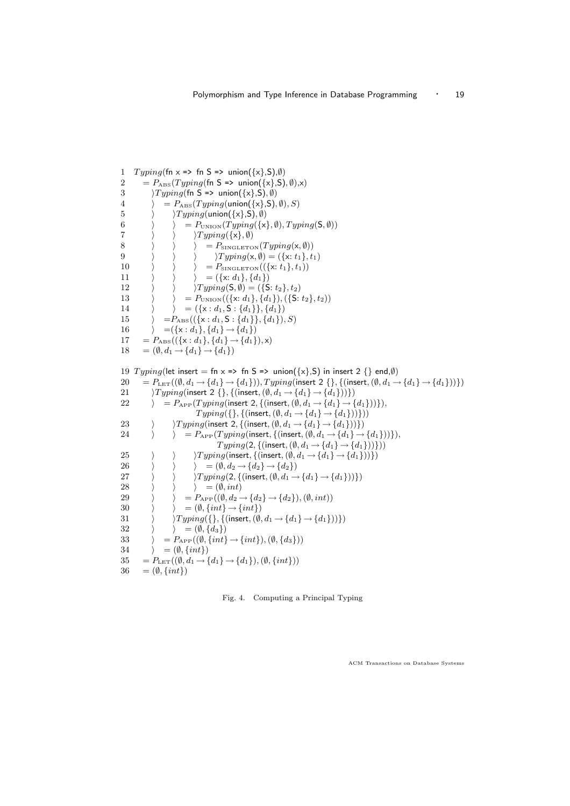$T y \text{pinq}(\text{fn} \times \text{=} \text{ in } S \text{ =} \text{ union}(\{x\}, S), \emptyset)$  $2 = P_{\text{ABS}}(Typing(\text{fn S} \Rightarrow \text{union}(\{x\}, \mathbf{S}), \emptyset), \mathbf{x})$  $\gamma$  *T typing*(fn S => union({x}, S),  $\emptyset$ ) $\{4\}$   $\}$  =  $P_{\text{ABS}}(Typing(\text{union}(\{x\},S), \emptyset), S))$  i iT yping(union({x},S), ∅)  $\longrightarrow$   $\longrightarrow$   $=$   $P_{\text{UNION}}(Typing(\{x\}, \emptyset), Typing(\mathsf{S}, \emptyset))$  i i iT yping({x}, ∅)  $\longrightarrow$   $\rangle$   $=$   $P_{\text{SINGLETON}}(Typing(\mathsf{x}, \emptyset))$  i i i iT yping(x, ∅) = ({x: t1}, t1)  $\longrightarrow$   $\longrightarrow$   $=$   $P_{\text{SINGLETON}}((\{x: t_1\}, t_1))$  $\rangle$   $\rangle$   $= ({x: d_1}, {d_1})$  i i iT yping(S, ∅) = ({S: t2}, t2)  $\rangle$  =  $P_{\text{UNION}}((\{x: d_1\}, \{d_1\}), (\{S: t_2\}, t_2))$  $\rangle$   $= ({x : d_1, S : {d_1}}, {d_1})$  $\to$  =P<sub>ABS</sub>(({x : d<sub>1</sub>, **S** : {d<sub>1</sub>}}, {d<sub>1</sub>}), *S*)  $\longrightarrow$  =({x : d<sub>1</sub>}, {d<sub>1</sub>} → {d<sub>1</sub>}) 17 =  $P_{\text{ABS}}((\{x:d_1\}, \{d_1\} \rightarrow \{d_1\}), \mathsf{x})$ <br>
18 =  $(\emptyset, d_1 \rightarrow \{d_1\} \rightarrow \{d_1\})$  $=(\emptyset, d_1 \rightarrow \{d_1\} \rightarrow \{d_1\})$  $Typing$ (let insert = fn x => fn S => union({x}, S) in insert 2 {} end, Ø) 20 =  $P_{\text{LET}}((\emptyset, d_1 \rightarrow \{d_1\}) \rightarrow \{d_1\})),$  Typing(insert 2 {}, {(insert,  $(\emptyset, d_1 \rightarrow \{d_1\})\})$ })  $\gamma$  yping(insert 2 {}, {(insert,  $(\emptyset, d_1 \rightarrow \{d_1\} \rightarrow \{d_1\})$ )})  $\Big\} = P_{\text{APP}}(Typing(\text{insert 2}, \{(\text{insert},(\emptyset,d_1 \rightarrow \{d_1\} \rightarrow \{d_1\})))\}),$  $Typing({}, {(insert, (\emptyset, d_1 \rightarrow \{d_1\} \rightarrow \{d_1\})))})$  $\rangle$   $\qquad$   $\qquad$   $\qquad$   $\qquad$   $\qquad$   $\qquad$   $\qquad$   $\qquad$   $\qquad$   $\qquad$   $\qquad$   $\qquad$   $\qquad$   $\qquad$   $\qquad$   $\qquad$   $\qquad$   $\qquad$   $\qquad$   $\qquad$   $\qquad$   $\qquad$   $\qquad$   $\qquad$   $\qquad$   $\qquad$   $\qquad$   $\qquad$   $\qquad$   $\qquad$   $\qquad$   $\qquad$   $\qquad$   $\qquad$   $\qquad$   $\q$  $\longrightarrow$   $=$   $P_{\text{APP}}(Typing(\text{insert}, \{(\text{insert},(\emptyset, d_1 \rightarrow \{d_1\} \rightarrow \{d_1\})))\}),$  $Typing(2, \{(\text{insert}, (\emptyset, d_1 \rightarrow \{d_1\} \rightarrow \{d_1\}))\}))$  $\longrightarrow$   $\longrightarrow$   $Typing(insert, {(insert, (0, d_1 \rightarrow {d_1}) \rightarrow {d_1})}))$ <br>
26  $\longrightarrow$   $\longrightarrow$   $(0, d_2 \rightarrow {d_2} \rightarrow {d_2})$  $\rightarrow$   $\rightarrow$   $\rightarrow$   $=(\emptyset, d_2 \rightarrow \{d_2\} \rightarrow \{d_2\})$ <br>27  $\rightarrow$   $\rightarrow$   $\rightarrow$   $\rightarrow$   $Twina(2, \{(\text{insert}, (\emptyset, d_1 \rightarrow$  i i iT yping(2, {(insert,(∅, d<sup>1</sup> → {d1}→ {d1}))})  $\longrightarrow$   $\downarrow$   $= (\emptyset, int)$ 29 i i  $P_{\text{APP}}((\emptyset, d_2 \rightarrow \{d_2\} \rightarrow \{d_2\}),(\emptyset, int))$  $\longrightarrow$   $\downarrow$  =  $(\emptyset, \{int\} \rightarrow \{int\})$  $\{\}$   $\gamma$   $\gamma$   $\gamma$   $\gamma$   $\gamma$   $\gamma$   $\gamma$   $\{\{\},\{\text{(insert},(\emptyset, d_1 \rightarrow \{d_1\} \rightarrow \{d_1\})\}\}\$  $\rangle$   $= (\emptyset, \{d_3\})$  ${} \qquad \rangle = P_{\text{APP}}((\emptyset, \{int\} \rightarrow \{int\}),(\emptyset, \{d_3\}))$  $\rangle = (\emptyset, \{int\})$ 35 =  $P_{\text{LET}}((\emptyset, d_1 \rightarrow \{d_1\} \rightarrow \{d_1\}), (\emptyset, \{int\})$  $36 = (\emptyset, \{int\})$ 

Fig. 4. Computing a Principal Typing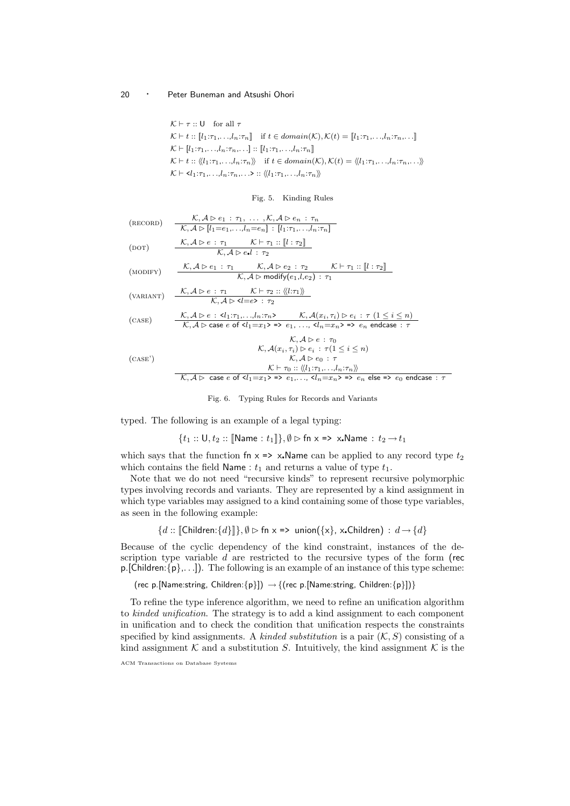$\mathcal{K} \vdash \tau :: \mathsf{U}$  for all  $\tau$  $\mathcal{K} \vdash t :: [l_1:\tau_1,\ldots,l_n:\tau_n]$  if  $t \in domain(\mathcal{K}), \mathcal{K}(t) = [l_1:\tau_1,\ldots,l_n:\tau_n,\ldots]$  $\mathcal{K} \vdash [l_1:\tau_1,\ldots,l_n:\tau_n,\ldots] :: [\![l_1:\tau_1,\ldots,l_n:\tau_n]\!]$  $\mathcal{K} \vdash t :: \langle \langle l_1:\tau_1,\ldots,\allowbreak l_n:\tau_n \rangle \rangle$  if  $t \in domain(\mathcal{K}), \mathcal{K}(t) = \langle \langle l_1:\tau_1,\ldots,\allowbreak l_n:\tau_n,\ldots \rangle \rangle$  $\mathcal{K} \vdash \langle l_1:\tau_1,\ldots,l_n:\tau_n,\ldots\rangle: \langle\langle l_1:\tau_1,\ldots,l_n:\tau_n\rangle\rangle$ 

Fig. 5. Kinding Rules

$$
\begin{array}{ll}\n\text{(RECORD)} & \frac{\mathcal{K}, \mathcal{A} \triangleright e_1 : \tau_1, \dots, \mathcal{K}, \mathcal{A} \triangleright e_n : \tau_n}{\mathcal{K}, \mathcal{A} \triangleright [l_1 = e_1, \dots, l_n = e_n] : [l_1 : \tau_1, \dots, l_n : \tau_n]} \\
\hline\n\end{array}
$$
\n
$$
\mathcal{K}, \mathcal{A} \triangleright e : \tau_1 \qquad \mathcal{K} \vdash \tau_1 : [l : \tau_2]
$$

$$
\begin{array}{lll}\n\text{(DOT)} & \frac{\mathcal{R}, \mathcal{A} \cup \mathcal{C} + \mathcal{C}_1 \mathcal{C} + \mathcal{C}_2 \mathcal{C}_1 \mathcal{C}_2}{\mathcal{K}, \mathcal{A} \triangleright e_i \mathcal{C}_i \mathcal{C}_2 \mathcal{C}_1 \mathcal{C}_2} \\
\text{(MODIFY)} & \frac{\mathcal{K}, \mathcal{A} \triangleright e_1 \mathcal{C}_1 \mathcal{C}_1 \mathcal{C}_2 \mathcal{C}_1 \mathcal{C}_2 \mathcal{C}_2 \mathcal{C}_1 \mathcal{C}_1 \mathcal{C}_1 \mathcal{C}_1 \mathcal{C}_2 \mathcal{C}_1 \mathcal{C}_2 \mathcal{C}_1 \mathcal{C}_2 \mathcal{C}_1}{\mathcal{K} \vdash \tau_1 \mathcal{C}_1 \mathcal{C}_2 \mathcal{C}_1 \mathcal{C}_2 \mathcal{C}_1 \mathcal{C}_2 \mathcal{C}_1}\n\end{array}
$$

$$
\mathcal{K}, \mathcal{A} \triangleright \text{modity}(e_1, i, e_2) : \tau_1
$$
\n
$$
\text{(VARIANT)} \quad \frac{\mathcal{K}, \mathcal{A} \triangleright e : \tau_1 \qquad \mathcal{K} \vdash \tau_2 :: \langle \langle l : \tau_1 \rangle \rangle}{\mathcal{K}, \mathcal{A} \triangleright \langle l = e \rangle : \tau_2}
$$

(CASE) 
$$
\frac{\mathcal{K}, \mathcal{A} \triangleright e : \langle l_1: \tau_1, \ldots, l_n: \tau_n \rangle}{\mathcal{K}, \mathcal{A} \triangleright \text{case } e \text{ of } \langle l_1 = x_1 \rangle \Rightarrow e_1, \ldots, \langle l_n = x_n \rangle \Rightarrow e_n \text{ endcase } : \tau}
$$

$$
\mathcal{K}, \mathcal{A} \triangleright e : \tau_0
$$
  
(CASE')  

$$
\mathcal{K}, \mathcal{A}(x_i, \tau_i) \triangleright e_i : \tau(1 \leq i \leq n)
$$
  

$$
\mathcal{K}, \mathcal{A} \triangleright e_0 : \tau
$$
  

$$
\mathcal{K} \vdash \tau_0 :: \langle\langle l_1: \tau_1, \ldots, l_n: \tau_n \rangle\rangle
$$

 $K, A \triangleright$  case e of  $\langle l_1=x_1\rangle \Rightarrow e_1, \ldots, \langle l_n=x_n\rangle \Rightarrow e_n$  else =>  $e_0$  endcase :  $\tau$ 

Fig. 6. Typing Rules for Records and Variants

typed. The following is an example of a legal typing:

$$
\{t_1::\mathsf{U},t_2::[\![\mathsf{Name}:t_1]\!]\},\emptyset\rhd\mathsf{fn}\times\mathsf{P}\mathsf{x}.\mathsf{Name}:t_2\mathsf{\rightarrow}t_1
$$

which says that the function fn  $x \Rightarrow x$ . Name can be applied to any record type  $t_2$ which contains the field Name:  $t_1$  and returns a value of type  $t_1$ .

Note that we do not need "recursive kinds" to represent recursive polymorphic types involving records and variants. They are represented by a kind assignment in which type variables may assigned to a kind containing some of those type variables, as seen in the following example:

$$
\{d::\mathbb{[}Children:\{d\}\mathbb{]} \}, \emptyset \rhd \mathsf{fn} \times \mathsf{=&} \mathsf{union}(\{x\}, x.\mathsf{Children}) : d \rightarrow \{d\}
$$

Because of the cyclic dependency of the kind constraint, instances of the description type variable d are restricted to the recursive types of the form (rec  $p.[Children:\{p\},\ldots]$ . The following is an example of an instance of this type scheme:

(rec p.[Name:string, Children: $\{p\}]$ )  $\rightarrow$  {(rec p.[Name:string, Children: $\{p\}]$ )}

To refine the type inference algorithm, we need to refine an unification algorithm to kinded unification. The strategy is to add a kind assignment to each component in unification and to check the condition that unification respects the constraints specified by kind assignments. A kinded substitution is a pair  $(K, S)$  consisting of a kind assignment  $K$  and a substitution S. Intuitively, the kind assignment  $K$  is the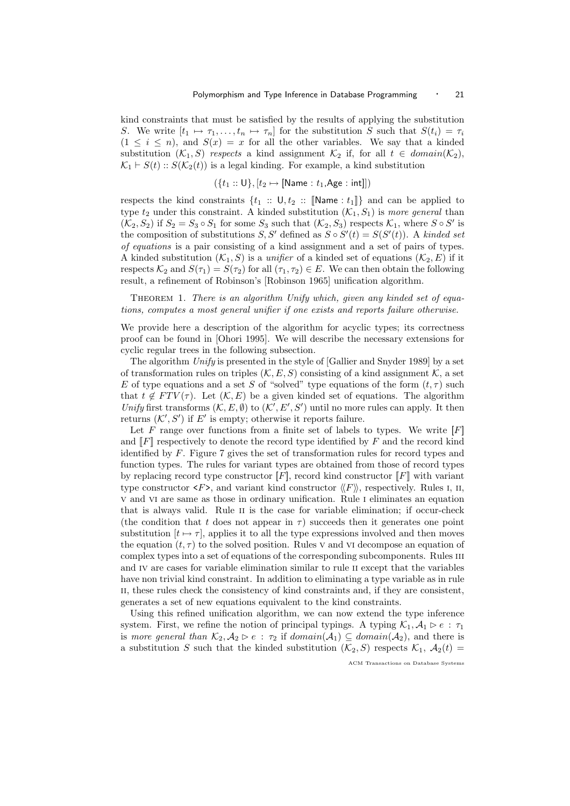kind constraints that must be satisfied by the results of applying the substitution S. We write  $[t_1 \mapsto \tau_1, \ldots, t_n \mapsto \tau_n]$  for the substitution S such that  $S(t_i) = \tau_i$  $(1 \leq i \leq n)$ , and  $S(x) = x$  for all the other variables. We say that a kinded substitution  $(K_1, S)$  respects a kind assignment  $K_2$  if, for all  $t \in domain(K_2)$ ,  $\mathcal{K}_1 \vdash S(t) :: S(\mathcal{K}_2(t))$  is a legal kinding. For example, a kind substitution

$$
(\{t_1::\mathsf{U}\},[t_2\mapsto[\mathsf{Name}:t_1,\mathsf{Age}: \mathsf{int}]])
$$

respects the kind constraints  $\{t_1 :: \mathsf{U}, t_2 :: \mathsf{[Name} : t_1\mathsf{]}\}\$  and can be applied to type  $t_2$  under this constraint. A kinded substitution  $(\mathcal{K}_1, S_1)$  is more general than  $(\mathcal{K}_2, \mathcal{S}_2)$  if  $S_2 = S_3 \circ S_1$  for some  $S_3$  such that  $(\mathcal{K}_2, S_3)$  respects  $\mathcal{K}_1$ , where  $S \circ S'$  is the composition of substitutions  $S, S'$  defined as  $S \circ S'(t) = S(S'(t))$ . A kinded set of equations is a pair consisting of a kind assignment and a set of pairs of types. A kinded substitution  $(\mathcal{K}_1, S)$  is a unifier of a kinded set of equations  $(\mathcal{K}_2, E)$  if it respects  $\mathcal{K}_2$  and  $S(\tau_1) = S(\tau_2)$  for all  $(\tau_1, \tau_2) \in E$ . We can then obtain the following result, a refinement of Robinson's [Robinson 1965] unification algorithm.

THEOREM 1. There is an algorithm Unify which, given any kinded set of equations, computes a most general unifier if one exists and reports failure otherwise.

We provide here a description of the algorithm for acyclic types; its correctness proof can be found in [Ohori 1995]. We will describe the necessary extensions for cyclic regular trees in the following subsection.

The algorithm Unify is presented in the style of [Gallier and Snyder 1989] by a set of transformation rules on triples  $(K, E, S)$  consisting of a kind assignment K, a set E of type equations and a set S of "solved" type equations of the form  $(t, \tau)$  such that  $t \notin FTV(\tau)$ . Let  $(K, E)$  be a given kinded set of equations. The algorithm Unify first transforms  $(K, E, \emptyset)$  to  $(K', E', S')$  until no more rules can apply. It then returns  $(K', S')$  if E' is empty; otherwise it reports failure.

Let F range over functions from a finite set of labels to types. We write  $[F]$ and  $\llbracket F \rrbracket$  respectively to denote the record type identified by F and the record kind identified by F. Figure 7 gives the set of transformation rules for record types and function types. The rules for variant types are obtained from those of record types by replacing record type constructor  $[F]$ , record kind constructor  $[F]$  with variant type constructor  $\langle F \rangle$ , and variant kind constructor  $\langle F \rangle$ , respectively. Rules I, II, v and vi are same as those in ordinary unification. Rule i eliminates an equation that is always valid. Rule ii is the case for variable elimination; if occur-check (the condition that t does not appear in  $\tau$ ) succeeds then it generates one point substitution  $[t \mapsto \tau]$ , applies it to all the type expressions involved and then moves the equation  $(t, \tau)$  to the solved position. Rules V and VI decompose an equation of complex types into a set of equations of the corresponding subcomponents. Rules iii and iv are cases for variable elimination similar to rule ii except that the variables have non trivial kind constraint. In addition to eliminating a type variable as in rule ii, these rules check the consistency of kind constraints and, if they are consistent, generates a set of new equations equivalent to the kind constraints.

Using this refined unification algorithm, we can now extend the type inference system. First, we refine the notion of principal typings. A typing  $\mathcal{K}_1, \mathcal{A}_1 \triangleright e : \tau_1$ is more general than  $\mathcal{K}_2, \mathcal{A}_2 \triangleright e$ :  $\tau_2$  if  $domain(\mathcal{A}_1) \subseteq domain(\mathcal{A}_2)$ , and there is a substitution S such that the kinded substitution  $(\mathcal{K}_2, S)$  respects  $\mathcal{K}_1, \mathcal{A}_2(t) =$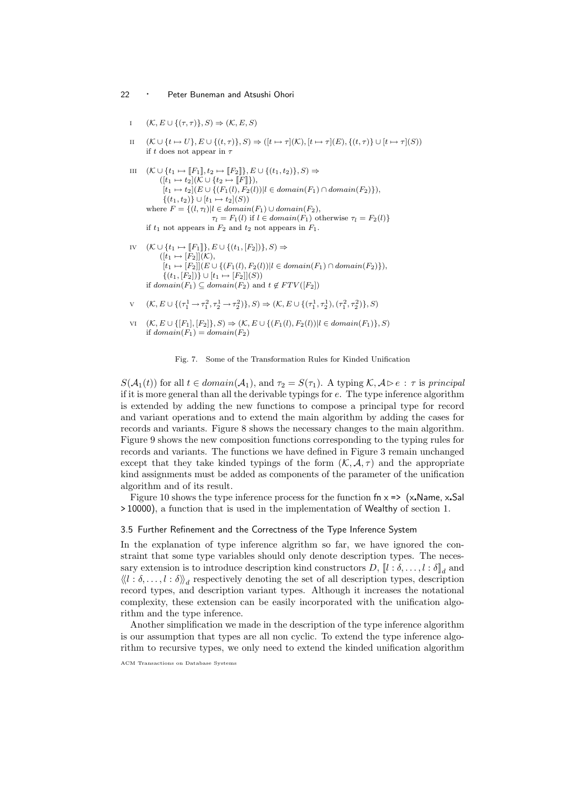$$
I \qquad (\mathcal{K}, E \cup \{(\tau, \tau)\}, S) \Rightarrow (\mathcal{K}, E, S)
$$

- ii  $(K \cup \{t \mapsto U\}, E \cup \{(t, \tau)\}, S) \Rightarrow ([t \mapsto \tau](K), [t \mapsto \tau](E), \{(t, \tau)\} \cup [t \mapsto \tau](S))$ if t does not appear in  $\tau$
- iii  $(K \cup \{t_1 \mapsto [\![F_1]\!], t_2 \mapsto [\![F_2]\!], E \cup \{(t_1, t_2)\}, S) \Rightarrow$  $([t_1 \mapsto t_2](\mathcal{K} \cup \{t_2 \mapsto \llbracket F \rrbracket \}),$  $[t_1 \mapsto t_2](E \cup \{(F_1(l), F_2(l)) | l \in domain(F_1) \cap domain(F_2)\}),$  $\{(t_1,t_2)\}\cup [t_1\mapsto t_2](S))$ where  $F = \{(l, \tau_l)|l \in domain(F_1) \cup domain(F_2),\}$  $\tau_l = F_1(l)$  if  $l \in domain(F_1)$  otherwise  $\tau_l = F_2(l)$ } if  $t_1$  not appears in  $F_2$  and  $t_2$  not appears in  $F_1$ .
- iv  $(K \cup \{t_1 \mapsto [F_1]\}, E \cup \{(t_1, [F_2])\}, S)$  ⇒  $([t_1 \mapsto [F_2]](K),$  $[t_1 \mapsto [F_2]](E \cup \{(F_1(l), F_2(l)) | l \in domain(F_1) \cap domain(F_2)\}),$  $\{(t_1, [F_2])\} \cup [t_1 \mapsto [F_2]](S))$ if  $domain(F_1) \subseteq domain(F_2)$  and  $t \notin FTV([F_2])$
- v  $(\mathcal{K}, E \cup \{(\tau_1^1 \to \tau_1^2, \tau_2^1 \to \tau_2^2)\}, S) \Rightarrow (\mathcal{K}, E \cup \{(\tau_1^1, \tau_2^1), (\tau_1^2, \tau_2^2)\}, S)$
- vi (K, E ∪ {[F<sub>1</sub>], [F<sub>2</sub>]}, S)  $\Rightarrow$  (K, E ∪ {(F<sub>1</sub>(l), F<sub>2</sub>(l))|l ∈ domain(F<sub>1</sub>)}, S) if  $domain(F_1) = domain(F_2)$

Fig. 7. Some of the Transformation Rules for Kinded Unification

 $S(\mathcal{A}_1(t))$  for all  $t \in domain(\mathcal{A}_1)$ , and  $\tau_2 = S(\tau_1)$ . A typing  $\mathcal{K}, \mathcal{A} \triangleright e : \tau$  is principal if it is more general than all the derivable typings for e. The type inference algorithm is extended by adding the new functions to compose a principal type for record and variant operations and to extend the main algorithm by adding the cases for records and variants. Figure 8 shows the necessary changes to the main algorithm. Figure 9 shows the new composition functions corresponding to the typing rules for records and variants. The functions we have defined in Figure 3 remain unchanged except that they take kinded typings of the form  $(K, \mathcal{A}, \tau)$  and the appropriate kind assignments must be added as components of the parameter of the unification algorithm and of its result.

Figure 10 shows the type inference process for the function  $fn \times \Rightarrow (x \cdot \text{Name}, x \cdot \text{Sal})$ > 10000), a function that is used in the implementation of Wealthy of section 1.

#### 3.5 Further Refinement and the Correctness of the Type Inference System

In the explanation of type inference algrithm so far, we have ignored the constraint that some type variables should only denote description types. The necessary extension is to introduce description kind constructors  $D, [l : \delta, \ldots, l : \delta]_d$  and  $\langle l : \delta, \ldots, l : \delta \rangle \rangle_d$  respectively denoting the set of all description types, description record types, and description variant types. Although it increases the notational complexity, these extension can be easily incorporated with the unification algorithm and the type inference.

Another simplification we made in the description of the type inference algorithm is our assumption that types are all non cyclic. To extend the type inference algorithm to recursive types, we only need to extend the kinded unification algorithm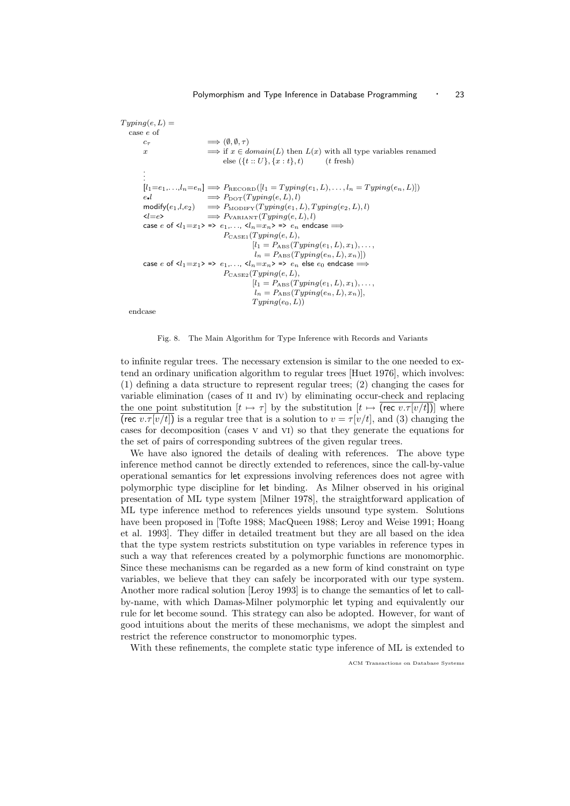$T$ *yping* $(e, L)$  = case e of  $c_{\tau} \longrightarrow (\emptyset, \emptyset, \tau)$ x  $\Rightarrow$  if  $x \in domain(L)$  then  $L(x)$  with all type variables renamed else  $({t : U}, {x : t}, t)$  (t fresh) . . .  $[l_1=e_1,\ldots,l_n=e_n] \Longrightarrow P_{\text{RECORD}}([l_1 = Typing(e_1, L),\ldots,l_n = Typing(e_n, L)])$  $e, l \longrightarrow P_{\text{DOT}}(Typing(e, L), l)$  $\text{modify}(e_1,l,e_2) \implies P_{\text{MODIFY}}(Typing(e_1,L), Typing(e_2,L), l)$  $\langle l=e \rangle \implies P_{\text{VARIANT}}(Typing(e,L), l)$ case e of  $\langle l_1=x_1\rangle \Rightarrow e_1,\ldots,\langle l_n=x_n\rangle \Rightarrow e_n$  endcase  $\Longrightarrow$  $P_{\text{CASE1}}(Typing(e, L),$  $[l_1 = P_{\text{ABS}}(Typing(e_1, L), x_1), \ldots,$  $l_n = P_{\text{ABS}}(Typing(e_n, L), x_n)])$ case e of  $\langle l_1=x_1\rangle \Rightarrow e_1,\ldots,\langle l_n=x_n\rangle \Rightarrow e_n$  else  $e_0$  endcase  $\Longrightarrow$  $P_{\text{CASE2}}(Typing(e, L)),$  $[l_1 = P_{\text{ABS}}(Typing(e_1, L), x_1), \ldots,$  $l_n = P_{\text{ABS}}(Typing(e_n, L), x_n)],$  $Typing(e_0, L))$ 

endcase

Fig. 8. The Main Algorithm for Type Inference with Records and Variants

to infinite regular trees. The necessary extension is similar to the one needed to extend an ordinary unification algorithm to regular trees [Huet 1976], which involves: (1) defining a data structure to represent regular trees; (2) changing the cases for variable elimination (cases of ii and iv) by eliminating occur-check and replacing the one point substitution  $[t \mapsto \tau]$  by the substitution  $[t \mapsto (\text{rec } v.\tau[v/t])]$  where (rec  $v.\tau[v/t]$ ) is a regular tree that is a solution to  $v = \tau[v/t]$ , and (3) changing the cases for decomposition (cases v and vi) so that they generate the equations for the set of pairs of corresponding subtrees of the given regular trees.

We have also ignored the details of dealing with references. The above type inference method cannot be directly extended to references, since the call-by-value operational semantics for let expressions involving references does not agree with polymorphic type discipline for let binding. As Milner observed in his original presentation of ML type system [Milner 1978], the straightforward application of ML type inference method to references yields unsound type system. Solutions have been proposed in [Tofte 1988; MacQueen 1988; Leroy and Weise 1991; Hoang et al. 1993]. They differ in detailed treatment but they are all based on the idea that the type system restricts substitution on type variables in reference types in such a way that references created by a polymorphic functions are monomorphic. Since these mechanisms can be regarded as a new form of kind constraint on type variables, we believe that they can safely be incorporated with our type system. Another more radical solution [Leroy 1993] is to change the semantics of let to callby-name, with which Damas-Milner polymorphic let typing and equivalently our rule for let become sound. This strategy can also be adopted. However, for want of good intuitions about the merits of these mechanisms, we adopt the simplest and restrict the reference constructor to monomorphic types.

With these refinements, the complete static type inference of ML is extended to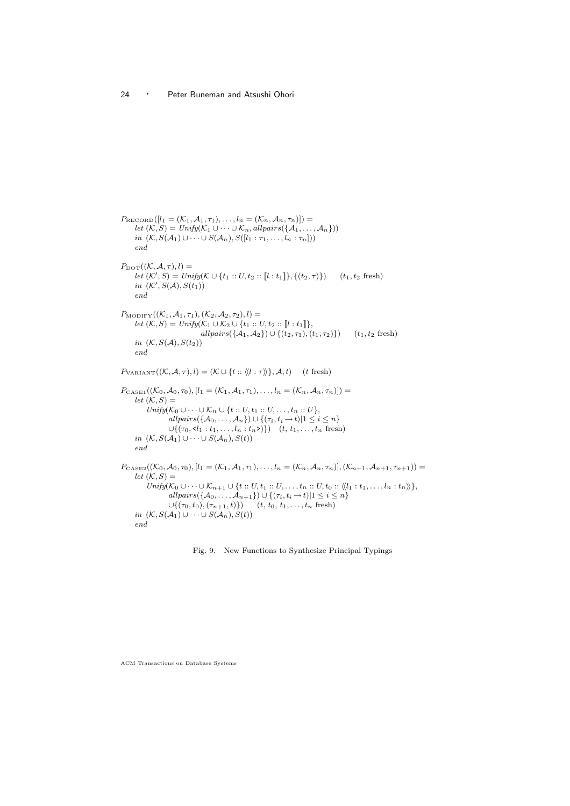```
P_{\text{RECORD}}([l_1 = (K_1, \mathcal{A}_1, \tau_1), \ldots, l_n = (K_n, \mathcal{A}_n, \tau_n)]) =let (K, S) = Unify(K_1 \cup \cdots \cup K_n, all pairs({A_1, \ldots, A_n}))in (K, S(A_1) \cup \cdots \cup S(A_n), S([l_1 : \tau_1, \ldots, l_n : \tau_n]))end
P_{\text{DOT}}((\mathcal{K}, \mathcal{A}, \tau), l) =let (K', S) = Unify(K \cup \{t_1 : : U, t_2 : : [l : t_1], \{(t_2, \tau)\}) (t_1, t_2 \text{ fresh})in (K', S(\mathcal{A}), S(t_1))end
P_{\text{MODIFY}}((\mathcal{K}_1, \mathcal{A}_1, \tau_1), (\mathcal{K}_2, \mathcal{A}_2, \tau_2), l) =let (K, S) = Unify(K_1 ∪ K_2 ∪ {t_1 :: U, t_2 :: [l : t_1]},\{alg pairs(\{A_1, A_2\}) \cup \{(t_2, \tau_1), (t_1, \tau_2)\}) (t<sub>1</sub>, t<sub>2</sub> fresh)
       in (K, S(A), S(t_2))end
P_{\text{VARIANT}}((\mathcal{K}, \mathcal{A}, \tau), l) = (\mathcal{K} \cup \{t : : \langle\!\langle l : \tau \rangle\!\rangle\}, \mathcal{A}, t) (t fresh)
P_{\text{CASE1}}((\mathcal{K}_0, \mathcal{A}_0, \tau_0), [l_1 = (\mathcal{K}_1, \mathcal{A}_1, \tau_1), \ldots, l_n = (\mathcal{K}_n, \mathcal{A}_n, \tau_n)]) =let (K, S) =Unify(K_0 \cup \cdots \cup K_n \cup \{t : : U, t_1 :: U, \ldots, t_n :: U\},all pairs({A<sub>0</sub>,...,A<sub>n</sub>}) \cup {(r<sub>i</sub>, t<sub>i</sub> → t)|1 \le i \le n}\cup\{(\tau_0, \langle l_1 : t_1, \ldots, l_n : t_n \rangle)\}\ (t, t_1, \ldots, t_n \text{ fresh})in (K, S(A_1) \cup \cdots \cup S(A_n), S(t))end
P_{\text{CASE2}}((\mathcal{K}_0, \mathcal{A}_0, \tau_0), [l_1 = (\mathcal{K}_1, \mathcal{A}_1, \tau_1), \ldots, l_n = (\mathcal{K}_n, \mathcal{A}_n, \tau_n)], (\mathcal{K}_{n+1}, \mathcal{A}_{n+1}, \tau_{n+1})) =let (K, S) =
             \mathit{Unify}(\mathcal{K}_0 \cup \cdots \cup \mathcal{K}_{n+1} \cup \{t : \mathit{U}, t_1 : \mathit{U}, \ldots, t_n : \mathit{U}, t_0 : \langle \mathit{l}_1 : t_1, \ldots, t_n : t_n \rangle \},allpairs({A_0, \ldots, A_{n+1}}) \cup {(\tau_i, t_i \rightarrow t)|1 \leq i \leq n}
                         \cup\{(\tau_0, t_0), (\tau_{n+1}, t)\}) (t, t_0, t_1, \ldots, t_n fresh)
       in (K, S(A_1) \cup \cdots \cup S(A_n), S(t))end
```
Fig. 9. New Functions to Synthesize Principal Typings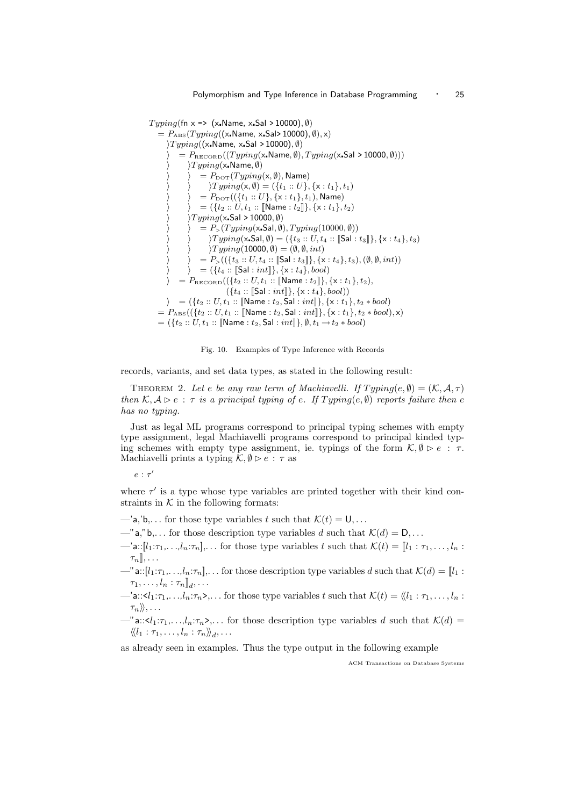$Typing(\text{fn} \times \text{=} > (x \text{Name}, x \text{.} \text{Sal} > 10000), \emptyset)$  $= P_{\text{ABS}}(Typing((\mathsf{x}.\mathsf{Name}, \mathsf{x}.\mathsf{Sal} > 10000), \emptyset), \mathsf{x})$  $\langle Typing((x,Name, x,Sal > 10000), \emptyset) \rangle$  $i = P_{\text{RECORD}}((Typing(\mathbf{x}.\mathsf{Name}, \emptyset), Typing(\mathbf{x}.\mathsf{Sal} > 10000, \emptyset)))$  $i$  if  $i$  yping(x<sub>•</sub>Name, Ø)  $i = P_{\text{DOT}}(T yping(\mathsf{x}, \emptyset), \mathsf{Name})$  $i$  i  $T yping(x, \emptyset) = (\{t_1 : U\}, \{x : t_1\}, t_1)$  $i = P_{\text{DOT}}((\{t_1 : U\}, \{x : t_1\}, t_1), \text{Name})$  $i = (\{t_2 : U, t_1 : \llbracket \mathsf{Name} : t_2 \rrbracket\}, \{\mathsf{x} : t_1\}, t_2)$  $i$  iT yping(x<sub>•</sub>Sal > 10000, Ø)  $i = P_>(Typing(x, Sal, \emptyset), Typing(10000, \emptyset))$ i i iT yping(x¦Sal, ∅) = ({t<sup>3</sup> :: U, t<sup>4</sup> :: [[Sal : t3]]}, {x : t4}, t3) i i iT yping(10000, ∅) = (∅, ∅, int)  $i) = P_>(({t_3 :: U, t_4 :: [\textsf{Sal} : t_3]}, {\mathbf{x} : t_4}, t_3),(\emptyset, \emptyset, int)))$  $\bigg\} = (\{t_4 : \| \mathsf{Sal} : int \| \}, \{x : t_4\}, bool)$  $i = P_{\text{RECORD}}((\{t_2 : : U, t_1 : : \text{[Name}: t_2\}], \{x : t_1\}, t_2),$  $({t_4::[\mathsf{Sal}:int]}\}, \{x:t_4\}, bool))$  $\} = ({t_2 :: U, t_1 :: \llbracket \text{Name} : t_2, \text{Sal} : int \rrbracket},{x : t_1}, t_2 * bool})$  $= P_{\text{ABS}}((\{t_2:: U, t_1::[\textsf{Name}: t_2, \textsf{Sal}: int]\}, \{x:t_1\}, t_2 * \textit{bool}), x)$  $= (\{t_2 : U, t_1 : \mathbb{N} \text{ = } t_2, \mathsf{Sal} : int \mathbb{N}, \emptyset, t_1 \rightarrow t_2 * bool\})$ 

Fig. 10. Examples of Type Inference with Records

records, variants, and set data types, as stated in the following result:

THEOREM 2. Let e be any raw term of Machiavelli. If  $Typing(e, \emptyset) = (K, \mathcal{A}, \tau)$ then  $\mathcal{K}, \mathcal{A} \triangleright e : \tau$  is a principal typing of e. If  $Typing(e, \emptyset)$  reports failure then e has no typing.

Just as legal ML programs correspond to principal typing schemes with empty type assignment, legal Machiavelli programs correspond to principal kinded typing schemes with empty type assignment, ie. typings of the form  $\mathcal{K}, \emptyset \triangleright e$ :  $\tau$ . Machiavelli prints a typing  $\mathcal{K}, \emptyset \triangleright e : \tau$  as

 $e:\tau'$ 

where  $\tau'$  is a type whose type variables are printed together with their kind constraints in  $K$  in the following formats:

- $-$ 'a,'b,... for those type variables t such that  $\mathcal{K}(t) = \mathsf{U}, \ldots$
- —"a,"b,... for those description type variables d such that  $\mathcal{K}(d) = D, \ldots$
- $-$ 'a:: $[l_1:\tau_1,\ldots,l_n:\tau_n],\ldots$  for those type variables t such that  $\mathcal{K}(t) = [l_1:\tau_1,\ldots,l_n:$  $\tau_n\rrbracket, \ldots$
- $-$ "a::[ $l_1:\tau_1,\ldots,l_n:\tau_n]$ ,... for those description type variables d such that  $\mathcal{K}(d) = [l_1 :$  $[\tau_1,\ldots,l_n:\tau_n]]_d,\ldots$
- $-$ 'a:: $\langle l_1:\tau_1,\ldots,l_n:\tau_n\rangle$ ,... for those type variables t such that  $\mathcal{K}(t) = \langle l_1:\tau_1,\ldots,l_n:$  $\langle \tau_n \rangle \rangle, \ldots$
- $-$ "a:: $\langle l_1:\tau_1,\ldots,l_n:\tau_n\rangle$ ,... for those description type variables d such that  $\mathcal{K}(d)$  =  $\langle\!\langle l_1:\tau_1,\ldots,l_n:\tau_n\rangle\!\rangle_d,\ldots$

as already seen in examples. Thus the type output in the following example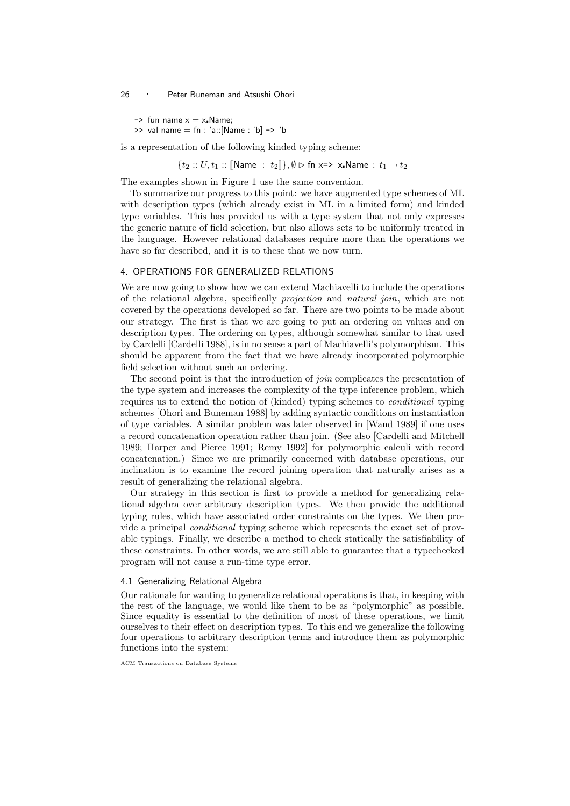$\rightarrow$  fun name  $x = x$ . Name;  $\Rightarrow$  val name = fn : 'a::[Name : 'b] -> 'b

is a representation of the following kinded typing scheme:

 ${t_2 : U, t_1 : \mathbb{N} \text{ame} : t_2 \mathbb{R}, \emptyset \rhd \text{fn x=> x} \text{Name} : t_1 \rightarrow t_2$ 

The examples shown in Figure 1 use the same convention.

To summarize our progress to this point: we have augmented type schemes of ML with description types (which already exist in ML in a limited form) and kinded type variables. This has provided us with a type system that not only expresses the generic nature of field selection, but also allows sets to be uniformly treated in the language. However relational databases require more than the operations we have so far described, and it is to these that we now turn.

# 4. OPERATIONS FOR GENERALIZED RELATIONS

We are now going to show how we can extend Machiavelli to include the operations of the relational algebra, specifically projection and natural join, which are not covered by the operations developed so far. There are two points to be made about our strategy. The first is that we are going to put an ordering on values and on description types. The ordering on types, although somewhat similar to that used by Cardelli [Cardelli 1988], is in no sense a part of Machiavelli's polymorphism. This should be apparent from the fact that we have already incorporated polymorphic field selection without such an ordering.

The second point is that the introduction of *join* complicates the presentation of the type system and increases the complexity of the type inference problem, which requires us to extend the notion of (kinded) typing schemes to conditional typing schemes [Ohori and Buneman 1988] by adding syntactic conditions on instantiation of type variables. A similar problem was later observed in [Wand 1989] if one uses a record concatenation operation rather than join. (See also [Cardelli and Mitchell 1989; Harper and Pierce 1991; Remy 1992] for polymorphic calculi with record concatenation.) Since we are primarily concerned with database operations, our inclination is to examine the record joining operation that naturally arises as a result of generalizing the relational algebra.

Our strategy in this section is first to provide a method for generalizing relational algebra over arbitrary description types. We then provide the additional typing rules, which have associated order constraints on the types. We then provide a principal conditional typing scheme which represents the exact set of provable typings. Finally, we describe a method to check statically the satisfiability of these constraints. In other words, we are still able to guarantee that a typechecked program will not cause a run-time type error.

#### 4.1 Generalizing Relational Algebra

Our rationale for wanting to generalize relational operations is that, in keeping with the rest of the language, we would like them to be as "polymorphic" as possible. Since equality is essential to the definition of most of these operations, we limit ourselves to their effect on description types. To this end we generalize the following four operations to arbitrary description terms and introduce them as polymorphic functions into the system: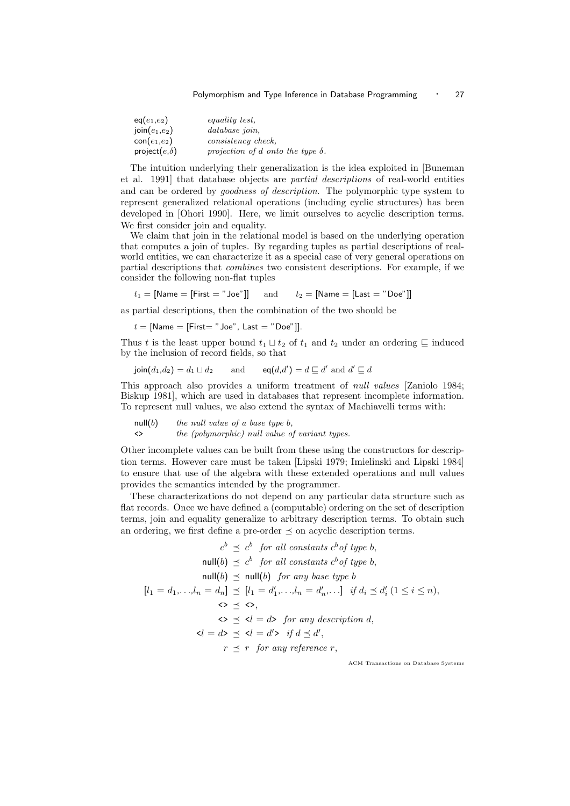| $eq(e_1,e_2)$        | equality test,                           |
|----------------------|------------------------------------------|
| join $(e_1,e_2)$     | database join,                           |
| $con(e_1,e_2)$       | consistency check.                       |
| project $(e,\delta)$ | projection of d onto the type $\delta$ . |

The intuition underlying their generalization is the idea exploited in [Buneman et al. 1991] that database objects are partial descriptions of real-world entities and can be ordered by *goodness of description*. The polymorphic type system to represent generalized relational operations (including cyclic structures) has been developed in [Ohori 1990]. Here, we limit ourselves to acyclic description terms. We first consider join and equality.

We claim that join in the relational model is based on the underlying operation that computes a join of tuples. By regarding tuples as partial descriptions of realworld entities, we can characterize it as a special case of very general operations on partial descriptions that combines two consistent descriptions. For example, if we consider the following non-flat tuples

 $t_1 =$  [Name = [First = "Joe"]] and  $t_2 =$  [Name = [Last = "Doe"]]

as partial descriptions, then the combination of the two should be

 $t =$  [Name  $=$  [First= "Joe", Last  $=$  "Doe"]].

Thus t is the least upper bound  $t_1 \sqcup t_2$  of  $t_1$  and  $t_2$  under an ordering  $\sqsubseteq$  induced by the inclusion of record fields, so that

 $\text{join}(d_1, d_2) = d_1 \sqcup d_2$  and  $d' \sqsubseteq d'$  and  $d' \sqsubseteq d$ 

This approach also provides a uniform treatment of null values [Zaniolo 1984; Biskup 1981], which are used in databases that represent incomplete information. To represent null values, we also extend the syntax of Machiavelli terms with:

null(b) the null value of a base type  $b$ , <> the (polymorphic) null value of variant types.

Other incomplete values can be built from these using the constructors for description terms. However care must be taken [Lipski 1979; Imielinski and Lipski 1984] to ensure that use of the algebra with these extended operations and null values provides the semantics intended by the programmer.

These characterizations do not depend on any particular data structure such as flat records. Once we have defined a (computable) ordering on the set of description terms, join and equality generalize to arbitrary description terms. To obtain such an ordering, we first define a pre-order  $\prec$  on acyclic description terms.

$$
c^{b} \preceq c^{b} \text{ for all constants } c^{b} \text{ of type } b,
$$
  
\n
$$
\text{null}(b) \preceq c^{b} \text{ for all constants } c^{b} \text{ of type } b,
$$
  
\n
$$
\text{null}(b) \preceq \text{null}(b) \text{ for any base type } b
$$
  
\n
$$
[l_{1} = d_{1}, \ldots, l_{n} = d_{n}] \preceq [l_{1} = d'_{1}, \ldots, l_{n} = d'_{n}, \ldots] \text{ if } d_{i} \preceq d'_{i} \text{ (}1 \leq i \leq n \text{),}
$$
  
\n
$$
\Leftrightarrow \leq \Leftrightarrow,
$$
  
\n
$$
\Leftrightarrow \leq \langle l \rangle = d > \text{ for any description } d,
$$
  
\n
$$
\Leftrightarrow \leq \langle l \rangle = d' > \text{ if } d \preceq d',
$$
  
\n
$$
r \preceq r \text{ for any reference } r,
$$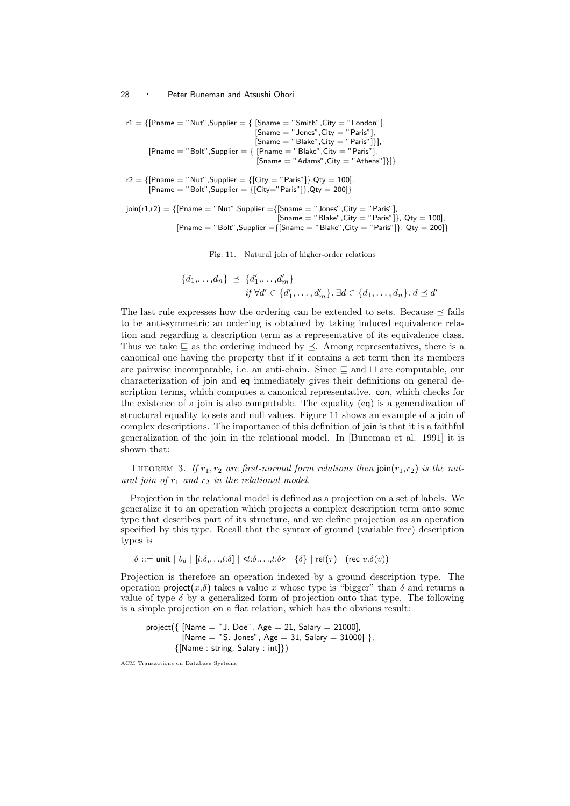$r1 = \{$  [Pname  $=$  "Nut" , Supplier  $= \{$  [Sname  $=$  "Smith" , City  $=$  "London"],  $[Same = "Jones", City = "Paris"].$  $[Same = "Black", City = "Paris"]\},\$  $[ \mathsf{Pname} = " \mathsf{Bolt",}\mathsf{Supplier} = \{ \ [\mathsf{Pname} = " \mathsf{Blake",}\mathsf{City} = " \mathsf{Paris} ' ] ,$  $[Same = "Adams", City = "Athens"]$  $r2 = \{[Pname = "Nut", \text{Supplier} = \{[City = "Paris"]\}, Qty = 100]\}$  $[Pname = "Bolt", Supplementary:20]$   ${[City="Paris"]}, Qty = 200]$ 

 $\phi$ join(r1,r2) = {[Pname = "Nut", Supplier = {[Sname = "Jones", City = "Paris"],  $\text{[Same} = \text{"Blue", City = \text{"Paris"}\text{]}, \text{ Qty} = 100\text{]},$  $[$ Pname = "Bolt", Supplier = $\{$ [Sname = "Blake", City = "Paris" $]$ }, Qty = 200] $\}$ 

Fig. 11. Natural join of higher-order relations

$$
\{d_1, \ldots, d_n\} \preceq \{d'_1, \ldots, d'_m\} if \forall d' \in \{d'_1, \ldots, d'_m\}. \exists d \in \{d_1, \ldots, d_n\}. d \preceq d'
$$

The last rule expresses how the ordering can be extended to sets. Because  $\prec$  fails to be anti-symmetric an ordering is obtained by taking induced equivalence relation and regarding a description term as a representative of its equivalence class. Thus we take  $\sqsubset$  as the ordering induced by  $\prec$ . Among representatives, there is a canonical one having the property that if it contains a set term then its members are pairwise incomparable, i.e. an anti-chain. Since  $\sqsubseteq$  and  $\sqcup$  are computable, our characterization of join and eq immediately gives their definitions on general description terms, which computes a canonical representative. con, which checks for the existence of a join is also computable. The equality (eq) is a generalization of structural equality to sets and null values. Figure 11 shows an example of a join of complex descriptions. The importance of this definition of join is that it is a faithful generalization of the join in the relational model. In [Buneman et al. 1991] it is shown that:

THEOREM 3. If  $r_1, r_2$  are first-normal form relations then join( $r_1, r_2$ ) is the natural join of  $r_1$  and  $r_2$  in the relational model.

Projection in the relational model is defined as a projection on a set of labels. We generalize it to an operation which projects a complex description term onto some type that describes part of its structure, and we define projection as an operation specified by this type. Recall that the syntax of ground (variable free) description types is

 $\delta ::=$  unit  $| b_d | [l:\delta, \ldots, l:\delta] | < l:\delta, \ldots, l:\delta > | \{\delta\} |$  ref(τ)  $|$  (rec  $v.\delta(v)$ )

Projection is therefore an operation indexed by a ground description type. The operation project( $x, \delta$ ) takes a value x whose type is "bigger" than  $\delta$  and returns a value of type  $\delta$  by a generalized form of projection onto that type. The following is a simple projection on a flat relation, which has the obvious result:

project( $\{$  [Name = "J. Doe", Age = 21, Salary = 21000],  $[Name = "S. Jones", \bar{Age} = 31, \bar{Salary} = 31000]$ {[Name : string, Salary : int]})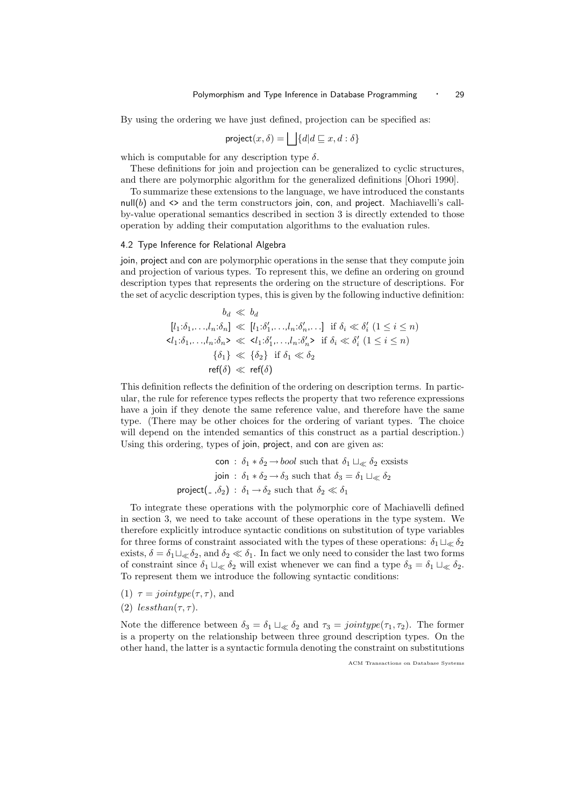By using the ordering we have just defined, projection can be specified as:

$$
\text{project}(x,\delta) = \bigsqcup \{d | d \sqsubseteq x, d : \delta\}
$$

which is computable for any description type  $\delta$ .

These definitions for join and projection can be generalized to cyclic structures, and there are polymorphic algorithm for the generalized definitions [Ohori 1990].

To summarize these extensions to the language, we have introduced the constants null(b) and  $\leftrightarrow$  and the term constructors join, con, and project. Machiavelli's callby-value operational semantics described in section 3 is directly extended to those operation by adding their computation algorithms to the evaluation rules.

# 4.2 Type Inference for Relational Algebra

join, project and con are polymorphic operations in the sense that they compute join and projection of various types. To represent this, we define an ordering on ground description types that represents the ordering on the structure of descriptions. For the set of acyclic description types, this is given by the following inductive definition:

$$
b_d \ll b_d
$$
  
\n
$$
[l_1:\delta_1,\ldots,l_n:\delta_n] \ll [l_1:\delta'_1,\ldots,l_n:\delta'_n,\ldots]
$$
 if  $\delta_i \ll \delta'_i$   $(1 \le i \le n)$   
\n $\ll \langle l_1:\delta'_1,\ldots,l_n:\delta'_n\rangle$  if  $\delta_i \ll \delta'_i$   $(1 \le i \le n)$   
\n $\{\delta_1\} \ll \{\delta_2\}$  if  $\delta_1 \ll \delta_2$   
\nref( $\delta$ )  $\ll$  ref( $\delta$ )

This definition reflects the definition of the ordering on description terms. In particular, the rule for reference types reflects the property that two reference expressions have a join if they denote the same reference value, and therefore have the same type. (There may be other choices for the ordering of variant types. The choice will depend on the intended semantics of this construct as a partial description.) Using this ordering, types of join, project, and con are given as:

$$
\text{con}: \delta_1 * \delta_2 \to \text{bool} \text{ such that } \delta_1 \sqcup_{\ll} \delta_2 \text{ exists}
$$
\n
$$
\text{join}: \delta_1 * \delta_2 \to \delta_3 \text{ such that } \delta_3 = \delta_1 \sqcup_{\ll} \delta_2
$$
\n
$$
\text{project}(\Box, \delta_2): \delta_1 \to \delta_2 \text{ such that } \delta_2 \ll \delta_1
$$

To integrate these operations with the polymorphic core of Machiavelli defined in section 3, we need to take account of these operations in the type system. We therefore explicitly introduce syntactic conditions on substitution of type variables for three forms of constraint associated with the types of these operations:  $\delta_1 \sqcup_{\ll} \delta_2$ exists,  $\delta = \delta_1 \sqcup_{\ll} \delta_2$ , and  $\delta_2 \ll \delta_1$ . In fact we only need to consider the last two forms of constraint since  $\delta_1 \sqcup_{\ll} \delta_2$  will exist whenever we can find a type  $\delta_3 = \delta_1 \sqcup_{\ll} \delta_2$ . To represent them we introduce the following syntactic conditions:

- (1)  $\tau = jointype(\tau, \tau)$ , and
- (2)  $less than(\tau, \tau)$ .

Note the difference between  $\delta_3 = \delta_1 \sqcup_{\ll} \delta_2$  and  $\tau_3 = joint type(\tau_1, \tau_2)$ . The former is a property on the relationship between three ground description types. On the other hand, the latter is a syntactic formula denoting the constraint on substitutions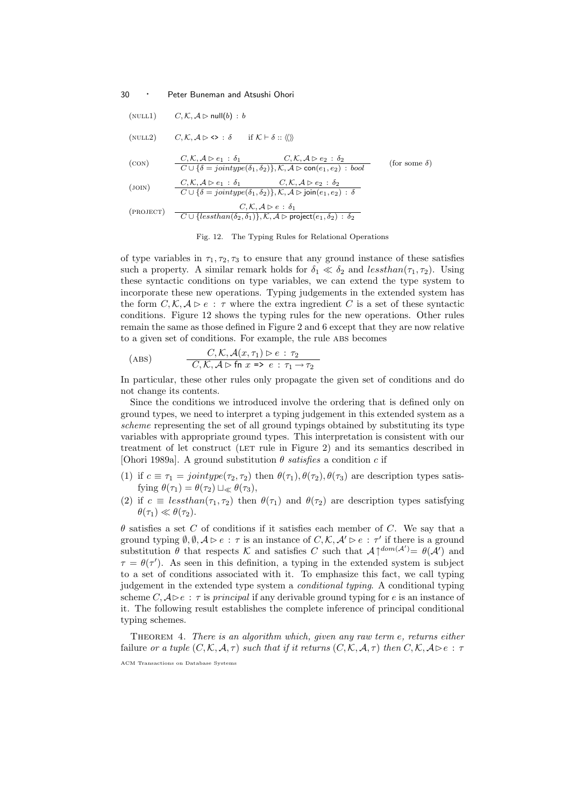$$
\text{(NULL1)} \qquad C, \mathcal{K}, \mathcal{A} \rhd \mathsf{null}(b) : b
$$

(NULL2)  $C, \mathcal{K}, \mathcal{A} \triangleright \diamondsuit : \delta$  if  $\mathcal{K} \vdash \delta :: \langle \langle \rangle \rangle$ 

$$
\text{(CON)} \qquad \qquad \frac{C, \mathcal{K}, \mathcal{A} \rhd e_1 : \delta_1 \qquad \qquad C, \mathcal{K}, \mathcal{A} \rhd e_2 : \delta_2}{C \cup \{\delta = jointype(\delta_1, \delta_2)\}, \mathcal{K}, \mathcal{A} \rhd \text{con}(e_1, e_2) : \text{bool}} \qquad \text{(for some } \delta\text{)}
$$

$$
\text{(J0IN)} \qquad \frac{C, \mathcal{K}, \mathcal{A} \rhd e_1 : \delta_1 \qquad C, \mathcal{K}, \mathcal{A} \rhd e_2 : \delta_2}{C \cup \{\delta = \text{jointype}(\delta_1, \delta_2)\}, \mathcal{K}, \mathcal{A} \rhd \text{join}(e_1, e_2) : \delta}
$$

$$
\text{(PROJECT)} \quad \frac{C, K, A \triangleright e : \delta_1}{C \cup \{ \text{less} \text{than}(\delta_2, \delta_1) \}, K, A \triangleright \text{project}(e_1, \delta_2) : \delta_2}
$$

Fig. 12. The Typing Rules for Relational Operations

of type variables in  $\tau_1, \tau_2, \tau_3$  to ensure that any ground instance of these satisfies such a property. A similar remark holds for  $\delta_1 \ll \delta_2$  and  $less than(\tau_1, \tau_2)$ . Using these syntactic conditions on type variables, we can extend the type system to incorporate these new operations. Typing judgements in the extended system has the form  $C, \mathcal{K}, \mathcal{A} \triangleright e : \tau$  where the extra ingredient C is a set of these syntactic conditions. Figure 12 shows the typing rules for the new operations. Other rules remain the same as those defined in Figure 2 and 6 except that they are now relative to a given set of conditions. For example, the rule ABS becomes

(ABS) 
$$
\frac{C, K, \mathcal{A}(x, \tau_1) \rhd e : \tau_2}{C, K, \mathcal{A} \rhd \text{fn } x \Rightarrow e : \tau_1 \rightarrow \tau_2}
$$

In particular, these other rules only propagate the given set of conditions and do not change its contents.

Since the conditions we introduced involve the ordering that is defined only on ground types, we need to interpret a typing judgement in this extended system as a scheme representing the set of all ground typings obtained by substituting its type variables with appropriate ground types. This interpretation is consistent with our treatment of let construct (LET rule in Figure 2) and its semantics described in [Ohori 1989a]. A ground substitution  $\theta$  satisfies a condition c if

- (1) if  $c \equiv \tau_1 = jointype(\tau_2, \tau_2)$  then  $\theta(\tau_1), \theta(\tau_2), \theta(\tau_3)$  are description types satisfying  $\theta(\tau_1) = \theta(\tau_2) \sqcup_{\ll} \theta(\tau_3)$ ,
- (2) if  $c \equiv \text{less} \text{than}(\tau_1, \tau_2)$  then  $\theta(\tau_1)$  and  $\theta(\tau_2)$  are description types satisfying  $\theta(\tau_1) \ll \theta(\tau_2)$ .

 $\theta$  satisfies a set C of conditions if it satisfies each member of C. We say that a ground typing  $\emptyset, \emptyset, A \triangleright e : \tau$  is an instance of  $C, \mathcal{K}, A' \triangleright e : \tau'$  if there is a ground substitution  $\hat{\theta}$  that respects K and satisfies C such that  $\mathcal{A} \uparrow^{dom(\mathcal{A}')} = \theta(\mathcal{A}')$  and  $\tau = \theta(\tau')$ . As seen in this definition, a typing in the extended system is subject to a set of conditions associated with it. To emphasize this fact, we call typing judgement in the extended type system a conditional typing. A conditional typing scheme  $C, \mathcal{A} \triangleright e : \tau$  is principal if any derivable ground typing for e is an instance of it. The following result establishes the complete inference of principal conditional typing schemes.

Theorem 4. There is an algorithm which, given any raw term e, returns either failure or a tuple  $(C, \mathcal{K}, \mathcal{A}, \tau)$  such that if it returns  $(C, \mathcal{K}, \mathcal{A}, \tau)$  then  $C, \mathcal{K}, \mathcal{A} \triangleright e : \tau$ 

ACM Transactions on Database Systems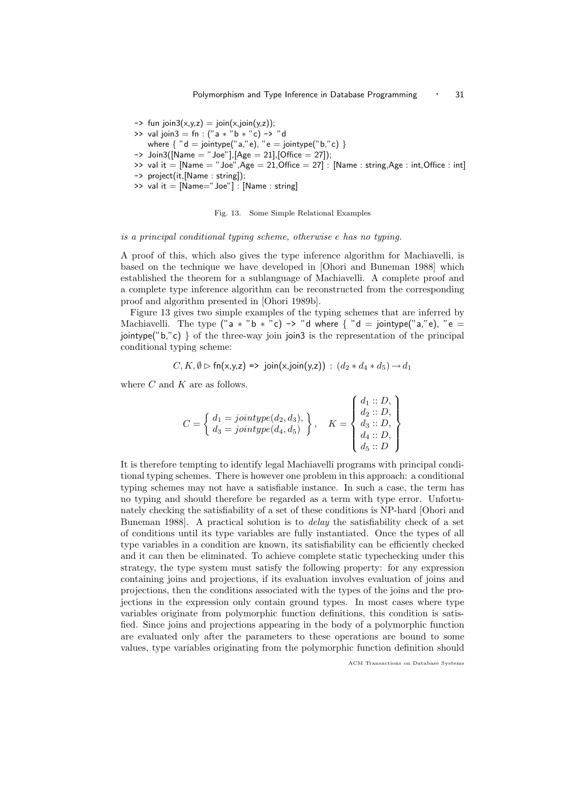$\Rightarrow$  fun join3(x,y,z) = join(x,join(y,z)); >> val join3 = fn : ("a \* "b \* "c) -> "d where  $\{$  "d = jointype("a,"e), "e = jointype("b,"c) }  $\rightarrow$  Join3([Name = "Joe"], [Age = 21], [Office = 27]); >> val it  $=$  [Name  $=$  "Joe", Age  $=$  21, Office  $=$  27] : [Name : string, Age : int, Office : int] -> project(it,[Name : string]);  $\Rightarrow$  val it = [Name="Joe"] : [Name : string]

# Fig. 13. Some Simple Relational Examples

#### is a principal conditional typing scheme, otherwise e has no typing.

A proof of this, which also gives the type inference algorithm for Machiavelli, is based on the technique we have developed in [Ohori and Buneman 1988] which established the theorem for a sublanguage of Machiavelli. A complete proof and a complete type inference algorithm can be reconstructed from the corresponding proof and algorithm presented in [Ohori 1989b].

Figure 13 gives two simple examples of the typing schemes that are inferred by Machiavelli. The type ("a \* "b \* "c) -> "d where { "d = jointype("a,"e), "e = jointype( $b''$ ,"c) } of the three-way join join3 is the representation of the principal conditional typing scheme:

$$
C, K, \emptyset \rhd \mathsf{fn}(x, y, z) \Rightarrow \mathsf{join}(x, \mathsf{join}(y, z)) : (d_2 * d_4 * d_5) \rightarrow d_1
$$

 $\overline{a}$ 

 $\ddot{\phantom{a}}$ 

where  $C$  and  $K$  are as follows.

$$
C = \left\{ \begin{array}{l} d_1 = jointype(d_2, d_3), \\ d_3 = jointype(d_4, d_5) \end{array} \right\}, \quad K = \left\{ \begin{array}{l} d_1 :: D, \\ d_2 :: D, \\ d_3 :: D, \\ d_4 :: D, \\ d_5 :: D \end{array} \right\}
$$

It is therefore tempting to identify legal Machiavelli programs with principal conditional typing schemes. There is however one problem in this approach: a conditional typing schemes may not have a satisfiable instance. In such a case, the term has no typing and should therefore be regarded as a term with type error. Unfortunately checking the satisfiability of a set of these conditions is NP-hard [Ohori and Buneman 1988]. A practical solution is to delay the satisfiability check of a set of conditions until its type variables are fully instantiated. Once the types of all type variables in a condition are known, its satisfiability can be efficiently checked and it can then be eliminated. To achieve complete static typechecking under this strategy, the type system must satisfy the following property: for any expression containing joins and projections, if its evaluation involves evaluation of joins and projections, then the conditions associated with the types of the joins and the projections in the expression only contain ground types. In most cases where type variables originate from polymorphic function definitions, this condition is satisfied. Since joins and projections appearing in the body of a polymorphic function are evaluated only after the parameters to these operations are bound to some values, type variables originating from the polymorphic function definition should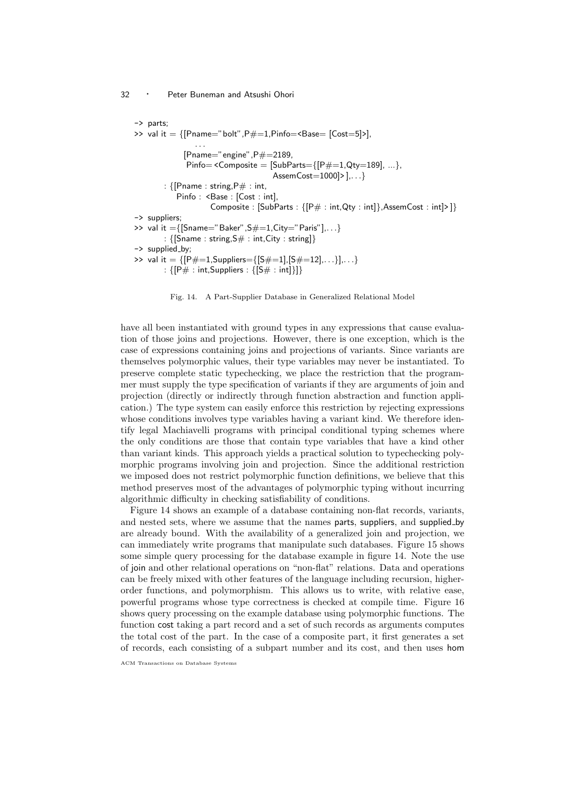```
-> parts;
>> val it = \{[Pname="bolt", P#=1, Pinfo=<Base=[Cost=5] \rangle\},
                   . . .
                [Pname="engine",P#=2189Pinfo= < Composite = [SubParts=\{[P\#=1,Qty=189], \ldots\},AssemCost=1000]> ],. . .}
         : \{[\text{Pname}: \text{string}, \text{P#}: \text{int}]Pinfo : <Base : [Cost : int],
                        Composite : [SubParts : {[P# : int,Qty : int]},AssemCost : int]> ]}
-> suppliers;
>> val it ={[Sname="Baker", S#=1, City="Paris"],...}
         : \{[\text{Same}: \text{string}, S\# : \text{int}, \text{City}: \text{string}]\}\rightarrow supplied by;
>> val it = \{ [P#=1, \text{Suppliers} = \{ [S#=1], [S#=12], \ldots \} ], \ldots \}: \{ [P# : int, \text{Suppliers} : \{ [S# : int] \}] \}
```
Fig. 14. A Part-Supplier Database in Generalized Relational Model

have all been instantiated with ground types in any expressions that cause evaluation of those joins and projections. However, there is one exception, which is the case of expressions containing joins and projections of variants. Since variants are themselves polymorphic values, their type variables may never be instantiated. To preserve complete static typechecking, we place the restriction that the programmer must supply the type specification of variants if they are arguments of join and projection (directly or indirectly through function abstraction and function application.) The type system can easily enforce this restriction by rejecting expressions whose conditions involves type variables having a variant kind. We therefore identify legal Machiavelli programs with principal conditional typing schemes where the only conditions are those that contain type variables that have a kind other than variant kinds. This approach yields a practical solution to typechecking polymorphic programs involving join and projection. Since the additional restriction we imposed does not restrict polymorphic function definitions, we believe that this method preserves most of the advantages of polymorphic typing without incurring algorithmic difficulty in checking satisfiability of conditions.

Figure 14 shows an example of a database containing non-flat records, variants, and nested sets, where we assume that the names parts, suppliers, and supplied by are already bound. With the availability of a generalized join and projection, we can immediately write programs that manipulate such databases. Figure 15 shows some simple query processing for the database example in figure 14. Note the use of join and other relational operations on "non-flat" relations. Data and operations can be freely mixed with other features of the language including recursion, higherorder functions, and polymorphism. This allows us to write, with relative ease, powerful programs whose type correctness is checked at compile time. Figure 16 shows query processing on the example database using polymorphic functions. The function cost taking a part record and a set of such records as arguments computes the total cost of the part. In the case of a composite part, it first generates a set of records, each consisting of a subpart number and its cost, and then uses hom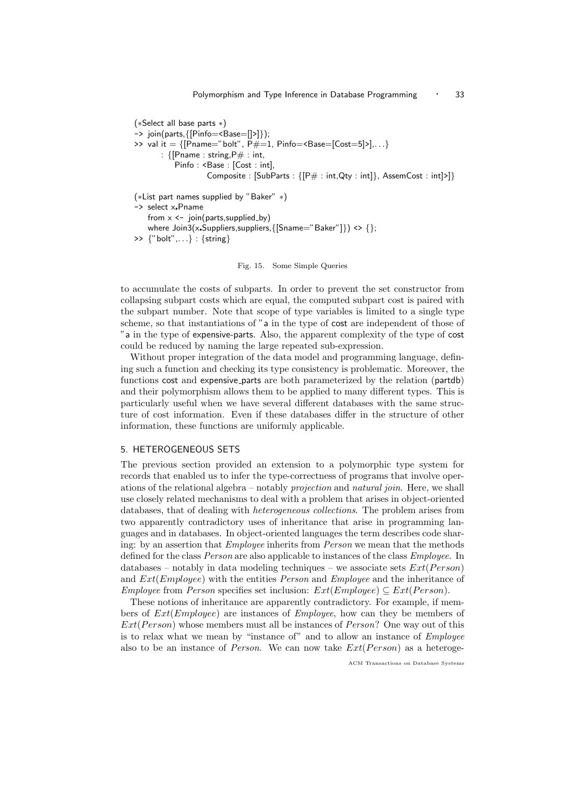(∗Select all base parts ∗) -> join(parts,{[Pinfo=<Base=[]>]}); >> val it =  $\{[\text{Pname} = 'bold", P\# = 1, \text{Pinfo} = \text{Base} = [\text{Cost} = 5]\}$ , ... :  $\{$  [Pname : string, P $#$  : int, Pinfo: <Base: [Cost: int], Composite : [SubParts : {[P# : int,Qty : int]}, AssemCost : int]>]} (∗List part names supplied by "Baker" ∗) -> select x¦Pname from  $x \leftarrow \text{join}(\text{parts}, \text{supplied}_b)$ where  $Join3(x,Suppliers, supplies5, \{[Shame="Baker']\}) \Leftrightarrow \{\};$ 

 $\gg$  {"bolt",...} : {string}

Fig. 15. Some Simple Queries

to accumulate the costs of subparts. In order to prevent the set constructor from collapsing subpart costs which are equal, the computed subpart cost is paired with the subpart number. Note that scope of type variables is limited to a single type scheme, so that instantiations of "a in the type of cost are independent of those of "a in the type of expensive-parts. Also, the apparent complexity of the type of cost could be reduced by naming the large repeated sub-expression.

Without proper integration of the data model and programming language, defining such a function and checking its type consistency is problematic. Moreover, the functions cost and expensive parts are both parameterized by the relation (partdb) and their polymorphism allows them to be applied to many different types. This is particularly useful when we have several different databases with the same structure of cost information. Even if these databases differ in the structure of other information, these functions are uniformly applicable.

## 5. HETEROGENEOUS SETS

The previous section provided an extension to a polymorphic type system for records that enabled us to infer the type-correctness of programs that involve operations of the relational algebra – notably projection and natural join. Here, we shall use closely related mechanisms to deal with a problem that arises in object-oriented databases, that of dealing with *heterogeneous collections*. The problem arises from two apparently contradictory uses of inheritance that arise in programming languages and in databases. In object-oriented languages the term describes code sharing: by an assertion that Employee inherits from Person we mean that the methods defined for the class Person are also applicable to instances of the class Employee. In databases – notably in data modeling techniques – we associate sets  $Ext(Person)$ and  $Ext(Employee)$  with the entities *Person* and *Employee* and the inheritance of Employee from Person specifies set inclusion:  $Ext(Employee) \subseteq Ext(Person)$ .

These notions of inheritance are apparently contradictory. For example, if members of Ext(Employee) are instances of Employee, how can they be members of  $Ext(Person)$  whose members must all be instances of  $Person$ ? One way out of this is to relax what we mean by "instance of" and to allow an instance of Employee also to be an instance of Person. We can now take  $Ext(Person)$  as a heteroge-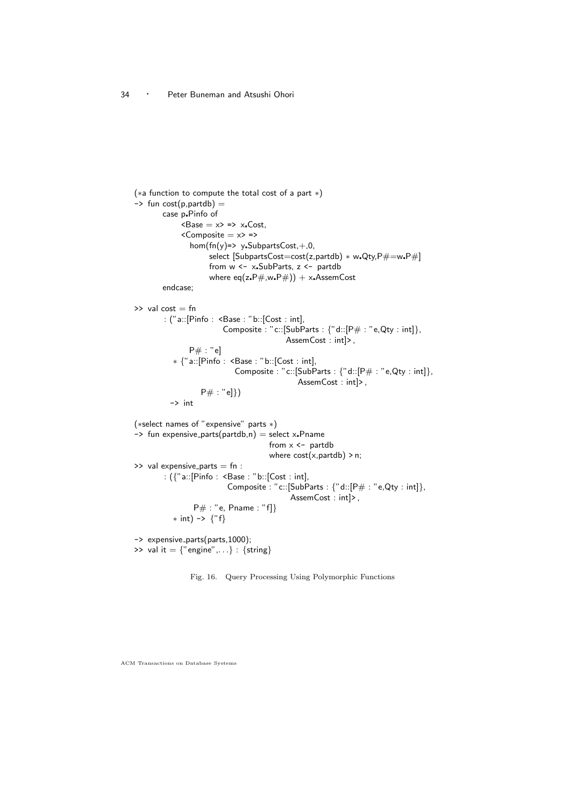```
(∗a function to compute the total cost of a part ∗)
\rightarrow fun cost(p, partdb) =
        case p<sup>Dinfo</sup> of
             \epsilonBase = x> => x.Cost,
             <Composite = x> =>
                hom(fn(y)=> y \cdot SubpartsCost,+,0,select [SubpartsCost=cost(z,partdb) * w.Qty, P#=w.P#]from w \leftarrow xSubParts, z \leftarrow partdb
                     where eq(z.P\#,w.P\#)) + x.AssemCost
        endcase;
\gg val cost = fn
        : ("a::[Pinfo : <Base : "b::[Cost : int],
                         Composite : "c::[SubParts : \{"d::[P# : "e,Qty : int]},
                                           AssemCost : int]> ,
               P# : "e]
           ∗ {"a::[Pinfo : <Base : "b::[Cost : int],
                            Composite : "c::[SubParts : \{"d::[P# : "e,Qty : int]},
                                              AssemCost : int]> ,
                  P# : "e]-> int
(∗select names of "expensive" parts ∗)
\rightarrow fun expensive_parts(partdb,n) = select x.Pname
                                      from x \leftarrow partdb
                                      where cost(x,partdb) > n;
\gg val expensive_parts = fn :
        : ({"a::[Pinfo : <Base : "b::[Cost : int],
                          Composite : "c::[SubParts : \{"d::[P\# : "e,Qty : int]},
                                            AssemCost : int]> ,
                 P# : "e, Pname : "f]}
           * int) -> \{''f\}-> expensive_parts(parts,1000);
>> val it = \{"engine",...} : \{string\}
```
Fig. 16. Query Processing Using Polymorphic Functions

ACM Transactions on Database Systems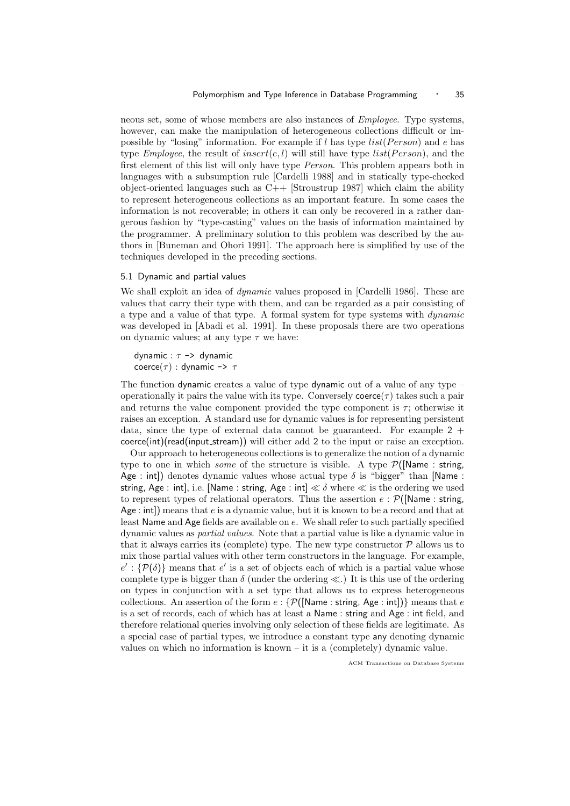neous set, some of whose members are also instances of Employee. Type systems, however, can make the manipulation of heterogeneous collections difficult or impossible by "losing" information. For example if l has type  $list(Person)$  and e has type Employee, the result of insert $(e, l)$  will still have type  $list(Person)$ , and the first element of this list will only have type Person. This problem appears both in languages with a subsumption rule [Cardelli 1988] and in statically type-checked object-oriented languages such as  $C++$  [Stroustrup 1987] which claim the ability to represent heterogeneous collections as an important feature. In some cases the information is not recoverable; in others it can only be recovered in a rather dangerous fashion by "type-casting" values on the basis of information maintained by the programmer. A preliminary solution to this problem was described by the authors in [Buneman and Ohori 1991]. The approach here is simplified by use of the techniques developed in the preceding sections.

# 5.1 Dynamic and partial values

We shall exploit an idea of *dynamic* values proposed in [Cardelli 1986]. These are values that carry their type with them, and can be regarded as a pair consisting of a type and a value of that type. A formal system for type systems with dynamic was developed in [Abadi et al. 1991]. In these proposals there are two operations on dynamic values; at any type  $\tau$  we have:

dynamic :  $\tau \rightarrow$  dynamic coerce( $\tau$ ) : dynamic ->  $\tau$ 

The function dynamic creates a value of type dynamic out of a value of any type – operationally it pairs the value with its type. Conversely  $\text{coerce}(\tau)$  takes such a pair and returns the value component provided the type component is  $\tau$ ; otherwise it raises an exception. A standard use for dynamic values is for representing persistent data, since the type of external data cannot be guaranteed. For example  $2 +$ coerce(int)(read(input stream)) will either add 2 to the input or raise an exception.

Our approach to heterogeneous collections is to generalize the notion of a dynamic type to one in which *some* of the structure is visible. A type  $\mathcal{P}(\mathsf{Name} : \mathsf{string},\mathsf{Comp})$ Age : int]) denotes dynamic values whose actual type  $\delta$  is "bigger" than [Name : string, Age : int], i.e. [Name : string, Age : int]  $\ll \delta$  where  $\ll$  is the ordering we used to represent types of relational operators. Thus the assertion  $e : \mathcal{P}([Name : string],$ Age : int]) means that  $e$  is a dynamic value, but it is known to be a record and that at least Name and Age fields are available on e. We shall refer to such partially specified dynamic values as partial values. Note that a partial value is like a dynamic value in that it always carries its (complete) type. The new type constructor  $\mathcal P$  allows us to mix those partial values with other term constructors in the language. For example,  $e'$ : { $\mathcal{P}(\delta)$ } means that e' is a set of objects each of which is a partial value whose complete type is bigger than  $\delta$  (under the ordering  $\ll$ .) It is this use of the ordering on types in conjunction with a set type that allows us to express heterogeneous collections. An assertion of the form  $e: \{P([\text{Name}: \text{string}, \text{Age}: \text{int}])\}$  means that e is a set of records, each of which has at least a Name : string and Age : int field, and therefore relational queries involving only selection of these fields are legitimate. As a special case of partial types, we introduce a constant type any denoting dynamic values on which no information is known  $-$  it is a (completely) dynamic value.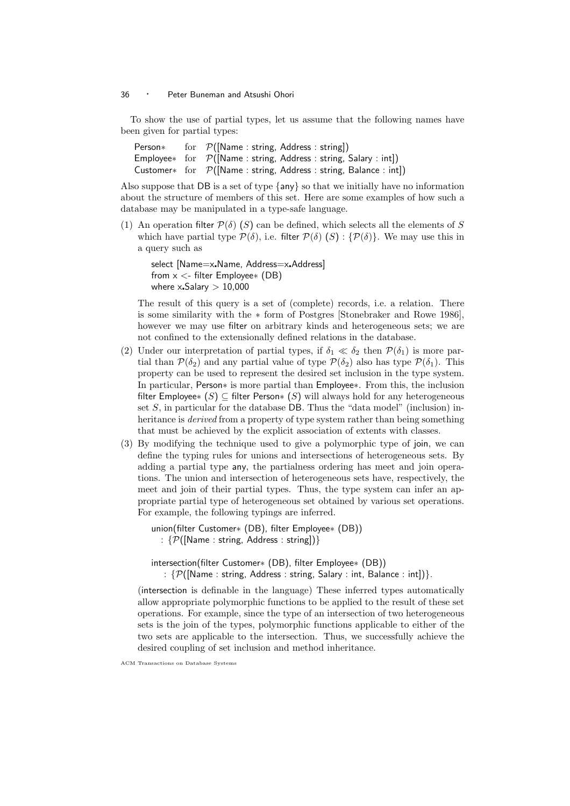To show the use of partial types, let us assume that the following names have been given for partial types:

| Person* | for $P([Name: string, Address: string])$                                                                                         |
|---------|----------------------------------------------------------------------------------------------------------------------------------|
|         | Employee for $P([Name: string, Address: string, salary: int])$                                                                   |
|         | Customer for $\mathcal{P}(\mathsf{Name} : \mathsf{string}, \mathsf{Address} : \mathsf{string}, \mathsf{Balance} : \mathsf{int})$ |

Also suppose that DB is a set of type {any} so that we initially have no information about the structure of members of this set. Here are some examples of how such a database may be manipulated in a type-safe language.

(1) An operation filter  $\mathcal{P}(\delta)$  (S) can be defined, which selects all the elements of S which have partial type  $\mathcal{P}(\delta)$ , i.e. filter  $\mathcal{P}(\delta)$  (S) : { $\mathcal{P}(\delta)$ }. We may use this in a query such as

select [Name=x.Name, Address=x.Address] from x <- filter Employee∗ (DB) where  $x$ **Salary**  $> 10,000$ 

The result of this query is a set of (complete) records, i.e. a relation. There is some similarity with the ∗ form of Postgres [Stonebraker and Rowe 1986], however we may use filter on arbitrary kinds and heterogeneous sets; we are not confined to the extensionally defined relations in the database.

- (2) Under our interpretation of partial types, if  $\delta_1 \ll \delta_2$  then  $\mathcal{P}(\delta_1)$  is more partial than  $\mathcal{P}(\delta_2)$  and any partial value of type  $\mathcal{P}(\delta_2)$  also has type  $\mathcal{P}(\delta_1)$ . This property can be used to represent the desired set inclusion in the type system. In particular, Person∗ is more partial than Employee∗. From this, the inclusion filter Employee∗  $(S) \subseteq$  filter Person $*(S)$  will always hold for any heterogeneous set  $S$ , in particular for the database DB. Thus the "data model" (inclusion) inheritance is *derived* from a property of type system rather than being something that must be achieved by the explicit association of extents with classes.
- (3) By modifying the technique used to give a polymorphic type of join, we can define the typing rules for unions and intersections of heterogeneous sets. By adding a partial type any, the partialness ordering has meet and join operations. The union and intersection of heterogeneous sets have, respectively, the meet and join of their partial types. Thus, the type system can infer an appropriate partial type of heterogeneous set obtained by various set operations. For example, the following typings are inferred.

```
union(filter Customer∗ (DB), filter Employee∗ (DB))
  : \{P([Name: string, Address: string])\}
```
intersection(filter Customer∗ (DB), filter Employee∗ (DB)) :  $\{\mathcal{P}([Name: string, Address: string, Salary: int, Balance: int])\}.$ 

(intersection is definable in the language) These inferred types automatically allow appropriate polymorphic functions to be applied to the result of these set operations. For example, since the type of an intersection of two heterogeneous sets is the join of the types, polymorphic functions applicable to either of the two sets are applicable to the intersection. Thus, we successfully achieve the desired coupling of set inclusion and method inheritance.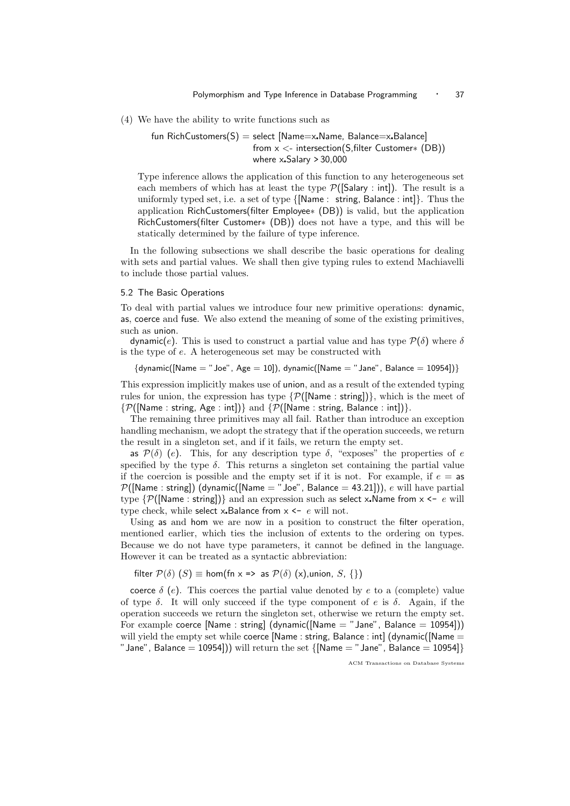(4) We have the ability to write functions such as

fun RichCustomers(S) = select [Name=x.Name, Balance=x.Balance] from x <- intersection(S,filter Customer∗ (DB)) where  $x$ -Salary  $> 30,000$ 

Type inference allows the application of this function to any heterogeneous set each members of which has at least the type  $P(\text{Salary : int})$ . The result is a uniformly typed set, i.e. a set of type {[Name : string, Balance : int]}. Thus the application RichCustomers(filter Employee∗ (DB)) is valid, but the application RichCustomers(filter Customer∗ (DB)) does not have a type, and this will be statically determined by the failure of type inference.

In the following subsections we shall describe the basic operations for dealing with sets and partial values. We shall then give typing rules to extend Machiavelli to include those partial values.

## 5.2 The Basic Operations

To deal with partial values we introduce four new primitive operations: dynamic, as, coerce and fuse. We also extend the meaning of some of the existing primitives, such as union.

dynamic(e). This is used to construct a partial value and has type  $\mathcal{P}(\delta)$  where  $\delta$ is the type of e. A heterogeneous set may be constructed with

 ${dynamic([Name = "Joe", Age = 10]), dynamic([Name = "Jane", Balance = 10954])}$ 

This expression implicitly makes use of union, and as a result of the extended typing rules for union, the expression has type  $\{P(\text{Name : string})\}$ , which is the meet of  $\{P(\text{Name : string, Age : int]})\}$  and  $\{P(\text{Name : string, Balance : int]})\}$ .

The remaining three primitives may all fail. Rather than introduce an exception handling mechanism, we adopt the strategy that if the operation succeeds, we return the result in a singleton set, and if it fails, we return the empty set.

as  $\mathcal{P}(\delta)$  (e). This, for any description type  $\delta$ , "exposes" the properties of e specified by the type  $\delta$ . This returns a singleton set containing the partial value if the coercion is possible and the empty set if it is not. For example, if  $e = a\mathsf{s}$  $P([Name: string])$  (dynamic([Name = "Joe", Balance = 43.21])), e will have partial type  $\{P(\text{Name : string})\}$  and an expression such as select x. Name from x  $\leq -e$  will type check, while select x<sub>i</sub>Balance from  $x \leftarrow e$  will not.

Using as and hom we are now in a position to construct the filter operation, mentioned earlier, which ties the inclusion of extents to the ordering on types. Because we do not have type parameters, it cannot be defined in the language. However it can be treated as a syntactic abbreviation:

filter  $\mathcal{P}(\delta)$  (S)  $\equiv$  hom(fn x => as  $\mathcal{P}(\delta)$  (x), union, S, {})

coerce  $\delta$  (e). This coerces the partial value denoted by e to a (complete) value of type  $\delta$ . It will only succeed if the type component of e is  $\delta$ . Again, if the operation succeeds we return the singleton set, otherwise we return the empty set. For example coerce [Name : string] (dynamic([Name = "Jane", Balance = 10954])) will yield the empty set while coerce [Name : string, Balance : int] (dynamic( $\lceil$ Name = "Jane", Balance  $= 10954$ ]) will return the set  $\{Name = "Jane"$ , Balance  $= 10954$ ]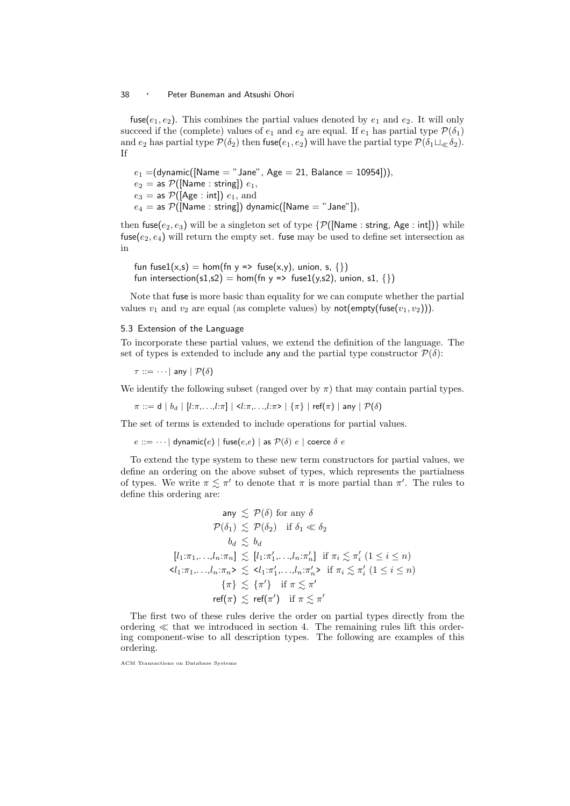fuse( $e_1, e_2$ ). This combines the partial values denoted by  $e_1$  and  $e_2$ . It will only succeed if the (complete) values of  $e_1$  and  $e_2$  are equal. If  $e_1$  has partial type  $\mathcal{P}(\delta_1)$ and  $e_2$  has partial type  $\mathcal{P}(\delta_2)$  then fuse( $e_1, e_2$ ) will have the partial type  $\mathcal{P}(\delta_1 \sqcup_{\ll} \delta_2)$ . If

```
e_1 = (dynamic([Name = "Jane", Age = 21, Balance = 10954))),e_2 = \text{as } \mathcal{P}(\text{Name : string})\ e_1,e_3 = as \mathcal{P}(\text{Age}: \text{int}) e_1, and
e_4 = as \mathcal{P}([Name: string]) dynamic([Name = "Jane"]),
```
then fuse( $e_2, e_3$ ) will be a singleton set of type { $\mathcal{P}(\mathsf{Name} : \mathsf{string}, \mathsf{Age} : \mathsf{int})$ } while fuse( $e_2, e_4$ ) will return the empty set. fuse may be used to define set intersection as in

fun fuse1(x,s) = hom(fn y => fuse(x,y), union, s, {}) fun intersection(s1,s2) = hom(fn y => fuse1(y,s2), union, s1, {})

Note that fuse is more basic than equality for we can compute whether the partial values  $v_1$  and  $v_2$  are equal (as complete values) by not(empty(fuse( $v_1, v_2$ ))).

#### 5.3 Extension of the Language

To incorporate these partial values, we extend the definition of the language. The set of types is extended to include any and the partial type constructor  $\mathcal{P}(\delta)$ :

 $\tau ::= \cdots |$  any  $| \mathcal{P}(\delta)$ 

We identify the following subset (ranged over by  $\pi$ ) that may contain partial types.

 $\pi ::= d | b_d | [l:\pi, \ldots, l:\pi] | < l:\pi, \ldots, l:\pi$ > | { $\pi$ } | ref( $\pi$ ) | any |  $\mathcal{P}(\delta)$ 

The set of terms is extended to include operations for partial values.

 $e ::= \dots |$  dynamic $(e) |$  fuse $(e,e) |$  as  $\mathcal{P}(\delta) e |$  coerce  $\delta e$ 

To extend the type system to these new term constructors for partial values, we define an ordering on the above subset of types, which represents the partialness of types. We write  $\pi \lesssim \pi'$  to denote that  $\pi$  is more partial than  $\pi'$ . The rules to define this ordering are:

$$
\mathsf{any} \lesssim \mathcal{P}(\delta) \text{ for any } \delta
$$
  
\n
$$
\mathcal{P}(\delta_1) \lesssim \mathcal{P}(\delta_2) \text{ if } \delta_1 \ll \delta_2
$$
  
\n
$$
b_d \lesssim b_d
$$
  
\n
$$
[l_1: \pi_1, \ldots, l_n: \pi_n] \lesssim [l_1: \pi'_1, \ldots, l_n: \pi'_n] \text{ if } \pi_i \lesssim \pi'_i \ (1 \leq i \leq n)
$$
  
\n
$$
\langle l_1: \pi_1, \ldots, l_n: \pi_n \rangle \lesssim \langle l_1: \pi'_1, \ldots, l_n: \pi'_n \rangle \text{ if } \pi_i \lesssim \pi'_i \ (1 \leq i \leq n)
$$
  
\n
$$
\{\pi\} \lesssim \{\pi'\} \text{ if } \pi \lesssim \pi'
$$
  
\n
$$
\text{ref}(\pi) \lesssim \text{ref}(\pi') \text{ if } \pi \lesssim \pi'
$$

The first two of these rules derive the order on partial types directly from the ordering  $\ll$  that we introduced in section 4. The remaining rules lift this ordering component-wise to all description types. The following are examples of this ordering.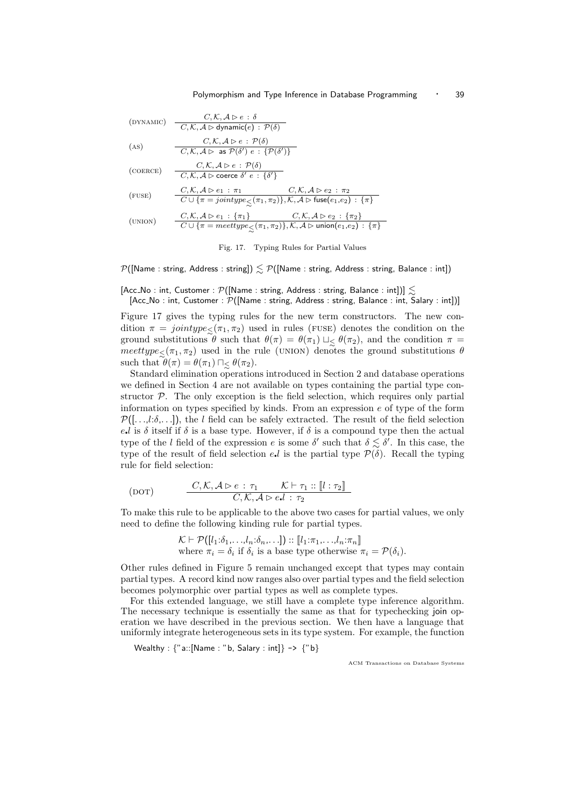(DYNAMIC) 
$$
\frac{C, K, A \triangleright e : \delta}{C, K, A \triangleright \text{dynamic}(e) : \mathcal{P}(\delta)}
$$

$$
\text{(AS)} \qquad \qquad \frac{C, \mathcal{K}, \mathcal{A} \triangleright e : \mathcal{P}(\delta)}{C, \mathcal{K}, \mathcal{A} \triangleright \text{ as } \mathcal{P}(\delta') \ e : \{ \mathcal{P}(\delta') \}}
$$

(COERCE) 
$$
C, K, A \triangleright e : \mathcal{P}(\delta)
$$

$$
C, K, A \triangleright \text{coerce } \delta' e : \{\delta'\}
$$

(FUSE) 
$$
\frac{C, K, A \triangleright e_1 : \pi_1}{C \cup {\pi = joint type_{\leq}}(\pi_1, \pi_2)}, K, A \triangleright e_2 : \pi_2}{\pi_1, \pi_2} \quad \text{for } \pi_1, \pi_2 \in \mathbb{C}
$$

$$
\text{(UNION)} \qquad \frac{C, \mathcal{K}, \mathcal{A} \rhd e_1 : \{\pi_1\} \qquad C, \mathcal{K}, \mathcal{A} \rhd e_2 : \{\pi_2\}}{C \cup \{\pi = meettype_{\leq}(\pi_1, \pi_2)\}, \mathcal{K}, \mathcal{A} \rhd \text{union}(e_1, e_2) : \{\pi\}}
$$

#### Fig. 17. Typing Rules for Partial Values

 $P([Name: string, Address: string]) \le P([Name: string, Address: string, Balance: int])$ 

[Acc\_No : int, Customer :  $\mathcal{P}([Name : string, Address : string, Balance : int]) \leq$ 

[Acc\_No : int, Customer :  $\mathcal{P}([Name : string, Address : string, Balance : int, salary : int])$ ]

Figure 17 gives the typing rules for the new term constructors. The new condition  $\pi = jointype<sub>5</sub>(\pi_1, \pi_2)$  used in rules (FUSE) denotes the condition on the ground substitutions  $\theta$  such that  $\theta(\pi) = \theta(\pi_1) \sqcup \in \theta(\pi_2)$ , and the condition  $\pi =$ meettype $\epsilon(\pi_1, \pi_2)$  used in the rule (UNION) denotes the ground substitutions  $\theta$ such that  $\theta(\pi) = \theta(\pi_1) \sqcap \leq \theta(\pi_2)$ .

Standard elimination operations introduced in Section 2 and database operations we defined in Section 4 are not available on types containing the partial type constructor  $P$ . The only exception is the field selection, which requires only partial information on types specified by kinds. From an expression  $e$  of type of the form  $\mathcal{P}([-...], \ldots]$ , the l field can be safely extracted. The result of the field selection e.l is  $\delta$  itself if  $\delta$  is a base type. However, if  $\delta$  is a compound type then the actual type of the l field of the expression e is some  $\delta'$  such that  $\delta \lesssim \delta'$ . In this case, the type of the result of field selection e<sub>i</sub>l is the partial type  $\mathcal{P}(\delta)$ . Recall the typing rule for field selection:

$$
\text{(DOT)} \qquad \frac{C, \mathcal{K}, \mathcal{A} \rhd e : \tau_1 \qquad \mathcal{K} \vdash \tau_1 :: [\![l : \tau_2]\!]}{C, \mathcal{K}, \mathcal{A} \rhd e \cdot l : \tau_2}
$$

To make this rule to be applicable to the above two cases for partial values, we only need to define the following kinding rule for partial types.

$$
\mathcal{K} \vdash \mathcal{P}([l_1:\delta_1,\ldots,l_n:\delta_n,\ldots]):[[l_1:\pi_1,\ldots,l_n:\pi_n]]
$$
  
where  $\pi_i = \delta_i$  if  $\delta_i$  is a base type otherwise  $\pi_i = \mathcal{P}(\delta_i)$ .

Other rules defined in Figure 5 remain unchanged except that types may contain partial types. A record kind now ranges also over partial types and the field selection becomes polymorphic over partial types as well as complete types.

For this extended language, we still have a complete type inference algorithm. The necessary technique is essentially the same as that for typechecking join operation we have described in the previous section. We then have a language that uniformly integrate heterogeneous sets in its type system. For example, the function

Wealthy :  $\{$ "a::[Name : "b, Salary : int]} ->  $\{$ "b}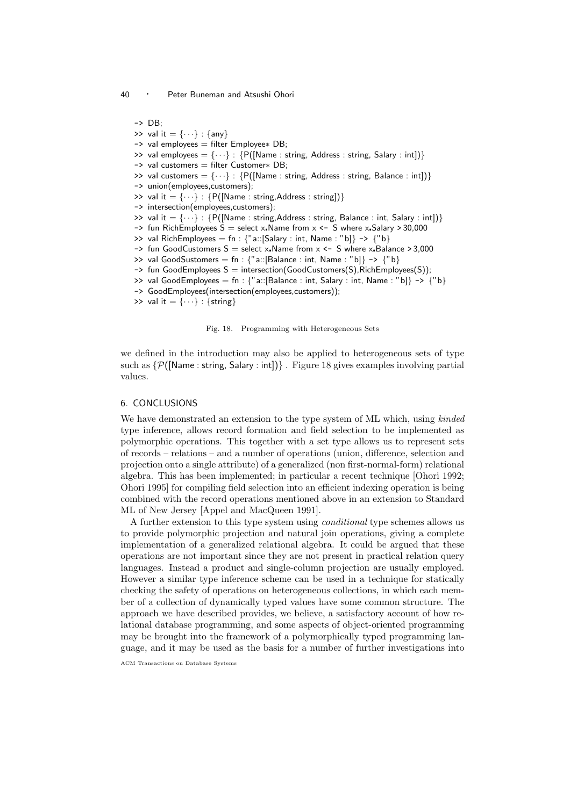$\rightarrow$  DB: >> val it =  $\{ \cdots \} : \{ \text{any} \}$ -> val employees = filter Employee∗ DB; >> val employees =  $\{\cdots\}$ :  $\{P(\text{Name : string, Address : string, salary : int]})\}$ -> val customers = filter Customer∗ DB; >> val customers =  $\{\cdots\}$ :  $\{P(\text{Name : string, Address : string, Balance : int]})\}$ -> union(employees,customers); >> val it  $= \{\cdots\}$ :  $\{P(\text{Name : string}, \text{Address : string}]\}$ -> intersection(employees,customers);  $\Rightarrow$  val it = { $\cdots$ } : {P([Name : string, Address : string, Balance : int, Salary : int])}  $\rightarrow$  fun RichEmployees S = select x. Name from x <- S where x. Salary > 30,000 >> val RichEmployees = fn :  $\{$ "a::[Salary : int, Name : "b]} ->  $\{$ "b}  $\rightarrow$  fun GoodCustomers S = select x. Name from x <- S where x. Balance > 3,000 >> val GoodSustomers = fn : {"a:: [Balance : int, Name : "b] } -> {"b}  $\rightarrow$  fun GoodEmployees S = intersection(GoodCustomers(S), RichEmployees(S)); >> val GoodEmployees = fn : {"a::[Balance : int, Salary : int, Name : "b]} -> {"b} -> GoodEmployees(intersection(employees,customers)); >> val it =  $\{\cdots\}$  :  $\{\text{string}\}$ 

Fig. 18. Programming with Heterogeneous Sets

we defined in the introduction may also be applied to heterogeneous sets of type such as  $\{\mathcal{P}(\mathsf{Name} : \mathsf{string}, \mathsf{Salary} : \mathsf{int}] \}$ . Figure 18 gives examples involving partial values.

#### 6. CONCLUSIONS

We have demonstrated an extension to the type system of ML which, using kinded type inference, allows record formation and field selection to be implemented as polymorphic operations. This together with a set type allows us to represent sets of records – relations – and a number of operations (union, difference, selection and projection onto a single attribute) of a generalized (non first-normal-form) relational algebra. This has been implemented; in particular a recent technique [Ohori 1992; Ohori 1995] for compiling field selection into an efficient indexing operation is being combined with the record operations mentioned above in an extension to Standard ML of New Jersey [Appel and MacQueen 1991].

A further extension to this type system using conditional type schemes allows us to provide polymorphic projection and natural join operations, giving a complete implementation of a generalized relational algebra. It could be argued that these operations are not important since they are not present in practical relation query languages. Instead a product and single-column projection are usually employed. However a similar type inference scheme can be used in a technique for statically checking the safety of operations on heterogeneous collections, in which each member of a collection of dynamically typed values have some common structure. The approach we have described provides, we believe, a satisfactory account of how relational database programming, and some aspects of object-oriented programming may be brought into the framework of a polymorphically typed programming language, and it may be used as the basis for a number of further investigations into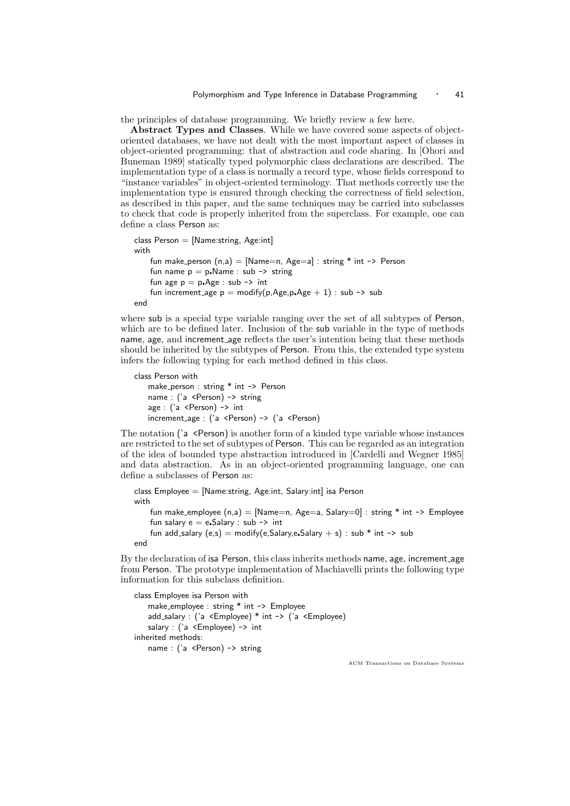the principles of database programming. We briefly review a few here.

Abstract Types and Classes. While we have covered some aspects of objectoriented databases, we have not dealt with the most important aspect of classes in object-oriented programming: that of abstraction and code sharing. In [Ohori and Buneman 1989] statically typed polymorphic class declarations are described. The implementation type of a class is normally a record type, whose fields correspond to "instance variables" in object-oriented terminology. That methods correctly use the implementation type is ensured through checking the correctness of field selection, as described in this paper, and the same techniques may be carried into subclasses to check that code is properly inherited from the superclass. For example, one can define a class Person as:

```
class Person = [Name:string, Age:int]
with
     fun make person (n,a) = [Name=n, Age=a] : string * int -> Person
     fun name p = p. Name : sub \rightarrow string
     fun age p = p. Age : sub \rightarrow int
     fun increment age p = \text{modify}(p, \text{Age}, p, \text{Age} + 1) : sub -> sub
end
```
where sub is a special type variable ranging over the set of all subtypes of Person, which are to be defined later. Inclusion of the sub variable in the type of methods name, age, and increment age reflects the user's intention being that these methods should be inherited by the subtypes of Person. From this, the extended type system infers the following typing for each method defined in this class.

```
class Person with
   make_person : string * int -> Person
   name : ('a <Person) -> string
   age : ('a <Person) -> int
   increment age : ('a <Person) -> ('a <Person)
```
The notation ('a <Person) is another form of a kinded type variable whose instances are restricted to the set of subtypes of Person. This can be regarded as an integration of the idea of bounded type abstraction introduced in [Cardelli and Wegner 1985] and data abstraction. As in an object-oriented programming language, one can define a subclasses of Person as:

class Employee = [Name:string, Age:int, Salary:int] isa Person with fun make employee  $(n,a) =$  [Name=n, Age=a, Salary=0] : string \* int -> Employee fun salary  $e = e$ . Salary : sub  $\rightarrow$  int fun add\_salary (e,s) = modify(e,Salary,e.Salary + s) : sub \* int -> sub end

By the declaration of isa Person, this class inherits methods name, age, increment age from Person. The prototype implementation of Machiavelli prints the following type information for this subclass definition.

```
class Employee isa Person with
   make employee : string * int -> Employee
   add salary : ('a <Employee) * int -> ('a <Employee)
   salary : ('a <Employee) -> int
inherited methods:
   name : ('a <Person) -> string
```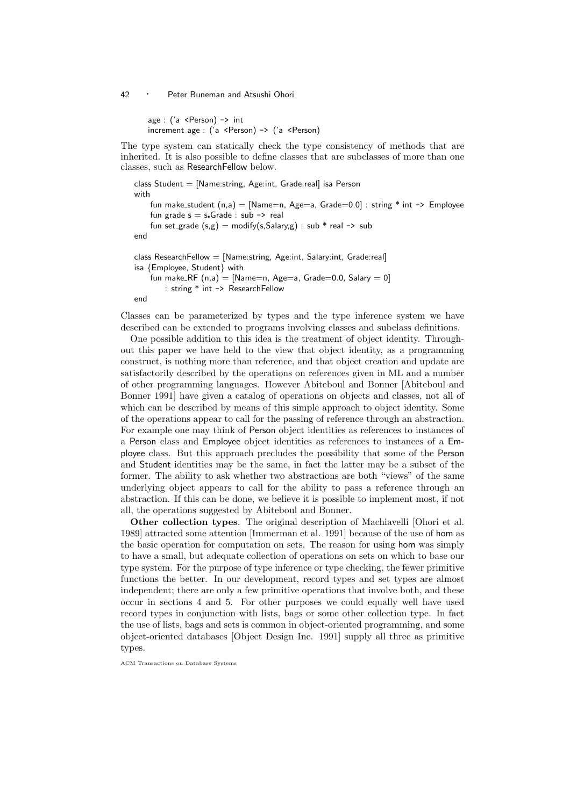```
age : ('a <Person) -> int
increment age : ('a <Person) -> ('a <Person)
```
The type system can statically check the type consistency of methods that are inherited. It is also possible to define classes that are subclasses of more than one classes, such as ResearchFellow below.

```
class Student = [Name:string, Age:int, Grade:real] isa Person
with
    fun make_student (n,a) = [Name=n, Age=a, Grade=0.0] : string * int -> Employee
    fun grade s = sGrade : sub \rightarrow real
    fun set_grade (s,g) = modify(s, Salary, g) : sub * real -> sub
end
class ResearchFellow = [Name:string, Age:int, Salary:int, Grade:real]
isa {Employee, Student} with
    fun make RF (n,a) = [Name=n, Age=a, Grade=0.0, Salary = 0]
        : string * int -> ResearchFellow
```
end

Classes can be parameterized by types and the type inference system we have described can be extended to programs involving classes and subclass definitions.

One possible addition to this idea is the treatment of object identity. Throughout this paper we have held to the view that object identity, as a programming construct, is nothing more than reference, and that object creation and update are satisfactorily described by the operations on references given in ML and a number of other programming languages. However Abiteboul and Bonner [Abiteboul and Bonner 1991] have given a catalog of operations on objects and classes, not all of which can be described by means of this simple approach to object identity. Some of the operations appear to call for the passing of reference through an abstraction. For example one may think of Person object identities as references to instances of a Person class and Employee object identities as references to instances of a Employee class. But this approach precludes the possibility that some of the Person and Student identities may be the same, in fact the latter may be a subset of the former. The ability to ask whether two abstractions are both "views" of the same underlying object appears to call for the ability to pass a reference through an abstraction. If this can be done, we believe it is possible to implement most, if not all, the operations suggested by Abiteboul and Bonner.

Other collection types. The original description of Machiavelli [Ohori et al. 1989] attracted some attention [Immerman et al. 1991] because of the use of hom as the basic operation for computation on sets. The reason for using hom was simply to have a small, but adequate collection of operations on sets on which to base our type system. For the purpose of type inference or type checking, the fewer primitive functions the better. In our development, record types and set types are almost independent; there are only a few primitive operations that involve both, and these occur in sections 4 and 5. For other purposes we could equally well have used record types in conjunction with lists, bags or some other collection type. In fact the use of lists, bags and sets is common in object-oriented programming, and some object-oriented databases [Object Design Inc. 1991] supply all three as primitive types.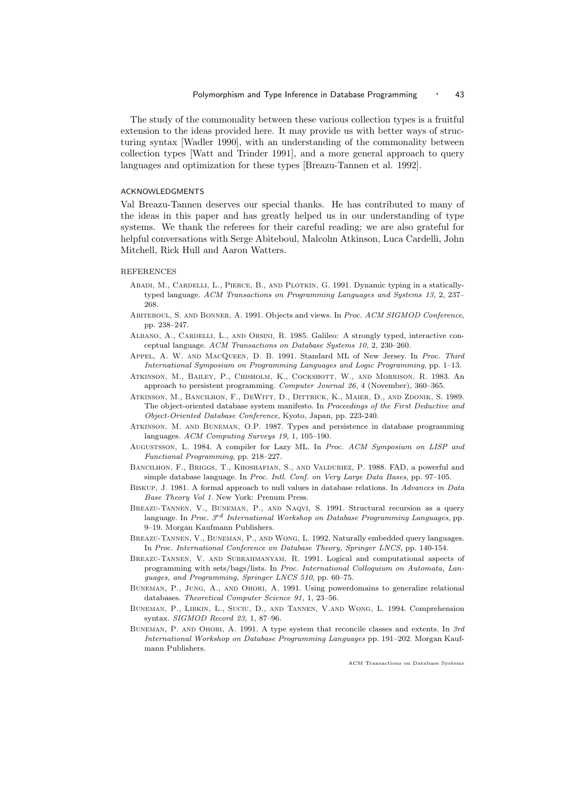The study of the commonality between these various collection types is a fruitful extension to the ideas provided here. It may provide us with better ways of structuring syntax [Wadler 1990], with an understanding of the commonality between collection types [Watt and Trinder 1991], and a more general approach to query languages and optimization for these types [Breazu-Tannen et al. 1992].

#### ACKNOWLEDGMENTS

Val Breazu-Tannen deserves our special thanks. He has contributed to many of the ideas in this paper and has greatly helped us in our understanding of type systems. We thank the referees for their careful reading; we are also grateful for helpful conversations with Serge Abiteboul, Malcolm Atkinson, Luca Cardelli, John Mitchell, Rick Hull and Aaron Watters.

#### **REFERENCES**

- Abadi, M., Cardelli, L., Pierce, B., and Plotkin, G. 1991. Dynamic typing in a staticallytyped language. ACM Transactions on Programming Languages and Systems 13, 2, 237– 268.
- ABITEBOUL, S. AND BONNER, A. 1991. Objects and views. In Proc. ACM SIGMOD Conference, pp. 238–247.
- ALBANO, A., CARDELLI, L., AND ORSINI, R. 1985. Galileo: A strongly typed, interactive conceptual language. ACM Transactions on Database Systems 10, 2, 230–260.
- APPEL, A. W. AND MACQUEEN, D. B. 1991. Standard ML of New Jersey. In Proc. Third International Symposium on Programming Languages and Logic Programming, pp. 1–13.
- Atkinson, M., Bailey, P., Chisholm, K., Cockshott, W., and Morrison, R. 1983. An approach to persistent programming. Computer Journal 26, 4 (November), 360–365.
- Atkinson, M., Bancilhon, F., DeWitt, D., Dittrick, K., Maier, D., and Zdonik, S. 1989. The object-oriented database system manifesto. In Proceedings of the First Deductive and Object-Oriented Database Conference, Kyoto, Japan, pp. 223-240.
- Atkinson, M. and Buneman, O.P. 1987. Types and persistence in database programming languages. ACM Computing Surveys 19, 1, 105–190.
- Augustsson, L. 1984. A compiler for Lazy ML. In Proc. ACM Symposium on LISP and Functional Programming, pp. 218–227.
- BANCILHON, F., BRIGGS, T., KHOSHAFIAN, S., AND VALDURIEZ, P. 1988. FAD, a powerful and simple database language. In Proc. Intl. Conf. on Very Large Data Bases, pp. 97–105.
- Biskup, J. 1981. A formal approach to null values in database relations. In Advances in Data Base Theory Vol 1. New York: Prenum Press.
- Breazu-Tannen, V., Buneman, P., and Naqvi, S. 1991. Structural recursion as a query language. In Proc.  $3^{rd}$  International Workshop on Database Programming Languages, pp. 9–19. Morgan Kaufmann Publishers.
- Breazu-Tannen, V., Buneman, P., and Wong, L. 1992. Naturally embedded query languages. In Proc. International Conference on Database Theory, Springer LNCS, pp. 140-154.
- BREAZU-TANNEN, V. AND SUBRAHMANYAM, R. 1991. Logical and computational aspects of programming with sets/bags/lists. In Proc. International Colloquium on Automata, Languages, and Programming, Springer LNCS 510, pp. 60–75.
- Buneman, P., Jung, A., and Ohori, A. 1991. Using powerdomains to generalize relational databases. Theoretical Computer Science 91, 1, 23–56.
- Buneman, P., Libkin, L., Suciu, D., and Tannen, V.and Wong, L. 1994. Comprehension syntax. SIGMOD Record 23, 1, 87–96.
- BUNEMAN, P. AND OHORI, A. 1991. A type system that reconcile classes and extents. In 3rd International Workshop on Database Programming Languages pp. 191–202. Morgan Kaufmann Publishers.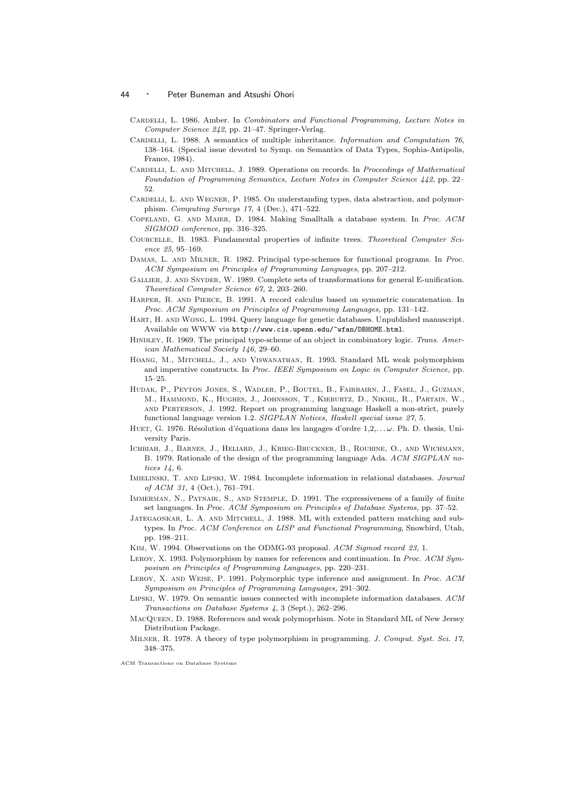- CARDELLI, L. 1986. Amber. In Combinators and Functional Programming, Lecture Notes in Computer Science 242, pp. 21–47. Springer-Verlag.
- CARDELLI, L. 1988. A semantics of multiple inheritance. Information and Computation 76, 138–164. (Special issue devoted to Symp. on Semantics of Data Types, Sophia-Antipolis, France, 1984).
- CARDELLI, L. AND MITCHELL, J. 1989. Operations on records. In Proceedings of Mathematical Foundation of Programming Semantics, Lecture Notes in Computer Science 442, pp. 22– 52.
- CARDELLI, L. AND WEGNER, P. 1985. On understanding types, data abstraction, and polymorphism. Computing Surveys 17, 4 (Dec.), 471–522.
- Copeland, G. and Maier, D. 1984. Making Smalltalk a database system. In Proc. ACM SIGMOD conference, pp. 316–325.
- Courcelle, B. 1983. Fundamental properties of infinite trees. Theoretical Computer Science 25, 95–169.
- Damas, L. and Milner, R. 1982. Principal type-schemes for functional programs. In Proc. ACM Symposium on Principles of Programming Languages, pp. 207–212.
- Gallier, J. and Snyder, W. 1989. Complete sets of transformations for general E-unification. Theoretical Computer Science 67, 2, 203–260.
- Harper, R. and Pierce, B. 1991. A record calculus based on symmetric concatenation. In Proc. ACM Symposium on Principles of Programming Languages, pp. 131–142.
- Hart, H. and Wong, L. 1994. Query language for genetic databases. Unpublished manuscript. Available on WWW via http://www.cis.upenn.edu/~wfan/DBHOME.html.
- HINDLEY, R. 1969. The principal type-scheme of an object in combinatory logic. Trans. American Mathematical Society 146, 29–60.
- Hoang, M., Mitchell, J., and Viswanathan, R. 1993. Standard ML weak polymorphism and imperative constructs. In Proc. IEEE Symposium on Logic in Computer Science, pp. 15–25.
- Hudak, P., Peyton Jones, S., Wadler, P., Boutel, B., Fairbairn, J., Fasel, J., Guzman, M., Hammond, K., Hughes, J., Johnsson, T., Kieburtz, D., Nikhil, R., Partain, W., and Perterson, J. 1992. Report on programming language Haskell a non-strict, purely functional language version 1.2. SIGPLAN Notices, Haskell special issue 27, 5.
- HUET, G. 1976. Résolution d'équations dans les langages d'ordre  $1,2,\ldots,\omega$ . Ph. D. thesis, University Paris.
- Ichbiah, J., Barnes, J., Heliard, J., Krieg-Bruckner, B., Roubine, O., and Wichmann, B. 1979. Rationale of the design of the programming language Ada. ACM SIGPLAN notices 14, 6.
- Imielinski, T. and Lipski, W. 1984. Incomplete information in relational databases. Journal of ACM 31, 4 (Oct.), 761–791.
- Immerman, N., Patnaik, S., and Stemple, D. 1991. The expressiveness of a family of finite set languages. In Proc. ACM Symposium on Principles of Database Systems, pp. 37–52.
- Jategaonkar, L. A. and Mitchell, J. 1988. ML with extended pattern matching and subtypes. In Proc. ACM Conference on LISP and Functional Programming, Snowbird, Utah, pp. 198–211.
- Kim, W. 1994. Observations on the ODMG-93 proposal. ACM Sigmod record 23, 1.
- Leroy, X. 1993. Polymorphism by names for references and continuation. In Proc. ACM Symposium on Principles of Programming Languages, pp. 220–231.
- Leroy, X. and Weise, P. 1991. Polymorphic type inference and assignment. In Proc. ACM Symposium on Principles of Programming Languages, 291–302.
- Lipski, W. 1979. On semantic issues connected with incomplete information databases. ACM Transactions on Database Systems 4, 3 (Sept.), 262–296.
- MacQueen, D. 1988. References and weak polymoprhism. Note in Standard ML of New Jersey Distribution Package.
- Milner, R. 1978. A theory of type polymorphism in programming. J. Comput. Syst. Sci. 17, 348–375.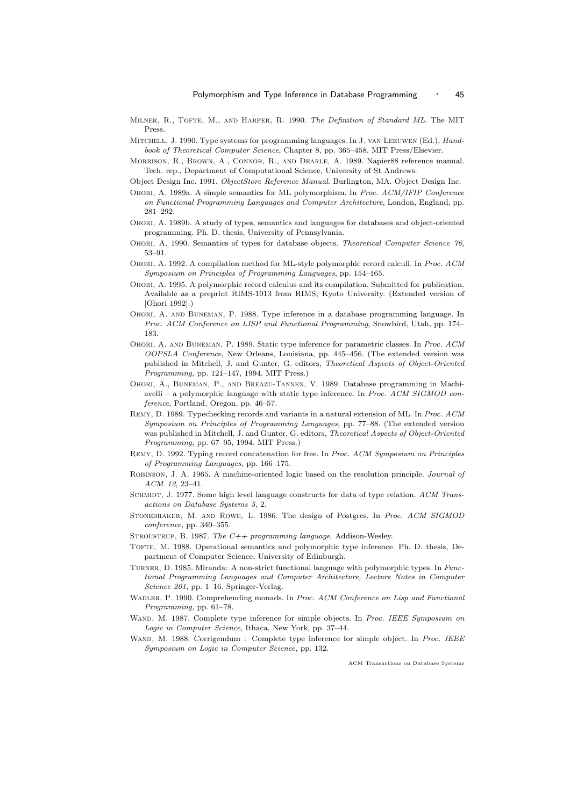- MILNER, R., TOFTE, M., AND HARPER, R. 1990. The Definition of Standard ML. The MIT Press.
- MITCHELL, J. 1990. Type systems for programming languages. In J. VAN LEEUWEN (Ed.), Handbook of Theoretical Computer Science, Chapter 8, pp. 365–458. MIT Press/Elsevier.
- Morrison, R., Brown, A., Connor, R., and Dearle, A. 1989. Napier88 reference manual. Tech. rep., Department of Computational Science, University of St Andrews.

Object Design Inc. 1991. ObjectStore Reference Manual. Burlington, MA. Object Design Inc.

- Ohori, A. 1989a. A simple semantics for ML polymorphism. In Proc. ACM/IFIP Conference on Functional Programming Languages and Computer Architecture, London, England, pp. 281–292.
- Ohori, A. 1989b. A study of types, semantics and languages for databases and object-oriented programming. Ph. D. thesis, University of Pennsylvania.
- Ohori, A. 1990. Semantics of types for database objects. Theoretical Computer Science 76, 53–91.
- Ohori, A. 1992. A compilation method for ML-style polymorphic record calculi. In Proc. ACM Symposium on Principles of Programming Languages, pp. 154–165.
- Ohori, A. 1995. A polymorphic record calculus and its compilation. Submitted for publication. Available as a preprint RIMS-1013 from RIMS, Kyoto University. (Extended version of [Ohori 1992].)
- Ohori, A. and Buneman, P. 1988. Type inference in a database programming language. In Proc. ACM Conference on LISP and Functional Programming, Snowbird, Utah, pp. 174– 183.
- Ohori, A. and Buneman, P. 1989. Static type inference for parametric classes. In Proc. ACM OOPSLA Conference, New Orleans, Louisiana, pp. 445–456. (The extended version was published in Mitchell, J. and Gunter, G. editors, Theoretical Aspects of Object-Oriented Programming, pp. 121–147, 1994. MIT Press.)
- Ohori, A., Buneman, P., and Breazu-Tannen, V. 1989. Database programming in Machiavelli – a polymorphic language with static type inference. In Proc. ACM SIGMOD conference, Portland, Oregon, pp. 46–57.
- Remy, D. 1989. Typechecking records and variants in a natural extension of ML. In Proc. ACM Symposium on Principles of Programming Languages, pp. 77–88. (The extended version was published in Mitchell, J. and Gunter, G. editors, Theoretical Aspects of Object-Oriented Programming, pp. 67–95, 1994. MIT Press.)
- REMY, D. 1992. Typing record concatenation for free. In Proc. ACM Symposium on Principles of Programming Languages, pp. 166–175.
- Robinson, J. A. 1965. A machine-oriented logic based on the resolution principle. Journal of ACM 12, 23–41.
- SCHMIDT, J. 1977. Some high level language constructs for data of type relation. ACM Transactions on Database Systems 5, 2.
- Stonebraker, M. and Rowe, L. 1986. The design of Postgres. In Proc. ACM SIGMOD conference, pp. 340–355.
- Stroustrup, B. 1987. The C++ programming language. Addison-Wesley.
- TOFTE, M. 1988. Operational semantics and polymorphic type inference. Ph. D. thesis, Department of Computer Science, University of Edinburgh.
- Turner, D. 1985. Miranda: A non-strict functional language with polymorphic types. In Functional Programming Languages and Computer Architecture, Lecture Notes in Computer Science 201, pp. 1–16. Springer-Verlag.
- WADLER, P. 1990. Comprehending monads. In Proc. ACM Conference on Lisp and Functional Programming, pp. 61–78.
- WAND, M. 1987. Complete type inference for simple objects. In Proc. IEEE Symposium on Logic in Computer Science, Ithaca, New York, pp. 37–44.
- WAND, M. 1988. Corrigendum : Complete type inference for simple object. In Proc. IEEE Symposium on Logic in Computer Science, pp. 132.